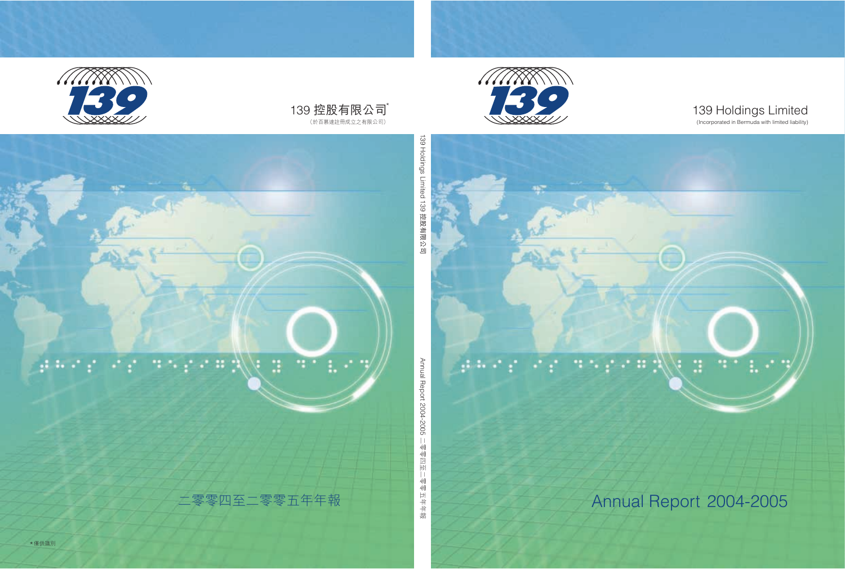

# 139 Holdings Limited

(Incorporated in Bermuda with limited liability)

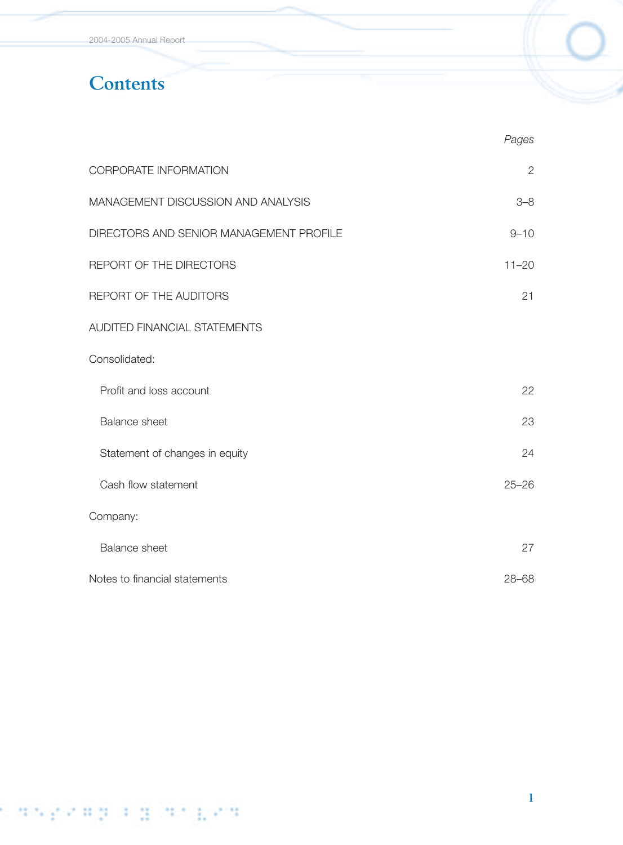2004-2005 Annual Report

# **Contents**

|                                         | Pages        |
|-----------------------------------------|--------------|
| CORPORATE INFORMATION                   | $\mathbf{2}$ |
| MANAGEMENT DISCUSSION AND ANALYSIS      | $3 - 8$      |
| DIRECTORS AND SENIOR MANAGEMENT PROFILE | $9 - 10$     |
| REPORT OF THE DIRECTORS                 | $11 - 20$    |
| REPORT OF THE AUDITORS                  | 21           |
| <b>AUDITED FINANCIAL STATEMENTS</b>     |              |
| Consolidated:                           |              |
| Profit and loss account                 | 22           |
| <b>Balance sheet</b>                    | 23           |
| Statement of changes in equity          | 24           |
| Cash flow statement                     | $25 - 26$    |
| Company:                                |              |
| <b>Balance sheet</b>                    | 27           |
| Notes to financial statements           | $28 - 68$    |

# s die Escala a Board e d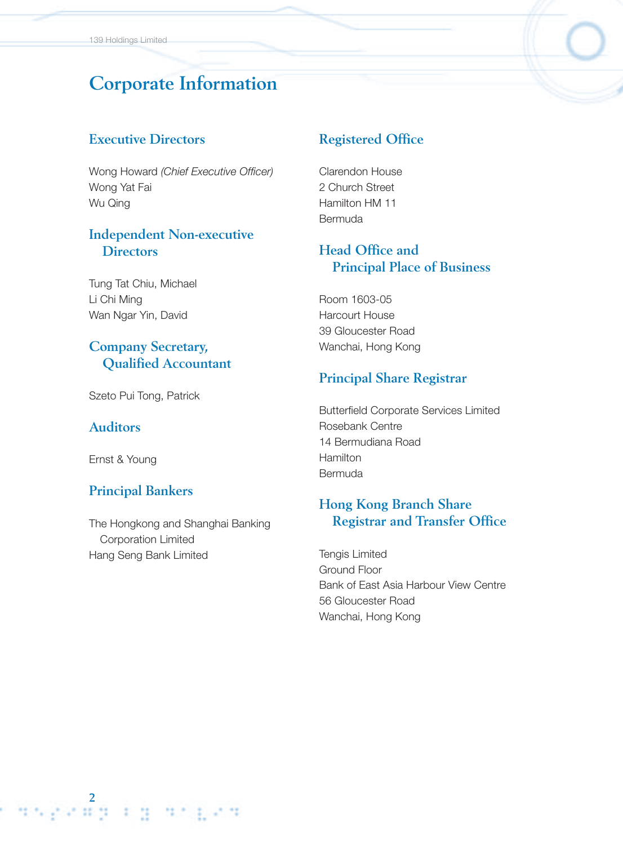# **Corporate Information**

### **Executive Directors**

Wong Howard *(Chief Executive Officer)* Wong Yat Fai Wu Qing

### **Independent Non-executive Directors**

Tung Tat Chiu, Michael Li Chi Ming Wan Ngar Yin, David

# **Company Secretary, Qualified Accountant**

Szeto Pui Tong, Patrick

#### **Auditors**

Ernst & Young

### **Principal Bankers**

The Hongkong and Shanghai Banking Corporation Limited Hang Seng Bank Limited

### **Registered Office**

Clarendon House 2 Church Street Hamilton HM 11 Bermuda

## **Head Office and Principal Place of Business**

Room 1603-05 Harcourt House 39 Gloucester Road Wanchai, Hong Kong

### **Principal Share Registrar**

Butterfield Corporate Services Limited Rosebank Centre 14 Bermudiana Road Hamilton Bermuda

### **Hong Kong Branch Share Registrar and Transfer Office**

Tengis Limited Ground Floor Bank of East Asia Harbour View Centre 56 Gloucester Road Wanchai, Hong Kong

.<br>22 **23 23 24 25 26 27 28 29 29 29 29 29 29 2**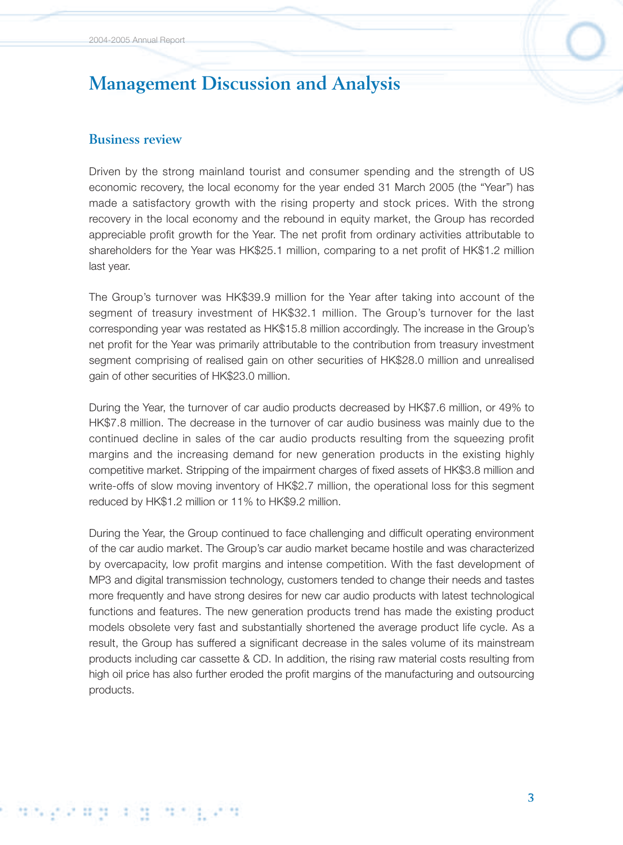### **Business review**

Driven by the strong mainland tourist and consumer spending and the strength of US economic recovery, the local economy for the year ended 31 March 2005 (the "Year") has made a satisfactory growth with the rising property and stock prices. With the strong recovery in the local economy and the rebound in equity market, the Group has recorded appreciable profit growth for the Year. The net profit from ordinary activities attributable to shareholders for the Year was HK\$25.1 million, comparing to a net profit of HK\$1.2 million last year.

The Group's turnover was HK\$39.9 million for the Year after taking into account of the segment of treasury investment of HK\$32.1 million. The Group's turnover for the last corresponding year was restated as HK\$15.8 million accordingly. The increase in the Group's net profit for the Year was primarily attributable to the contribution from treasury investment segment comprising of realised gain on other securities of HK\$28.0 million and unrealised gain of other securities of HK\$23.0 million.

During the Year, the turnover of car audio products decreased by HK\$7.6 million, or 49% to HK\$7.8 million. The decrease in the turnover of car audio business was mainly due to the continued decline in sales of the car audio products resulting from the squeezing profit margins and the increasing demand for new generation products in the existing highly competitive market. Stripping of the impairment charges of fixed assets of HK\$3.8 million and write-offs of slow moving inventory of HK\$2.7 million, the operational loss for this segment reduced by HK\$1.2 million or 11% to HK\$9.2 million.

During the Year, the Group continued to face challenging and difficult operating environment of the car audio market. The Group's car audio market became hostile and was characterized by overcapacity, low profit margins and intense competition. With the fast development of MP3 and digital transmission technology, customers tended to change their needs and tastes more frequently and have strong desires for new car audio products with latest technological functions and features. The new generation products trend has made the existing product models obsolete very fast and substantially shortened the average product life cycle. As a result, the Group has suffered a significant decrease in the sales volume of its mainstream products including car cassette & CD. In addition, the rising raw material costs resulting from high oil price has also further eroded the profit margins of the manufacturing and outsourcing products.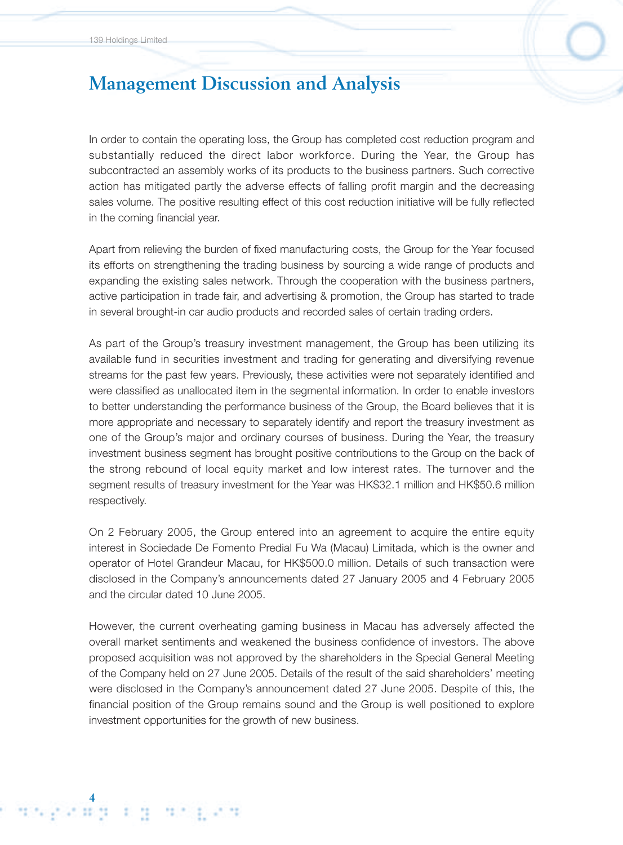4<br><del>از 11 می کارند :</del>

12.7

# **Management Discussion and Analysis**

In order to contain the operating loss, the Group has completed cost reduction program and substantially reduced the direct labor workforce. During the Year, the Group has subcontracted an assembly works of its products to the business partners. Such corrective action has mitigated partly the adverse effects of falling profit margin and the decreasing sales volume. The positive resulting effect of this cost reduction initiative will be fully reflected in the coming financial year.

Apart from relieving the burden of fixed manufacturing costs, the Group for the Year focused its efforts on strengthening the trading business by sourcing a wide range of products and expanding the existing sales network. Through the cooperation with the business partners, active participation in trade fair, and advertising & promotion, the Group has started to trade in several brought-in car audio products and recorded sales of certain trading orders.

As part of the Group's treasury investment management, the Group has been utilizing its available fund in securities investment and trading for generating and diversifying revenue streams for the past few years. Previously, these activities were not separately identified and were classified as unallocated item in the segmental information. In order to enable investors to better understanding the performance business of the Group, the Board believes that it is more appropriate and necessary to separately identify and report the treasury investment as one of the Group's major and ordinary courses of business. During the Year, the treasury investment business segment has brought positive contributions to the Group on the back of the strong rebound of local equity market and low interest rates. The turnover and the segment results of treasury investment for the Year was HK\$32.1 million and HK\$50.6 million respectively.

On 2 February 2005, the Group entered into an agreement to acquire the entire equity interest in Sociedade De Fomento Predial Fu Wa (Macau) Limitada, which is the owner and operator of Hotel Grandeur Macau, for HK\$500.0 million. Details of such transaction were disclosed in the Company's announcements dated 27 January 2005 and 4 February 2005 and the circular dated 10 June 2005.

However, the current overheating gaming business in Macau has adversely affected the overall market sentiments and weakened the business confidence of investors. The above proposed acquisition was not approved by the shareholders in the Special General Meeting of the Company held on 27 June 2005. Details of the result of the said shareholders' meeting were disclosed in the Company's announcement dated 27 June 2005. Despite of this, the financial position of the Group remains sound and the Group is well positioned to explore investment opportunities for the growth of new business.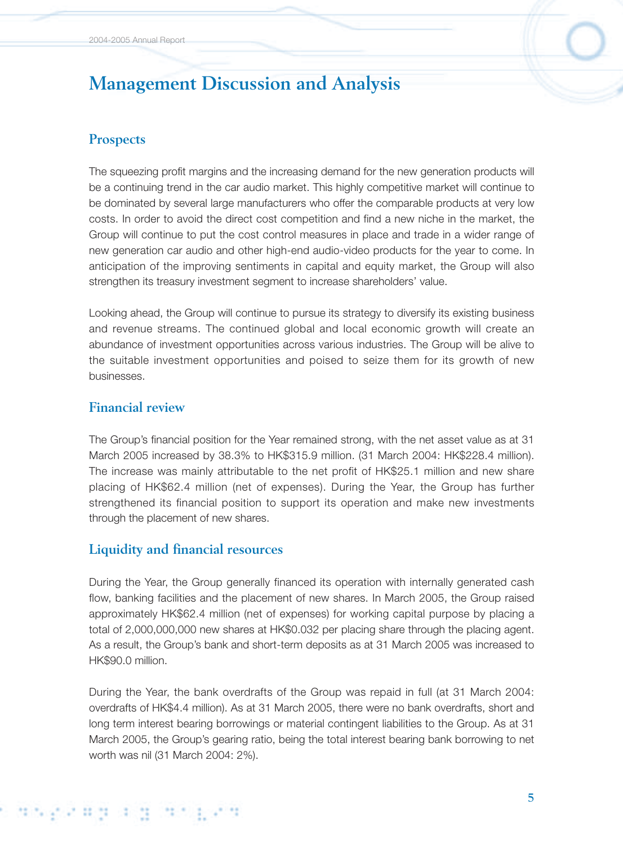## **Prospects**

The squeezing profit margins and the increasing demand for the new generation products will be a continuing trend in the car audio market. This highly competitive market will continue to be dominated by several large manufacturers who offer the comparable products at very low costs. In order to avoid the direct cost competition and find a new niche in the market, the Group will continue to put the cost control measures in place and trade in a wider range of new generation car audio and other high-end audio-video products for the year to come. In anticipation of the improving sentiments in capital and equity market, the Group will also strengthen its treasury investment segment to increase shareholders' value.

Looking ahead, the Group will continue to pursue its strategy to diversify its existing business and revenue streams. The continued global and local economic growth will create an abundance of investment opportunities across various industries. The Group will be alive to the suitable investment opportunities and poised to seize them for its growth of new businesses.

### **Financial review**

The Group's financial position for the Year remained strong, with the net asset value as at 31 March 2005 increased by 38.3% to HK\$315.9 million. (31 March 2004: HK\$228.4 million). The increase was mainly attributable to the net profit of HK\$25.1 million and new share placing of HK\$62.4 million (net of expenses). During the Year, the Group has further strengthened its financial position to support its operation and make new investments through the placement of new shares.

### **Liquidity and financial resources**

During the Year, the Group generally financed its operation with internally generated cash flow, banking facilities and the placement of new shares. In March 2005, the Group raised approximately HK\$62.4 million (net of expenses) for working capital purpose by placing a total of 2,000,000,000 new shares at HK\$0.032 per placing share through the placing agent. As a result, the Group's bank and short-term deposits as at 31 March 2005 was increased to HK\$90.0 million.

During the Year, the bank overdrafts of the Group was repaid in full (at 31 March 2004: overdrafts of HK\$4.4 million). As at 31 March 2005, there were no bank overdrafts, short and long term interest bearing borrowings or material contingent liabilities to the Group. As at 31 March 2005, the Group's gearing ratio, being the total interest bearing bank borrowing to net worth was nil (31 March 2004: 2%).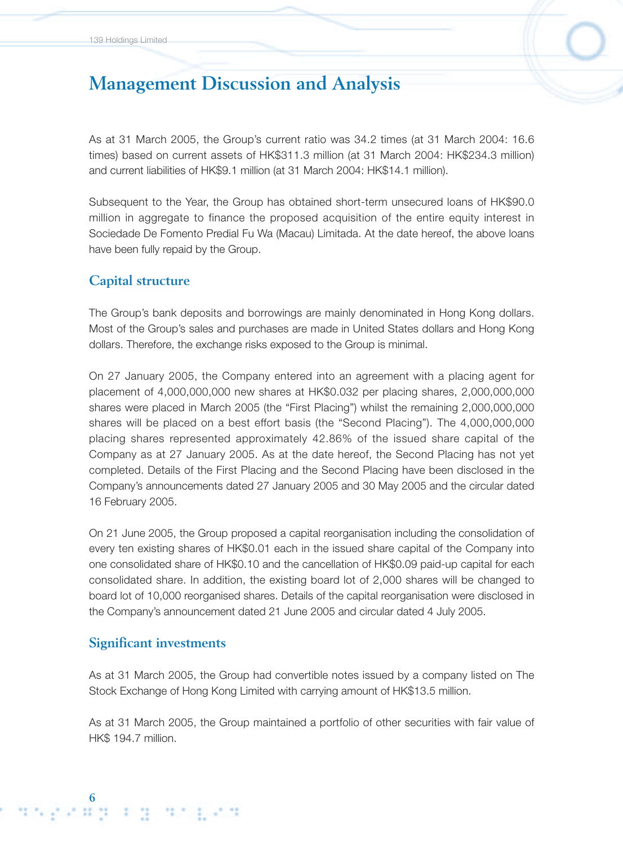As at 31 March 2005, the Group's current ratio was 34.2 times (at 31 March 2004: 16.6 times) based on current assets of HK\$311.3 million (at 31 March 2004: HK\$234.3 million) and current liabilities of HK\$9.1 million (at 31 March 2004: HK\$14.1 million).

Subsequent to the Year, the Group has obtained short-term unsecured loans of HK\$90.0 million in aggregate to finance the proposed acquisition of the entire equity interest in Sociedade De Fomento Predial Fu Wa (Macau) Limitada. At the date hereof, the above loans have been fully repaid by the Group.

### **Capital structure**

The Group's bank deposits and borrowings are mainly denominated in Hong Kong dollars. Most of the Group's sales and purchases are made in United States dollars and Hong Kong dollars. Therefore, the exchange risks exposed to the Group is minimal.

On 27 January 2005, the Company entered into an agreement with a placing agent for placement of 4,000,000,000 new shares at HK\$0.032 per placing shares, 2,000,000,000 shares were placed in March 2005 (the "First Placing") whilst the remaining 2,000,000,000 shares will be placed on a best effort basis (the "Second Placing"). The 4,000,000,000 placing shares represented approximately 42.86% of the issued share capital of the Company as at 27 January 2005. As at the date hereof, the Second Placing has not yet completed. Details of the First Placing and the Second Placing have been disclosed in the Company's announcements dated 27 January 2005 and 30 May 2005 and the circular dated 16 February 2005.

On 21 June 2005, the Group proposed a capital reorganisation including the consolidation of every ten existing shares of HK\$0.01 each in the issued share capital of the Company into one consolidated share of HK\$0.10 and the cancellation of HK\$0.09 paid-up capital for each consolidated share. In addition, the existing board lot of 2,000 shares will be changed to board lot of 10,000 reorganised shares. Details of the capital reorganisation were disclosed in the Company's announcement dated 21 June 2005 and circular dated 4 July 2005.

### **Significant investments**

As at 31 March 2005, the Group had convertible notes issued by a company listed on The Stock Exchange of Hong Kong Limited with carrying amount of HK\$13.5 million.

As at 31 March 2005, the Group maintained a portfolio of other securities with fair value of HK\$ 194.7 million.

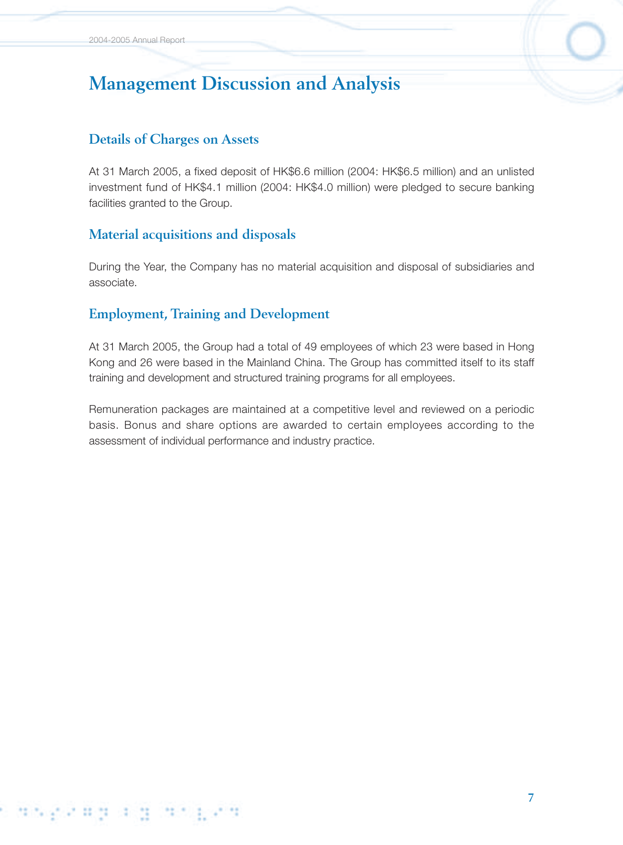### **Details of Charges on Assets**

At 31 March 2005, a fixed deposit of HK\$6.6 million (2004: HK\$6.5 million) and an unlisted investment fund of HK\$4.1 million (2004: HK\$4.0 million) were pledged to secure banking facilities granted to the Group.

### **Material acquisitions and disposals**

During the Year, the Company has no material acquisition and disposal of subsidiaries and associate.

# **Employment, Training and Development**

At 31 March 2005, the Group had a total of 49 employees of which 23 were based in Hong Kong and 26 were based in the Mainland China. The Group has committed itself to its staff training and development and structured training programs for all employees.

Remuneration packages are maintained at a competitive level and reviewed on a periodic basis. Bonus and share options are awarded to certain employees according to the assessment of individual performance and industry practice.

#### caspeaga g in the ann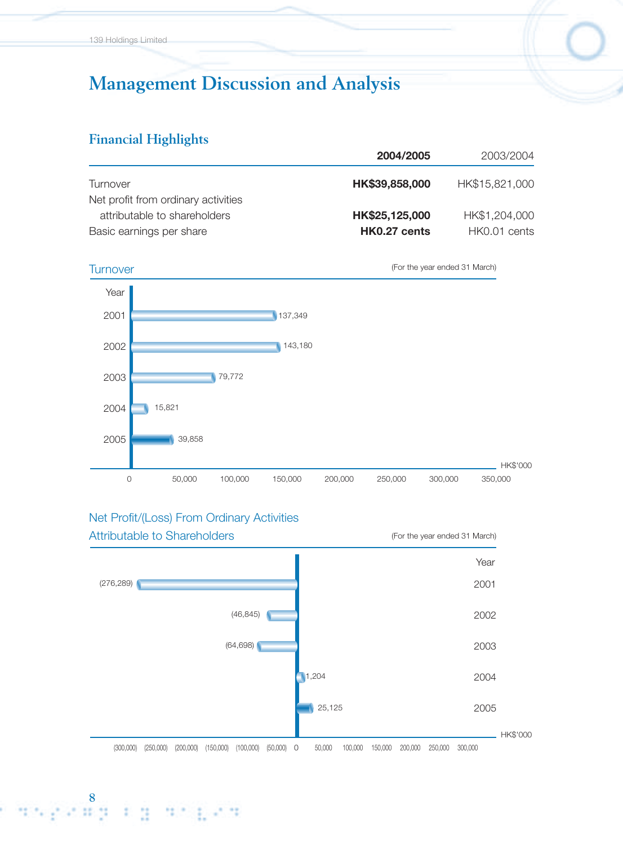### **Financial Highlights**

|                                     | 2004/2005      | 2003/2004      |
|-------------------------------------|----------------|----------------|
| Turnover                            | HK\$39,858,000 | HK\$15,821,000 |
| Net profit from ordinary activities |                |                |
| attributable to shareholders        | HK\$25,125,000 | HK\$1,204,000  |
| Basic earnings per share            | HK0.27 cents   | HK0.01 cents   |

#### Turnover (For the year ended 31 March)



# Net Profit/(Loss) From Ordinary Activities

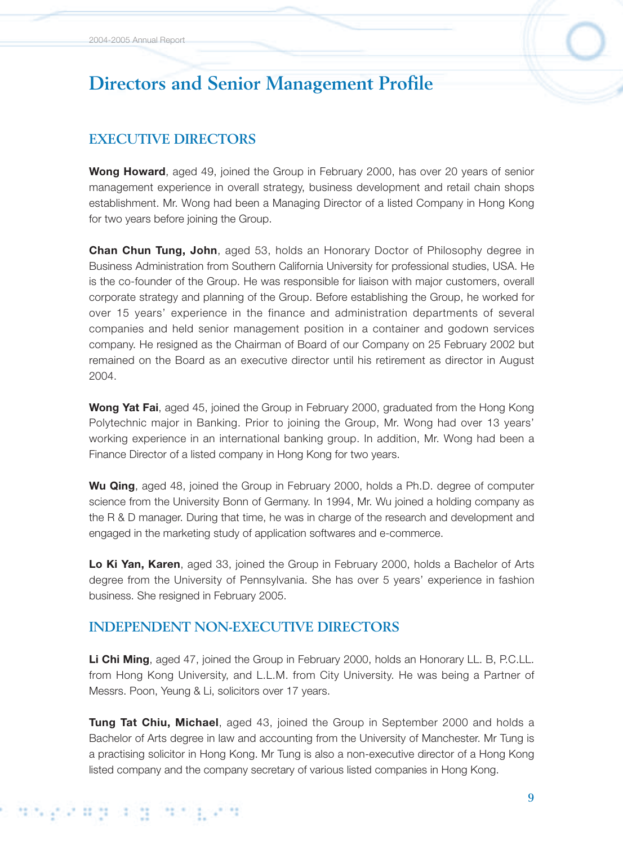# **Directors and Senior Management Profile**

# **EXECUTIVE DIRECTORS**

**Wong Howard**, aged 49, joined the Group in February 2000, has over 20 years of senior management experience in overall strategy, business development and retail chain shops establishment. Mr. Wong had been a Managing Director of a listed Company in Hong Kong for two years before joining the Group.

**Chan Chun Tung, John**, aged 53, holds an Honorary Doctor of Philosophy degree in Business Administration from Southern California University for professional studies, USA. He is the co-founder of the Group. He was responsible for liaison with major customers, overall corporate strategy and planning of the Group. Before establishing the Group, he worked for over 15 years' experience in the finance and administration departments of several companies and held senior management position in a container and godown services company. He resigned as the Chairman of Board of our Company on 25 February 2002 but remained on the Board as an executive director until his retirement as director in August 2004.

**Wong Yat Fai**, aged 45, joined the Group in February 2000, graduated from the Hong Kong Polytechnic major in Banking. Prior to joining the Group, Mr. Wong had over 13 years' working experience in an international banking group. In addition, Mr. Wong had been a Finance Director of a listed company in Hong Kong for two years.

**Wu Qing**, aged 48, joined the Group in February 2000, holds a Ph.D. degree of computer science from the University Bonn of Germany. In 1994, Mr. Wu joined a holding company as the R & D manager. During that time, he was in charge of the research and development and engaged in the marketing study of application softwares and e-commerce.

**Lo Ki Yan, Karen**, aged 33, joined the Group in February 2000, holds a Bachelor of Arts degree from the University of Pennsylvania. She has over 5 years' experience in fashion business. She resigned in February 2005.

# **INDEPENDENT NON-EXECUTIVE DIRECTORS**

**Li Chi Ming**, aged 47, joined the Group in February 2000, holds an Honorary LL. B, P.C.LL. from Hong Kong University, and L.L.M. from City University. He was being a Partner of Messrs. Poon, Yeung & Li, solicitors over 17 years.

**Tung Tat Chiu, Michael**, aged 43, joined the Group in September 2000 and holds a Bachelor of Arts degree in law and accounting from the University of Manchester. Mr Tung is a practising solicitor in Hong Kong. Mr Tung is also a non-executive director of a Hong Kong listed company and the company secretary of various listed companies in Hong Kong.

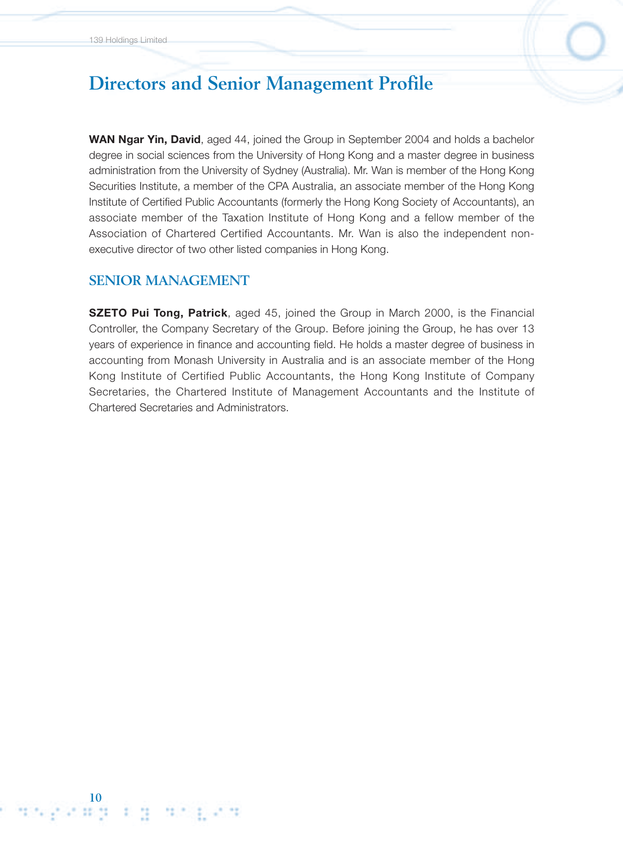# **Directors and Senior Management Profile**

**WAN Ngar Yin, David**, aged 44, joined the Group in September 2004 and holds a bachelor degree in social sciences from the University of Hong Kong and a master degree in business administration from the University of Sydney (Australia). Mr. Wan is member of the Hong Kong Securities Institute, a member of the CPA Australia, an associate member of the Hong Kong Institute of Certified Public Accountants (formerly the Hong Kong Society of Accountants), an associate member of the Taxation Institute of Hong Kong and a fellow member of the Association of Chartered Certified Accountants. Mr. Wan is also the independent nonexecutive director of two other listed companies in Hong Kong.

### **SENIOR MANAGEMENT**

**10**

**SZETO Pui Tong, Patrick**, aged 45, joined the Group in March 2000, is the Financial Controller, the Company Secretary of the Group. Before joining the Group, he has over 13 years of experience in finance and accounting field. He holds a master degree of business in accounting from Monash University in Australia and is an associate member of the Hong Kong Institute of Certified Public Accountants, the Hong Kong Institute of Company Secretaries, the Chartered Institute of Management Accountants and the Institute of Chartered Secretaries and Administrators.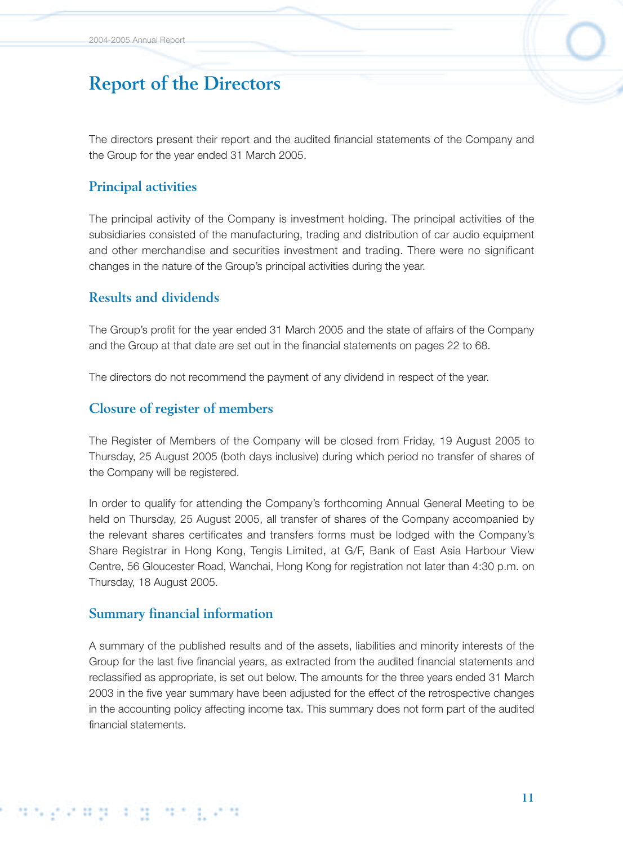The directors present their report and the audited financial statements of the Company and the Group for the year ended 31 March 2005.

## **Principal activities**

The principal activity of the Company is investment holding. The principal activities of the subsidiaries consisted of the manufacturing, trading and distribution of car audio equipment and other merchandise and securities investment and trading. There were no significant changes in the nature of the Group's principal activities during the year.

### **Results and dividends**

The Group's profit for the year ended 31 March 2005 and the state of affairs of the Company and the Group at that date are set out in the financial statements on pages 22 to 68.

The directors do not recommend the payment of any dividend in respect of the year.

### **Closure of register of members**

The Register of Members of the Company will be closed from Friday, 19 August 2005 to Thursday, 25 August 2005 (both days inclusive) during which period no transfer of shares of the Company will be registered.

In order to qualify for attending the Company's forthcoming Annual General Meeting to be held on Thursday, 25 August 2005, all transfer of shares of the Company accompanied by the relevant shares certificates and transfers forms must be lodged with the Company's Share Registrar in Hong Kong, Tengis Limited, at G/F, Bank of East Asia Harbour View Centre, 56 Gloucester Road, Wanchai, Hong Kong for registration not later than 4:30 p.m. on Thursday, 18 August 2005.

### **Summary financial information**

s angereig

A summary of the published results and of the assets, liabilities and minority interests of the Group for the last five financial years, as extracted from the audited financial statements and reclassified as appropriate, is set out below. The amounts for the three years ended 31 March 2003 in the five year summary have been adjusted for the effect of the retrospective changes in the accounting policy affecting income tax. This summary does not form part of the audited financial statements.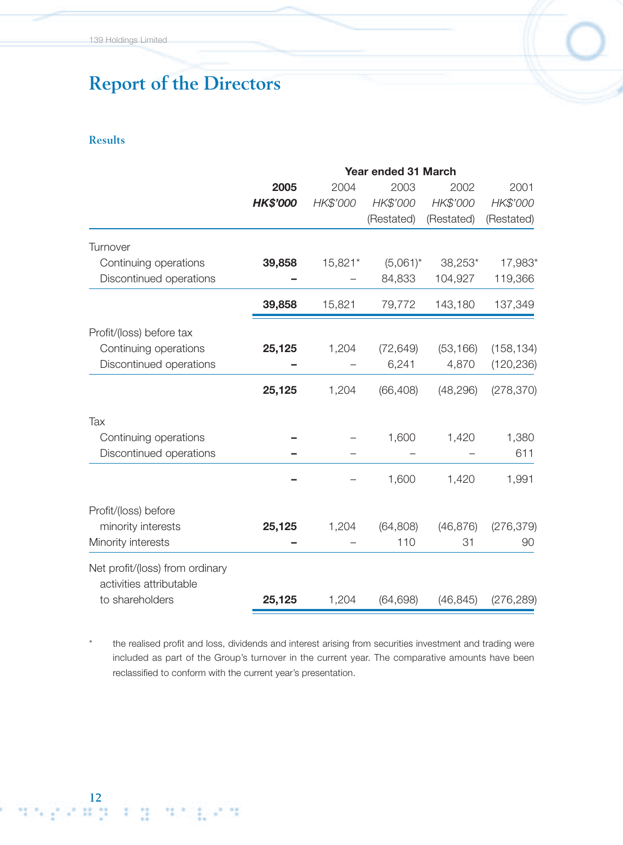#### **Results**

**12**

|                                                            | Year ended 31 March |          |             |            |            |  |
|------------------------------------------------------------|---------------------|----------|-------------|------------|------------|--|
|                                                            | 2005                | 2004     | 2003        | 2002       | 2001       |  |
|                                                            | <b>HK\$'000</b>     | HK\$'000 | HK\$'000    | HK\$'000   | HK\$'000   |  |
|                                                            |                     |          | (Restated)  | (Restated) | (Restated) |  |
| Turnover                                                   |                     |          |             |            |            |  |
| Continuing operations                                      | 39,858              | 15,821*  | $(5,061)^*$ | 38,253*    | 17,983*    |  |
| Discontinued operations                                    |                     |          | 84,833      | 104,927    | 119,366    |  |
|                                                            | 39,858              | 15,821   | 79,772      | 143,180    | 137,349    |  |
| Profit/(loss) before tax                                   |                     |          |             |            |            |  |
| Continuing operations                                      | 25,125              | 1,204    | (72, 649)   | (53, 166)  | (158, 134) |  |
| Discontinued operations                                    |                     |          | 6,241       | 4,870      | (120, 236) |  |
|                                                            | 25,125              | 1,204    | (66, 408)   | (48, 296)  | (278, 370) |  |
| Tax                                                        |                     |          |             |            |            |  |
| Continuing operations                                      |                     |          | 1,600       | 1,420      | 1,380      |  |
| Discontinued operations                                    |                     |          |             |            | 611        |  |
|                                                            |                     |          | 1,600       | 1,420      | 1,991      |  |
| Profit/(loss) before                                       |                     |          |             |            |            |  |
| minority interests                                         | 25,125              | 1,204    | (64, 808)   | (46, 876)  | (276, 379) |  |
| Minority interests                                         |                     |          | 110         | 31         | 90         |  |
| Net profit/(loss) from ordinary<br>activities attributable |                     |          |             |            |            |  |
| to shareholders                                            | 25,125              | 1,204    | (64, 698)   | (46, 845)  | (276, 289) |  |
|                                                            |                     |          |             |            |            |  |

the realised profit and loss, dividends and interest arising from securities investment and trading were included as part of the Group's turnover in the current year. The comparative amounts have been reclassified to conform with the current year's presentation.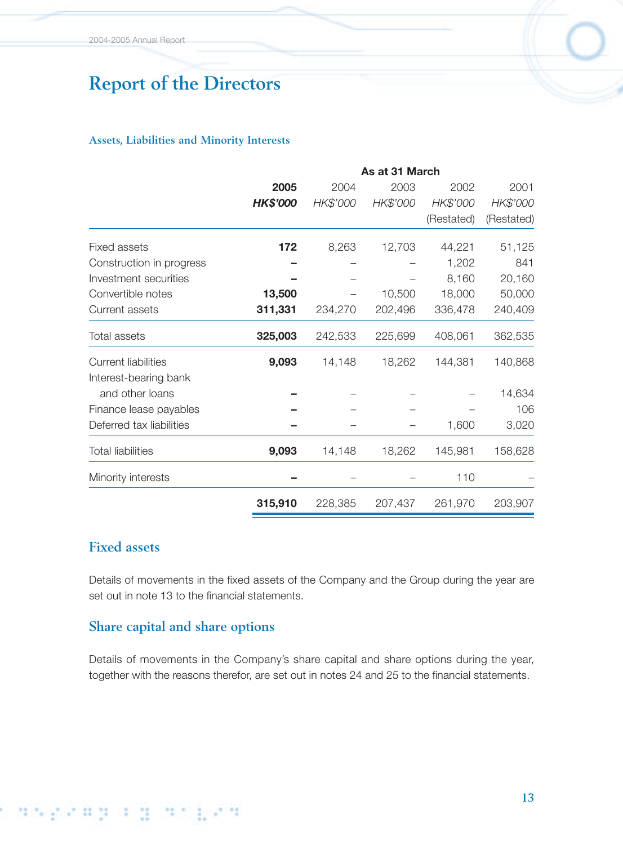#### **Assets, Liabilities and Minority Interests**

|                            | As at 31 March  |          |          |            |            |  |  |
|----------------------------|-----------------|----------|----------|------------|------------|--|--|
|                            | 2005            | 2004     | 2003     | 2002       | 2001       |  |  |
|                            | <b>HK\$'000</b> | HK\$'000 | HK\$'000 | HK\$'000   | HK\$'000   |  |  |
|                            |                 |          |          | (Restated) | (Restated) |  |  |
| <b>Fixed assets</b>        | 172             | 8,263    | 12,703   | 44,221     | 51,125     |  |  |
| Construction in progress   |                 |          |          | 1,202      | 841        |  |  |
| Investment securities      |                 |          |          | 8,160      | 20,160     |  |  |
| Convertible notes          | 13,500          |          | 10,500   | 18,000     | 50,000     |  |  |
| Current assets             | 311,331         | 234,270  | 202,496  | 336,478    | 240,409    |  |  |
| <b>Total assets</b>        | 325,003         | 242,533  | 225,699  | 408,061    | 362,535    |  |  |
| <b>Current liabilities</b> | 9,093           | 14,148   | 18,262   | 144,381    | 140,868    |  |  |
| Interest-bearing bank      |                 |          |          |            |            |  |  |
| and other loans            |                 |          |          |            | 14,634     |  |  |
| Finance lease payables     |                 |          |          |            | 106        |  |  |
| Deferred tax liabilities   |                 |          |          | 1,600      | 3,020      |  |  |
| <b>Total liabilities</b>   | 9,093           | 14,148   | 18,262   | 145,981    | 158,628    |  |  |
| Minority interests         |                 |          |          | 110        |            |  |  |
|                            | 315,910         | 228,385  | 207,437  | 261,970    | 203,907    |  |  |

# **Fixed assets**

s die Stead and die Pea

Details of movements in the fixed assets of the Company and the Group during the year are set out in note 13 to the financial statements.

## **Share capital and share options**

Details of movements in the Company's share capital and share options during the year, together with the reasons therefor, are set out in notes 24 and 25 to the financial statements.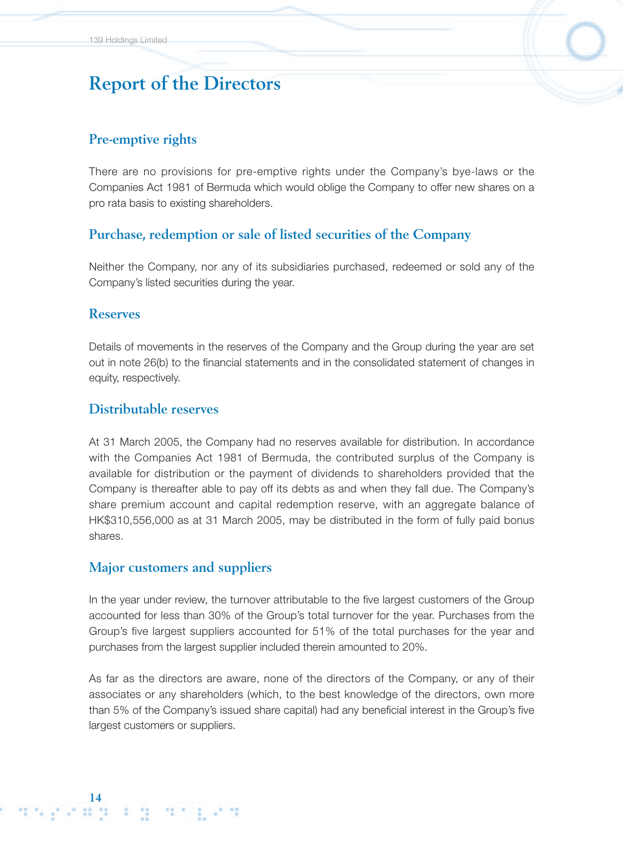### **Pre-emptive rights**

There are no provisions for pre-emptive rights under the Company's bye-laws or the Companies Act 1981 of Bermuda which would oblige the Company to offer new shares on a pro rata basis to existing shareholders.

### **Purchase, redemption or sale of listed securities of the Company**

Neither the Company, nor any of its subsidiaries purchased, redeemed or sold any of the Company's listed securities during the year.

### **Reserves**

Details of movements in the reserves of the Company and the Group during the year are set out in note 26(b) to the financial statements and in the consolidated statement of changes in equity, respectively.

#### **Distributable reserves**

At 31 March 2005, the Company had no reserves available for distribution. In accordance with the Companies Act 1981 of Bermuda, the contributed surplus of the Company is available for distribution or the payment of dividends to shareholders provided that the Company is thereafter able to pay off its debts as and when they fall due. The Company's share premium account and capital redemption reserve, with an aggregate balance of HK\$310,556,000 as at 31 March 2005, may be distributed in the form of fully paid bonus shares.

#### **Major customers and suppliers**

In the year under review, the turnover attributable to the five largest customers of the Group accounted for less than 30% of the Group's total turnover for the year. Purchases from the Group's five largest suppliers accounted for 51% of the total purchases for the year and purchases from the largest supplier included therein amounted to 20%.

As far as the directors are aware, none of the directors of the Company, or any of their associates or any shareholders (which, to the best knowledge of the directors, own more than 5% of the Company's issued share capital) had any beneficial interest in the Group's five largest customers or suppliers.

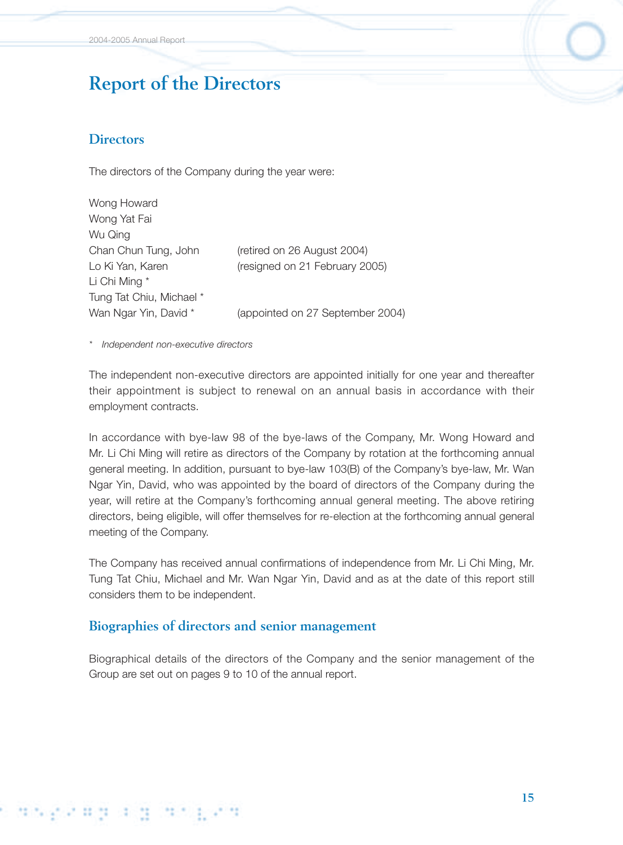### **Directors**

The directors of the Company during the year were:

Wong Howard Wong Yat Fai Wu Qing Chan Chun Tung, John (retired on 26 August 2004) Lo Ki Yan, Karen (resigned on 21 February 2005) Li Chi Ming \* Tung Tat Chiu, Michael \* Wan Ngar Yin, David \* (appointed on 27 September 2004)

*\* Independent non-executive directors*

The independent non-executive directors are appointed initially for one year and thereafter their appointment is subject to renewal on an annual basis in accordance with their employment contracts.

In accordance with bye-law 98 of the bye-laws of the Company, Mr. Wong Howard and Mr. Li Chi Ming will retire as directors of the Company by rotation at the forthcoming annual general meeting. In addition, pursuant to bye-law 103(B) of the Company's bye-law, Mr. Wan Ngar Yin, David, who was appointed by the board of directors of the Company during the year, will retire at the Company's forthcoming annual general meeting. The above retiring directors, being eligible, will offer themselves for re-election at the forthcoming annual general meeting of the Company.

The Company has received annual confirmations of independence from Mr. Li Chi Ming, Mr. Tung Tat Chiu, Michael and Mr. Wan Ngar Yin, David and as at the date of this report still considers them to be independent.

### **Biographies of directors and senior management**

Biographical details of the directors of the Company and the senior management of the Group are set out on pages 9 to 10 of the annual report.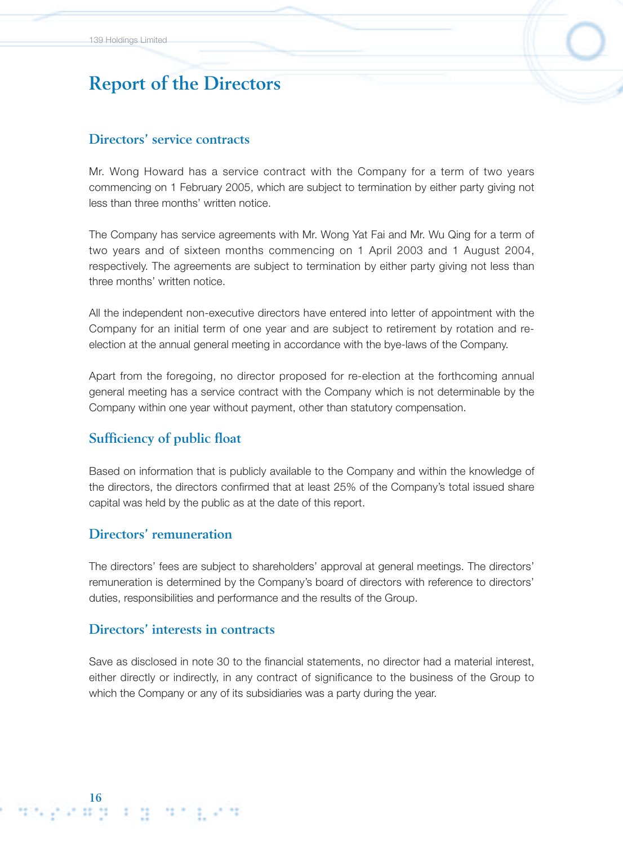### **Directors' service contracts**

Mr. Wong Howard has a service contract with the Company for a term of two years commencing on 1 February 2005, which are subject to termination by either party giving not less than three months' written notice.

The Company has service agreements with Mr. Wong Yat Fai and Mr. Wu Qing for a term of two years and of sixteen months commencing on 1 April 2003 and 1 August 2004, respectively. The agreements are subject to termination by either party giving not less than three months' written notice.

All the independent non-executive directors have entered into letter of appointment with the Company for an initial term of one year and are subject to retirement by rotation and reelection at the annual general meeting in accordance with the bye-laws of the Company.

Apart from the foregoing, no director proposed for re-election at the forthcoming annual general meeting has a service contract with the Company which is not determinable by the Company within one year without payment, other than statutory compensation.

### **Sufficiency of public float**

Based on information that is publicly available to the Company and within the knowledge of the directors, the directors confirmed that at least 25% of the Company's total issued share capital was held by the public as at the date of this report.

### **Directors' remuneration**

1662289 FB 91629

The directors' fees are subject to shareholders' approval at general meetings. The directors' remuneration is determined by the Company's board of directors with reference to directors' duties, responsibilities and performance and the results of the Group.

### **Directors' interests in contracts**

Save as disclosed in note 30 to the financial statements, no director had a material interest, either directly or indirectly, in any contract of significance to the business of the Group to which the Company or any of its subsidiaries was a party during the year.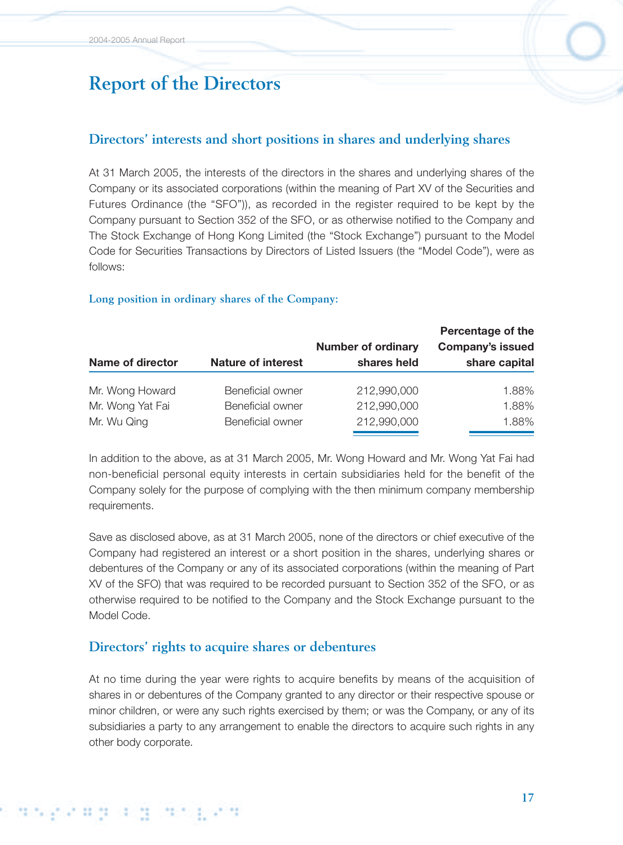## **Directors' interests and short positions in shares and underlying shares**

At 31 March 2005, the interests of the directors in the shares and underlying shares of the Company or its associated corporations (within the meaning of Part XV of the Securities and Futures Ordinance (the "SFO")), as recorded in the register required to be kept by the Company pursuant to Section 352 of the SFO, or as otherwise notified to the Company and The Stock Exchange of Hong Kong Limited (the "Stock Exchange") pursuant to the Model Code for Securities Transactions by Directors of Listed Issuers (the "Model Code"), were as follows:

#### **Long position in ordinary shares of the Company:**

|                  |                           |                           | Percentage of the       |
|------------------|---------------------------|---------------------------|-------------------------|
|                  |                           | <b>Number of ordinary</b> | <b>Company's issued</b> |
| Name of director | <b>Nature of interest</b> | shares held               | share capital           |
| Mr. Wong Howard  | Beneficial owner          | 212,990,000               | 1.88%                   |
| Mr. Wong Yat Fai | Beneficial owner          | 212,990,000               | 1.88%                   |
| Mr. Wu Qing      | Beneficial owner          | 212,990,000               | 1.88%                   |

In addition to the above, as at 31 March 2005, Mr. Wong Howard and Mr. Wong Yat Fai had non-beneficial personal equity interests in certain subsidiaries held for the benefit of the Company solely for the purpose of complying with the then minimum company membership requirements.

Save as disclosed above, as at 31 March 2005, none of the directors or chief executive of the Company had registered an interest or a short position in the shares, underlying shares or debentures of the Company or any of its associated corporations (within the meaning of Part XV of the SFO) that was required to be recorded pursuant to Section 352 of the SFO, or as otherwise required to be notified to the Company and the Stock Exchange pursuant to the Model Code.

### **Directors' rights to acquire shares or debentures**

At no time during the year were rights to acquire benefits by means of the acquisition of shares in or debentures of the Company granted to any director or their respective spouse or minor children, or were any such rights exercised by them; or was the Company, or any of its subsidiaries a party to any arrangement to enable the directors to acquire such rights in any other body corporate.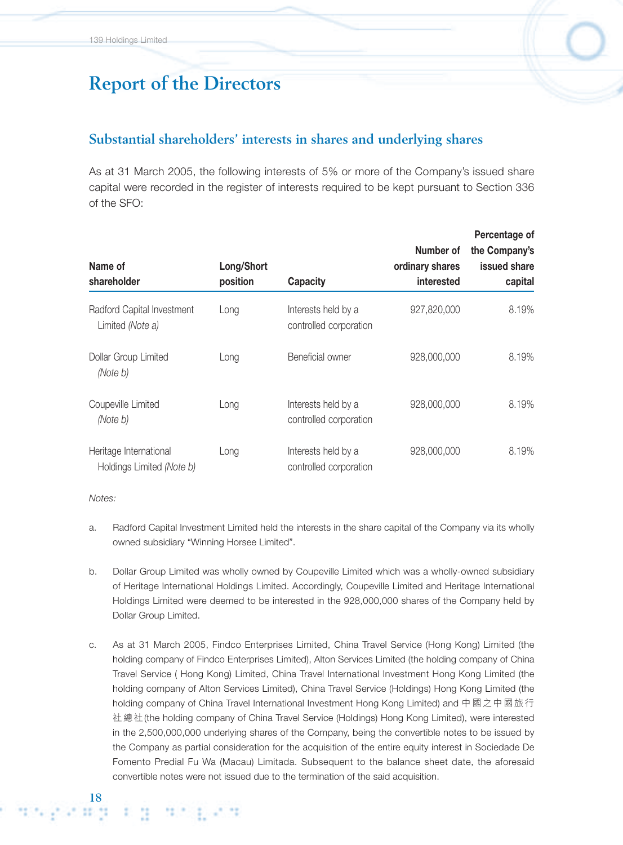### **Substantial shareholders' interests in shares and underlying shares**

As at 31 March 2005, the following interests of 5% or more of the Company's issued share capital were recorded in the register of interests required to be kept pursuant to Section 336 of the SFO:

| Name of<br>shareholder                              | Long/Short<br>position | <b>Capacity</b>                               | Number of<br>ordinary shares<br>interested | Percentage of<br>the Company's<br>issued share<br>capital |
|-----------------------------------------------------|------------------------|-----------------------------------------------|--------------------------------------------|-----------------------------------------------------------|
| Radford Capital Investment<br>Limited (Note a)      | Long                   | Interests held by a<br>controlled corporation | 927,820,000                                | 8.19%                                                     |
| Dollar Group Limited<br>(Note b)                    | Long                   | Beneficial owner                              | 928,000,000                                | 8.19%                                                     |
| Coupeville Limited<br>(Note b)                      | Long                   | Interests held by a<br>controlled corporation | 928,000,000                                | 8.19%                                                     |
| Heritage International<br>Holdings Limited (Note b) | Long                   | Interests held by a<br>controlled corporation | 928,000,000                                | 8.19%                                                     |

*Notes:*

- a. Radford Capital Investment Limited held the interests in the share capital of the Company via its wholly owned subsidiary "Winning Horsee Limited".
- b. Dollar Group Limited was wholly owned by Coupeville Limited which was a wholly-owned subsidiary of Heritage International Holdings Limited. Accordingly, Coupeville Limited and Heritage International Holdings Limited were deemed to be interested in the 928,000,000 shares of the Company held by Dollar Group Limited.
- c. As at 31 March 2005, Findco Enterprises Limited, China Travel Service (Hong Kong) Limited (the holding company of Findco Enterprises Limited), Alton Services Limited (the holding company of China Travel Service ( Hong Kong) Limited, China Travel International Investment Hong Kong Limited (the holding company of Alton Services Limited), China Travel Service (Holdings) Hong Kong Limited (the holding company of China Travel International Investment Hong Kong Limited) and 中國之中國旅行 社總社(the holding company of China Travel Service (Holdings) Hong Kong Limited), were interested in the 2,500,000,000 underlying shares of the Company, being the convertible notes to be issued by the Company as partial consideration for the acquisition of the entire equity interest in Sociedade De Fomento Predial Fu Wa (Macau) Limitada. Subsequent to the balance sheet date, the aforesaid convertible notes were not issued due to the termination of the said acquisition.

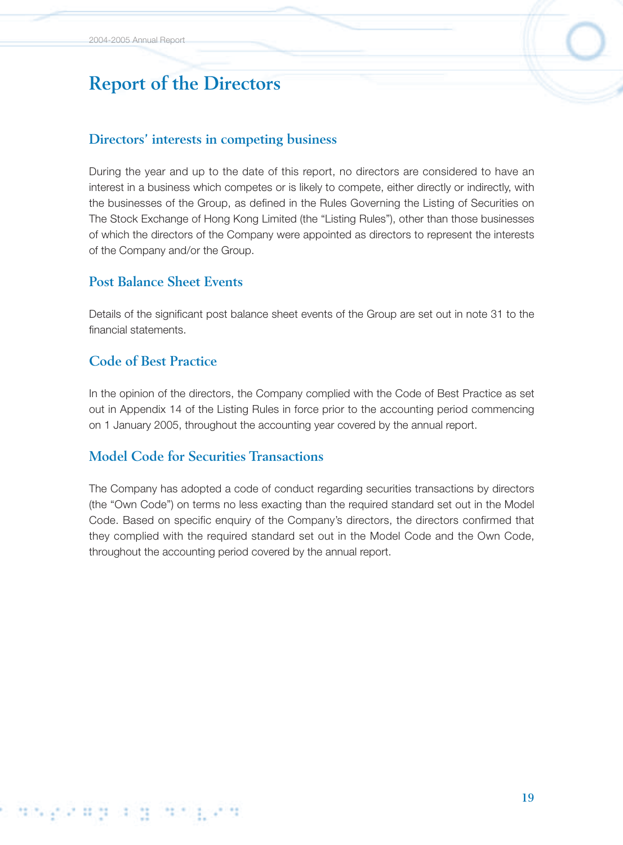### **Directors' interests in competing business**

During the year and up to the date of this report, no directors are considered to have an interest in a business which competes or is likely to compete, either directly or indirectly, with the businesses of the Group, as defined in the Rules Governing the Listing of Securities on The Stock Exchange of Hong Kong Limited (the "Listing Rules"), other than those businesses of which the directors of the Company were appointed as directors to represent the interests of the Company and/or the Group.

### **Post Balance Sheet Events**

Details of the significant post balance sheet events of the Group are set out in note 31 to the financial statements.

## **Code of Best Practice**

In the opinion of the directors, the Company complied with the Code of Best Practice as set out in Appendix 14 of the Listing Rules in force prior to the accounting period commencing on 1 January 2005, throughout the accounting year covered by the annual report.

## **Model Code for Securities Transactions**

The Company has adopted a code of conduct regarding securities transactions by directors (the "Own Code") on terms no less exacting than the required standard set out in the Model Code. Based on specific enquiry of the Company's directors, the directors confirmed that they complied with the required standard set out in the Model Code and the Own Code, throughout the accounting period covered by the annual report.

# s diskatut digi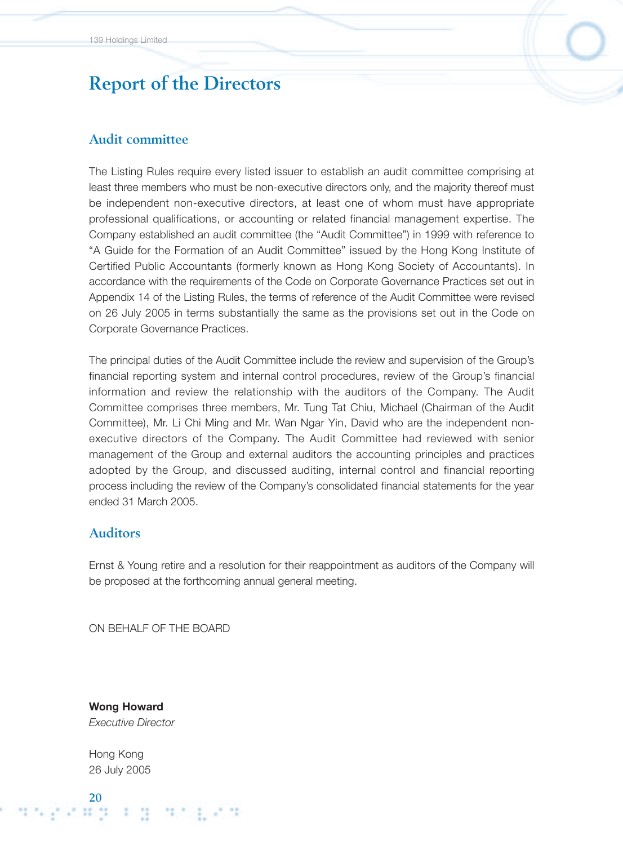### **Audit committee**

The Listing Rules require every listed issuer to establish an audit committee comprising at least three members who must be non-executive directors only, and the majority thereof must be independent non-executive directors, at least one of whom must have appropriate professional qualifications, or accounting or related financial management expertise. The Company established an audit committee (the "Audit Committee") in 1999 with reference to "A Guide for the Formation of an Audit Committee" issued by the Hong Kong Institute of Certified Public Accountants (formerly known as Hong Kong Society of Accountants). In accordance with the requirements of the Code on Corporate Governance Practices set out in Appendix 14 of the Listing Rules, the terms of reference of the Audit Committee were revised on 26 July 2005 in terms substantially the same as the provisions set out in the Code on Corporate Governance Practices.

The principal duties of the Audit Committee include the review and supervision of the Group's financial reporting system and internal control procedures, review of the Group's financial information and review the relationship with the auditors of the Company. The Audit Committee comprises three members, Mr. Tung Tat Chiu, Michael (Chairman of the Audit Committee), Mr. Li Chi Ming and Mr. Wan Ngar Yin, David who are the independent nonexecutive directors of the Company. The Audit Committee had reviewed with senior management of the Group and external auditors the accounting principles and practices adopted by the Group, and discussed auditing, internal control and financial reporting process including the review of the Company's consolidated financial statements for the year ended 31 March 2005.

#### **Auditors**

Ernst & Young retire and a resolution for their reappointment as auditors of the Company will be proposed at the forthcoming annual general meeting.

ON BEHALF OF THE BOARD

**Wong Howard** *Executive Director*

Hong Kong 26 July 2005

**20**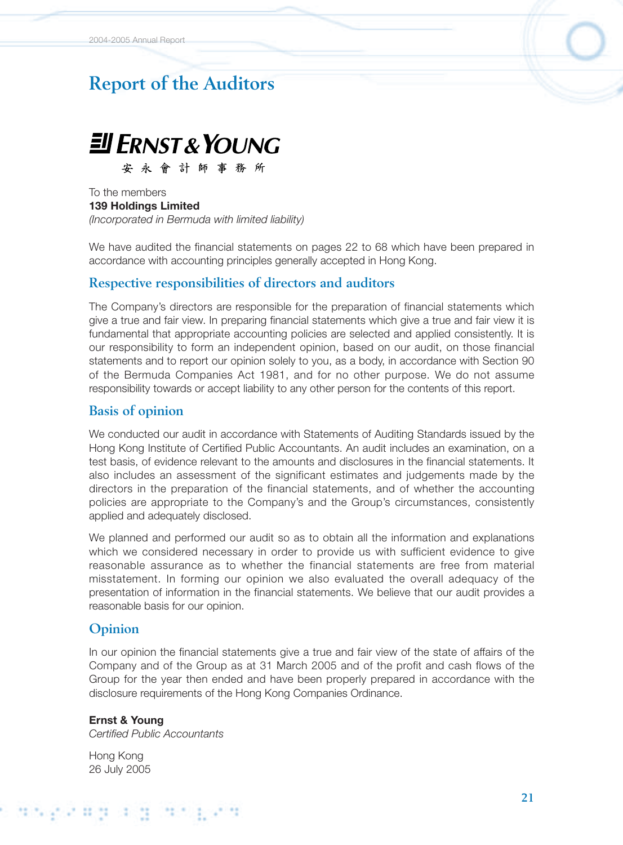# **Report of the Auditors**



安永會計師事務所

To the members **139 Holdings Limited** *(Incorporated in Bermuda with limited liability)*

We have audited the financial statements on pages 22 to 68 which have been prepared in accordance with accounting principles generally accepted in Hong Kong.

#### **Respective responsibilities of directors and auditors**

The Company's directors are responsible for the preparation of financial statements which give a true and fair view. In preparing financial statements which give a true and fair view it is fundamental that appropriate accounting policies are selected and applied consistently. It is our responsibility to form an independent opinion, based on our audit, on those financial statements and to report our opinion solely to you, as a body, in accordance with Section 90 of the Bermuda Companies Act 1981, and for no other purpose. We do not assume responsibility towards or accept liability to any other person for the contents of this report.

#### **Basis of opinion**

We conducted our audit in accordance with Statements of Auditing Standards issued by the Hong Kong Institute of Certified Public Accountants. An audit includes an examination, on a test basis, of evidence relevant to the amounts and disclosures in the financial statements. It also includes an assessment of the significant estimates and judgements made by the directors in the preparation of the financial statements, and of whether the accounting policies are appropriate to the Company's and the Group's circumstances, consistently applied and adequately disclosed.

We planned and performed our audit so as to obtain all the information and explanations which we considered necessary in order to provide us with sufficient evidence to give reasonable assurance as to whether the financial statements are free from material misstatement. In forming our opinion we also evaluated the overall adequacy of the presentation of information in the financial statements. We believe that our audit provides a reasonable basis for our opinion.

#### **Opinion**

In our opinion the financial statements give a true and fair view of the state of affairs of the Company and of the Group as at 31 March 2005 and of the profit and cash flows of the Group for the year then ended and have been properly prepared in accordance with the disclosure requirements of the Hong Kong Companies Ordinance.

#### **Ernst & Young**

*Certified Public Accountants*

Hong Kong 26 July 2005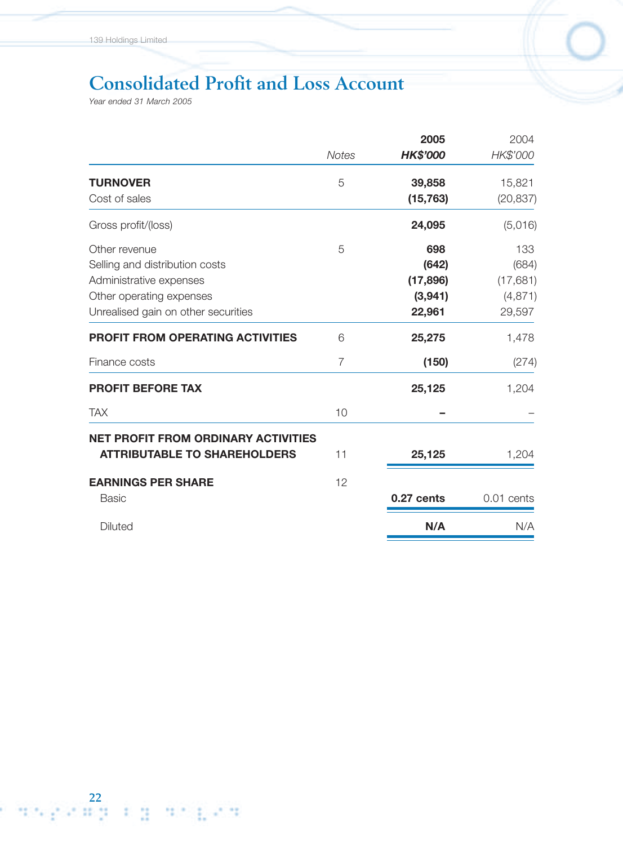# **Consolidated Profit and Loss Account**

*Year ended 31 March 2005*

|                                            |                | 2005            | 2004       |
|--------------------------------------------|----------------|-----------------|------------|
|                                            | <b>Notes</b>   | <b>HK\$'000</b> | HK\$'000   |
| <b>TURNOVER</b>                            | 5              | 39,858          | 15,821     |
| Cost of sales                              |                | (15, 763)       | (20, 837)  |
| Gross profit/(loss)                        |                | 24,095          | (5,016)    |
| Other revenue                              | 5              | 698             | 133        |
| Selling and distribution costs             |                | (642)           | (684)      |
| Administrative expenses                    |                | (17, 896)       | (17,681)   |
| Other operating expenses                   |                | (3,941)         | (4, 871)   |
| Unrealised gain on other securities        |                | 22,961          | 29,597     |
| <b>PROFIT FROM OPERATING ACTIVITIES</b>    | 6              | 25,275          | 1,478      |
| Finance costs                              | $\overline{7}$ | (150)           | (274)      |
| <b>PROFIT BEFORE TAX</b>                   |                | 25,125          | 1,204      |
| <b>TAX</b>                                 | 10             |                 |            |
| <b>NET PROFIT FROM ORDINARY ACTIVITIES</b> |                |                 |            |
| <b>ATTRIBUTABLE TO SHAREHOLDERS</b>        | 11             | 25,125          | 1,204      |
| <b>EARNINGS PER SHARE</b>                  | 12             |                 |            |
| <b>Basic</b>                               |                | 0.27 cents      | 0.01 cents |
| <b>Diluted</b>                             |                | N/A             | N/A        |
|                                            |                |                 |            |

**22**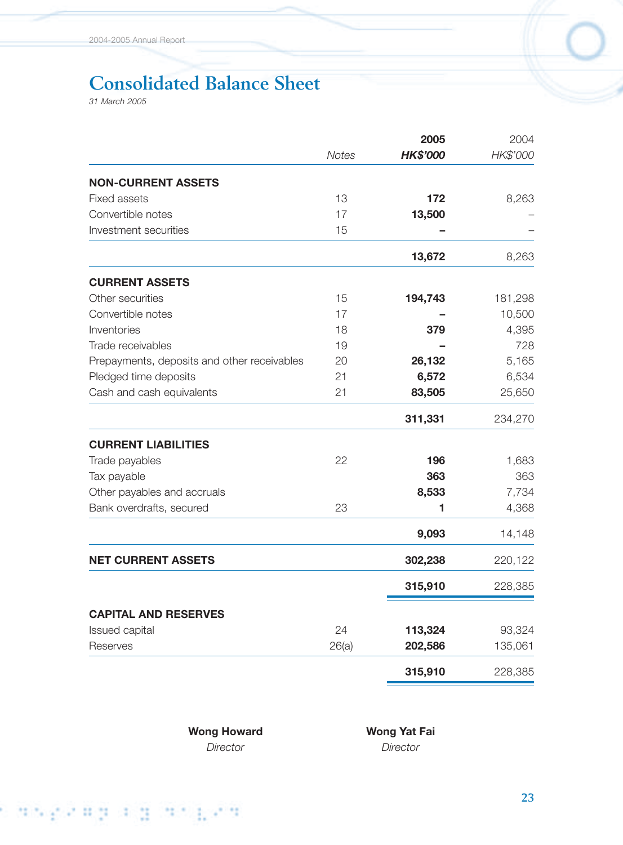# **Consolidated Balance Sheet**

*31 March 2005*

|                                             |              | 2005            | 2004     |
|---------------------------------------------|--------------|-----------------|----------|
|                                             | <b>Notes</b> | <b>HK\$'000</b> | HK\$'000 |
| <b>NON-CURRENT ASSETS</b>                   |              |                 |          |
| <b>Fixed assets</b>                         | 13           | 172             | 8,263    |
| Convertible notes                           | 17           | 13,500          |          |
| Investment securities                       | 15           |                 |          |
|                                             |              | 13,672          | 8,263    |
| <b>CURRENT ASSETS</b>                       |              |                 |          |
| Other securities                            | 15           | 194,743         | 181,298  |
| Convertible notes                           | 17           |                 | 10,500   |
| Inventories                                 | 18           | 379             | 4,395    |
| Trade receivables                           | 19           |                 | 728      |
| Prepayments, deposits and other receivables | 20           | 26,132          | 5,165    |
| Pledged time deposits                       | 21           | 6,572           | 6,534    |
| Cash and cash equivalents                   | 21           | 83,505          | 25,650   |
|                                             |              | 311,331         | 234,270  |
| <b>CURRENT LIABILITIES</b>                  |              |                 |          |
| Trade payables                              | 22           | 196             | 1,683    |
| Tax payable                                 |              | 363             | 363      |
| Other payables and accruals                 |              | 8,533           | 7,734    |
| Bank overdrafts, secured                    | 23           | 1               | 4,368    |
|                                             |              | 9,093           | 14,148   |
| <b>NET CURRENT ASSETS</b>                   |              | 302,238         | 220,122  |
|                                             |              | 315,910         | 228,385  |
| <b>CAPITAL AND RESERVES</b>                 |              |                 |          |
| Issued capital                              | 24           | 113,324         | 93,324   |
| Reserves                                    | 26(a)        | 202,586         | 135,061  |
|                                             |              | 315,910         | 228,385  |

*Director Director*

Wong Howard **Wong Yat Fai**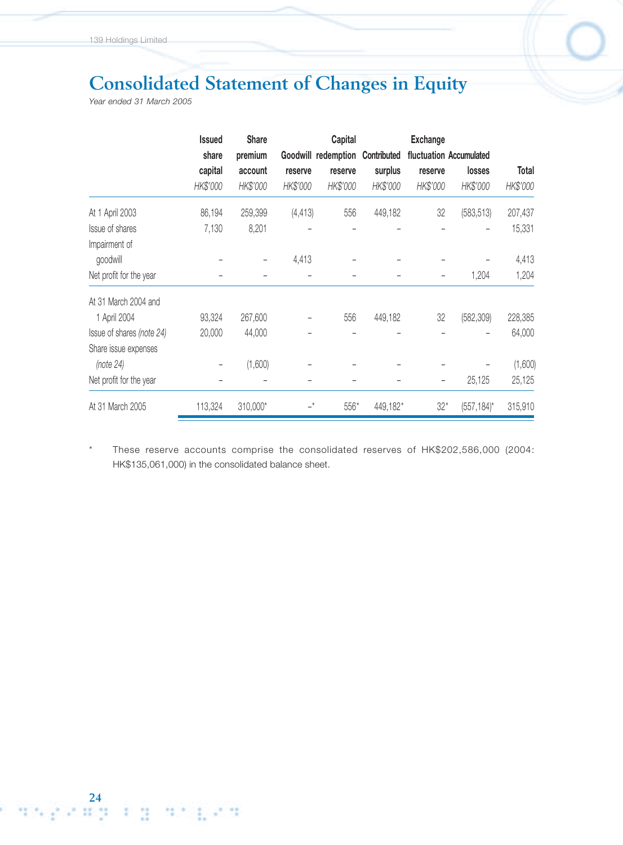# **Consolidated Statement of Changes in Equity**

*Year ended 31 March 2005*

**24**

|                           | <b>Issued</b> | <b>Share</b>             |             | Capital             |             | <b>Exchange</b> |                         |          |
|---------------------------|---------------|--------------------------|-------------|---------------------|-------------|-----------------|-------------------------|----------|
|                           | share         | premium                  |             | Goodwill redemption | Contributed |                 | fluctuation Accumulated |          |
|                           | capital       | account                  | reserve     | reserve             | surplus     | reserve         | losses                  | Total    |
|                           | HK\$'000      | HK\$'000                 | HK\$'000    | HK\$'000            | HK\$'000    | HK\$'000        | HK\$'000                | HK\$'000 |
| At 1 April 2003           | 86,194        | 259,399                  | (4, 413)    | 556                 | 449,182     | 32              | (583, 513)              | 207,437  |
| Issue of shares           | 7,130         | 8,201                    |             |                     |             |                 |                         | 15,331   |
| Impairment of             |               |                          |             |                     |             |                 |                         |          |
| goodwill                  |               | $\overline{\phantom{m}}$ | 4,413       |                     |             |                 |                         | 4,413    |
| Net profit for the year   |               |                          |             |                     |             | -               | 1,204                   | 1,204    |
| At 31 March 2004 and      |               |                          |             |                     |             |                 |                         |          |
| 1 April 2004              | 93,324        | 267,600                  |             | 556                 | 449,182     | 32              | (582, 309)              | 228,385  |
| Issue of shares (note 24) | 20,000        | 44,000                   |             |                     |             |                 |                         | 64,000   |
| Share issue expenses      |               |                          |             |                     |             |                 |                         |          |
| (note 24)                 |               | (1,600)                  |             |                     |             |                 |                         | (1,600)  |
| Net profit for the year   |               |                          |             |                     |             |                 | 25,125                  | 25,125   |
| At 31 March 2005          | 113,324       | 310,000*                 | $-^{\star}$ | 556*                | 449,182*    | $32*$           | $(557, 184)^*$          | 315,910  |

\* These reserve accounts comprise the consolidated reserves of HK\$202,586,000 (2004: HK\$135,061,000) in the consolidated balance sheet.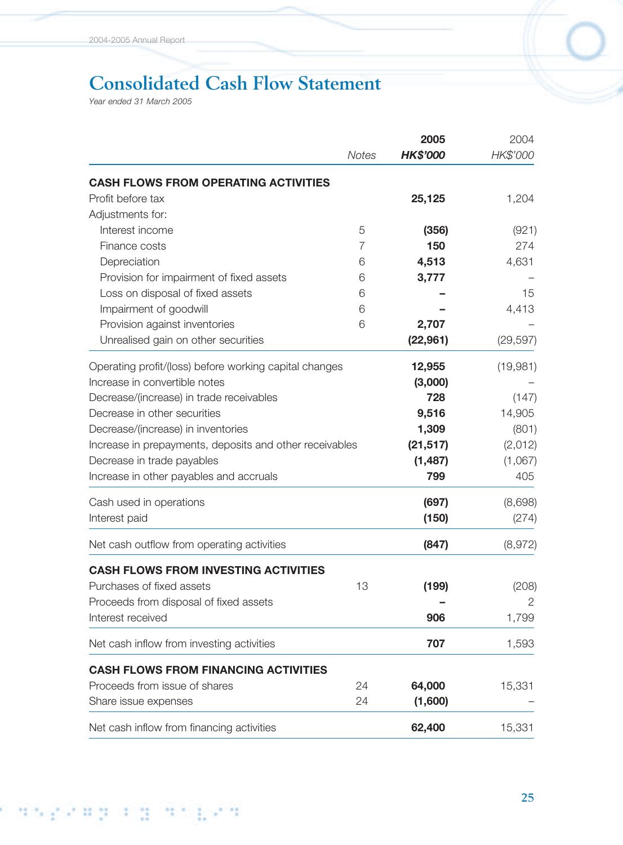# **Consolidated Cash Flow Statement**

*Year ended 31 March 2005*

|                                                         |                | 2005            | 2004      |
|---------------------------------------------------------|----------------|-----------------|-----------|
|                                                         | <b>Notes</b>   | <b>HK\$'000</b> | HK\$'000  |
| <b>CASH FLOWS FROM OPERATING ACTIVITIES</b>             |                |                 |           |
| Profit before tax                                       |                | 25,125          | 1,204     |
| Adjustments for:                                        |                |                 |           |
| Interest income                                         | 5              | (356)           | (921)     |
| Finance costs                                           | $\overline{7}$ | 150             | 274       |
| Depreciation                                            | 6              | 4,513           | 4,631     |
| Provision for impairment of fixed assets                | 6              | 3,777           |           |
| Loss on disposal of fixed assets                        | 6              |                 | 15        |
| Impairment of goodwill                                  | 6              |                 | 4,413     |
| Provision against inventories                           | 6              | 2,707           |           |
| Unrealised gain on other securities                     |                | (22, 961)       | (29, 597) |
| Operating profit/(loss) before working capital changes  |                | 12,955          | (19,981)  |
| Increase in convertible notes                           |                | (3,000)         |           |
| Decrease/(increase) in trade receivables                |                | 728             | (147)     |
| Decrease in other securities                            |                | 9,516           | 14,905    |
| Decrease/(increase) in inventories                      |                | 1,309           | (801)     |
| Increase in prepayments, deposits and other receivables |                | (21, 517)       | (2,012)   |
| Decrease in trade payables                              |                | (1, 487)        | (1,067)   |
| Increase in other payables and accruals                 |                | 799             | 405       |
| Cash used in operations                                 |                | (697)           | (8,698)   |
| Interest paid                                           |                | (150)           | (274)     |
| Net cash outflow from operating activities              |                | (847)           | (8,972)   |
| <b>CASH FLOWS FROM INVESTING ACTIVITIES</b>             |                |                 |           |
| Purchases of fixed assets                               | 13             | (199)           | (208)     |
| Proceeds from disposal of fixed assets                  |                |                 | 2         |
| Interest received                                       |                | 906             | 1,799     |
| Net cash inflow from investing activities               |                | 707             | 1,593     |
| <b>CASH FLOWS FROM FINANCING ACTIVITIES</b>             |                |                 |           |
| Proceeds from issue of shares                           | 24             | 64,000          | 15,331    |
| Share issue expenses                                    | 24             | (1,600)         |           |
| Net cash inflow from financing activities               |                | 62,400          | 15,331    |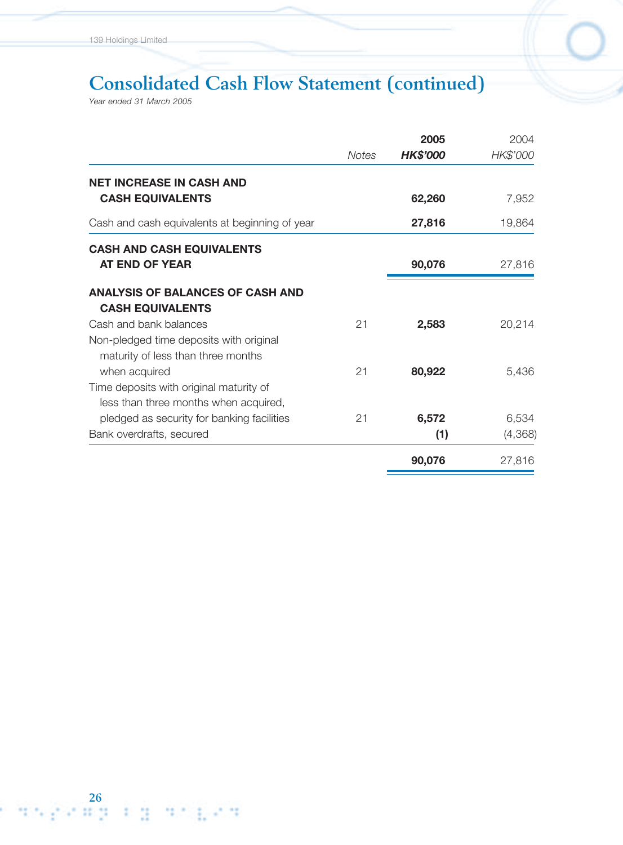# **Consolidated Cash Flow Statement (continued)**

*Year ended 31 March 2005*

|                                                                                  |              | 2005            | 2004     |
|----------------------------------------------------------------------------------|--------------|-----------------|----------|
|                                                                                  | <b>Notes</b> | <b>HK\$'000</b> | HK\$'000 |
| <b>NET INCREASE IN CASH AND</b>                                                  |              |                 |          |
| <b>CASH EQUIVALENTS</b>                                                          |              | 62,260          | 7,952    |
| Cash and cash equivalents at beginning of year                                   |              | 27,816          | 19,864   |
| <b>CASH AND CASH EQUIVALENTS</b>                                                 |              |                 |          |
| AT END OF YEAR                                                                   |              | 90,076          | 27,816   |
| <b>ANALYSIS OF BALANCES OF CASH AND</b><br><b>CASH EQUIVALENTS</b>               |              |                 |          |
| Cash and bank balances                                                           | 21           | 2,583           | 20,214   |
| Non-pledged time deposits with original<br>maturity of less than three months    |              |                 |          |
| when acquired                                                                    | 21           | 80,922          | 5,436    |
| Time deposits with original maturity of<br>less than three months when acquired, |              |                 |          |
| pledged as security for banking facilities                                       | 21           | 6,572           | 6,534    |
| Bank overdrafts, secured                                                         |              | (1)             | (4,368)  |
|                                                                                  |              | 90,076          | 27,816   |

**26**<br>2012 12: 2012 12: 2012 12: 2012 12: 2012 12: 2012 12: 2012 12: 2012 12: 2012 12: 2012 12: 2012 12: 2014 12: 2014 12: 2014 12: 2014 12: 2014 12: 2014 12: 2014 12: 2014 12: 2014 12: 2014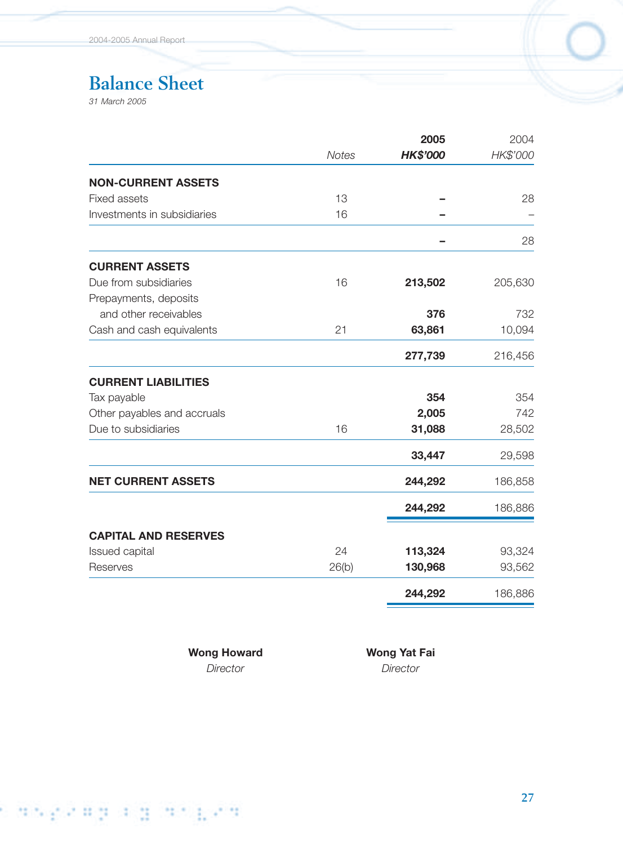# **Balance Sheet**

*31 March 2005*

| <b>HK\$'000</b> | HK\$'000 |
|-----------------|----------|
|                 |          |
|                 |          |
|                 | 28       |
|                 |          |
|                 | 28       |
|                 |          |
| 213,502         | 205,630  |
|                 |          |
| 376             | 732      |
| 63,861          | 10,094   |
| 277,739         | 216,456  |
|                 |          |
| 354             | 354      |
| 2,005           | 742      |
| 31,088          | 28,502   |
| 33,447          | 29,598   |
| 244,292         | 186,858  |
| 244,292         | 186,886  |
|                 |          |
|                 | 93,324   |
| 130,968         | 93,562   |
| 244,292         | 186,886  |
|                 | 113,324  |

Wong Howard **Wong Yat Fai** 

*Director Director*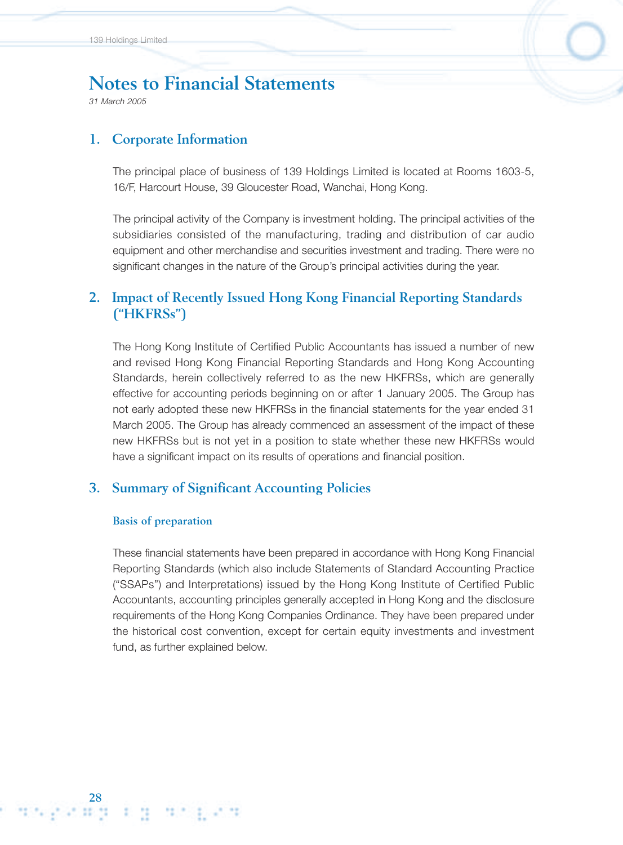*31 March 2005*

### **1. Corporate Information**

The principal place of business of 139 Holdings Limited is located at Rooms 1603-5, 16/F, Harcourt House, 39 Gloucester Road, Wanchai, Hong Kong.

The principal activity of the Company is investment holding. The principal activities of the subsidiaries consisted of the manufacturing, trading and distribution of car audio equipment and other merchandise and securities investment and trading. There were no significant changes in the nature of the Group's principal activities during the year.

## **2. Impact of Recently Issued Hong Kong Financial Reporting Standards ("HKFRSs")**

The Hong Kong Institute of Certified Public Accountants has issued a number of new and revised Hong Kong Financial Reporting Standards and Hong Kong Accounting Standards, herein collectively referred to as the new HKFRSs, which are generally effective for accounting periods beginning on or after 1 January 2005. The Group has not early adopted these new HKFRSs in the financial statements for the year ended 31 March 2005. The Group has already commenced an assessment of the impact of these new HKFRSs but is not yet in a position to state whether these new HKFRSs would have a significant impact on its results of operations and financial position.

### **3. Summary of Significant Accounting Policies**

#### **Basis of preparation**

288 Personal Partia Personal Partial Partial Partial Partial Partial Partial Partial Partial Partial Partial Par

These financial statements have been prepared in accordance with Hong Kong Financial Reporting Standards (which also include Statements of Standard Accounting Practice ("SSAPs") and Interpretations) issued by the Hong Kong Institute of Certified Public Accountants, accounting principles generally accepted in Hong Kong and the disclosure requirements of the Hong Kong Companies Ordinance. They have been prepared under the historical cost convention, except for certain equity investments and investment fund, as further explained below.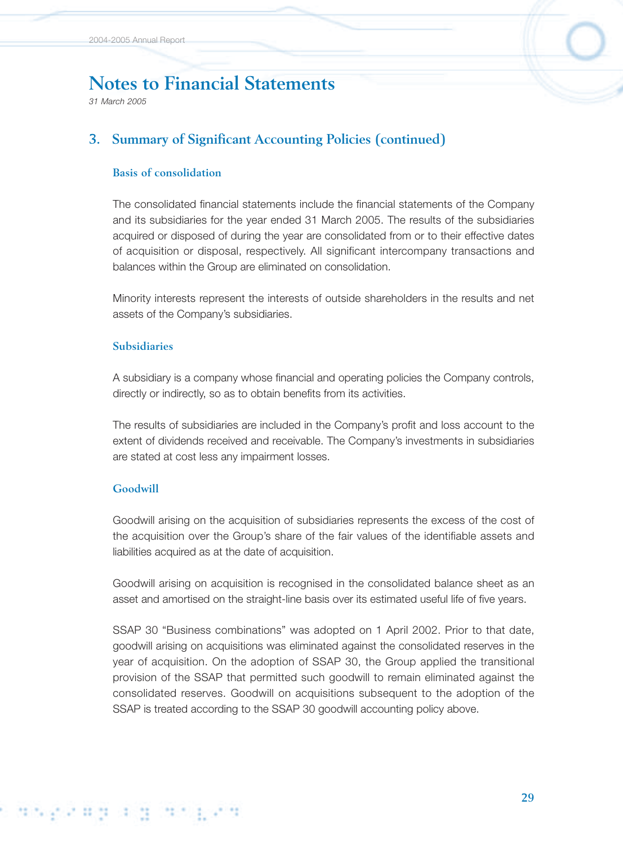*31 March 2005*

## **3. Summary of Significant Accounting Policies (continued)**

#### **Basis of consolidation**

The consolidated financial statements include the financial statements of the Company and its subsidiaries for the year ended 31 March 2005. The results of the subsidiaries acquired or disposed of during the year are consolidated from or to their effective dates of acquisition or disposal, respectively. All significant intercompany transactions and balances within the Group are eliminated on consolidation.

Minority interests represent the interests of outside shareholders in the results and net assets of the Company's subsidiaries.

#### **Subsidiaries**

A subsidiary is a company whose financial and operating policies the Company controls, directly or indirectly, so as to obtain benefits from its activities.

The results of subsidiaries are included in the Company's profit and loss account to the extent of dividends received and receivable. The Company's investments in subsidiaries are stated at cost less any impairment losses.

#### **Goodwill**

Goodwill arising on the acquisition of subsidiaries represents the excess of the cost of the acquisition over the Group's share of the fair values of the identifiable assets and liabilities acquired as at the date of acquisition.

Goodwill arising on acquisition is recognised in the consolidated balance sheet as an asset and amortised on the straight-line basis over its estimated useful life of five years.

SSAP 30 "Business combinations" was adopted on 1 April 2002. Prior to that date, goodwill arising on acquisitions was eliminated against the consolidated reserves in the year of acquisition. On the adoption of SSAP 30, the Group applied the transitional provision of the SSAP that permitted such goodwill to remain eliminated against the consolidated reserves. Goodwill on acquisitions subsequent to the adoption of the SSAP is treated according to the SSAP 30 goodwill accounting policy above.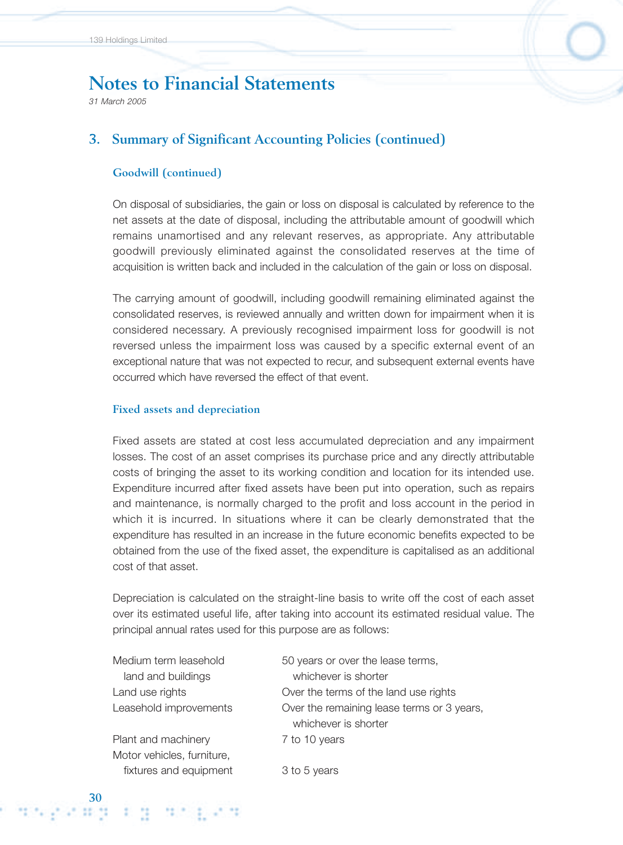*31 March 2005*

## **3. Summary of Significant Accounting Policies (continued)**

#### **Goodwill (continued)**

On disposal of subsidiaries, the gain or loss on disposal is calculated by reference to the net assets at the date of disposal, including the attributable amount of goodwill which remains unamortised and any relevant reserves, as appropriate. Any attributable goodwill previously eliminated against the consolidated reserves at the time of acquisition is written back and included in the calculation of the gain or loss on disposal.

The carrying amount of goodwill, including goodwill remaining eliminated against the consolidated reserves, is reviewed annually and written down for impairment when it is considered necessary. A previously recognised impairment loss for goodwill is not reversed unless the impairment loss was caused by a specific external event of an exceptional nature that was not expected to recur, and subsequent external events have occurred which have reversed the effect of that event.

#### **Fixed assets and depreciation**

Fixed assets are stated at cost less accumulated depreciation and any impairment losses. The cost of an asset comprises its purchase price and any directly attributable costs of bringing the asset to its working condition and location for its intended use. Expenditure incurred after fixed assets have been put into operation, such as repairs and maintenance, is normally charged to the profit and loss account in the period in which it is incurred. In situations where it can be clearly demonstrated that the expenditure has resulted in an increase in the future economic benefits expected to be obtained from the use of the fixed asset, the expenditure is capitalised as an additional cost of that asset.

Depreciation is calculated on the straight-line basis to write off the cost of each asset over its estimated useful life, after taking into account its estimated residual value. The principal annual rates used for this purpose are as follows:

land and buildings whichever is shorter

Plant and machinery 7 to 10 years Motor vehicles, furniture, fixtures and equipment 3 to 5 years

Medium term leasehold 50 years or over the lease terms, Land use rights Over the terms of the land use rights Leasehold improvements Over the remaining lease terms or 3 years, whichever is shorter

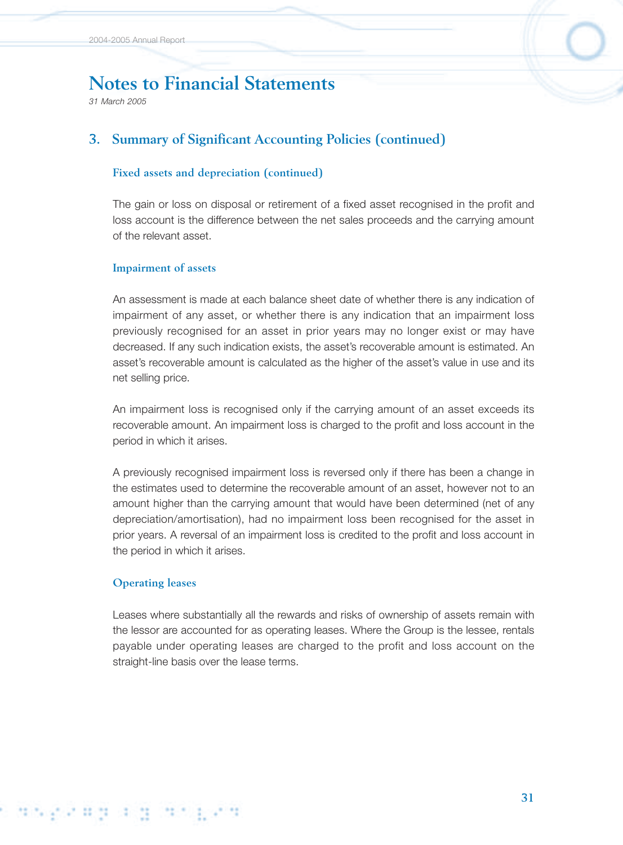*31 March 2005*

# **3. Summary of Significant Accounting Policies (continued)**

#### **Fixed assets and depreciation (continued)**

The gain or loss on disposal or retirement of a fixed asset recognised in the profit and loss account is the difference between the net sales proceeds and the carrying amount of the relevant asset.

#### **Impairment of assets**

An assessment is made at each balance sheet date of whether there is any indication of impairment of any asset, or whether there is any indication that an impairment loss previously recognised for an asset in prior years may no longer exist or may have decreased. If any such indication exists, the asset's recoverable amount is estimated. An asset's recoverable amount is calculated as the higher of the asset's value in use and its net selling price.

An impairment loss is recognised only if the carrying amount of an asset exceeds its recoverable amount. An impairment loss is charged to the profit and loss account in the period in which it arises.

A previously recognised impairment loss is reversed only if there has been a change in the estimates used to determine the recoverable amount of an asset, however not to an amount higher than the carrying amount that would have been determined (net of any depreciation/amortisation), had no impairment loss been recognised for the asset in prior years. A reversal of an impairment loss is credited to the profit and loss account in the period in which it arises.

#### **Operating leases**

Leases where substantially all the rewards and risks of ownership of assets remain with the lessor are accounted for as operating leases. Where the Group is the lessee, rentals payable under operating leases are charged to the profit and loss account on the straight-line basis over the lease terms.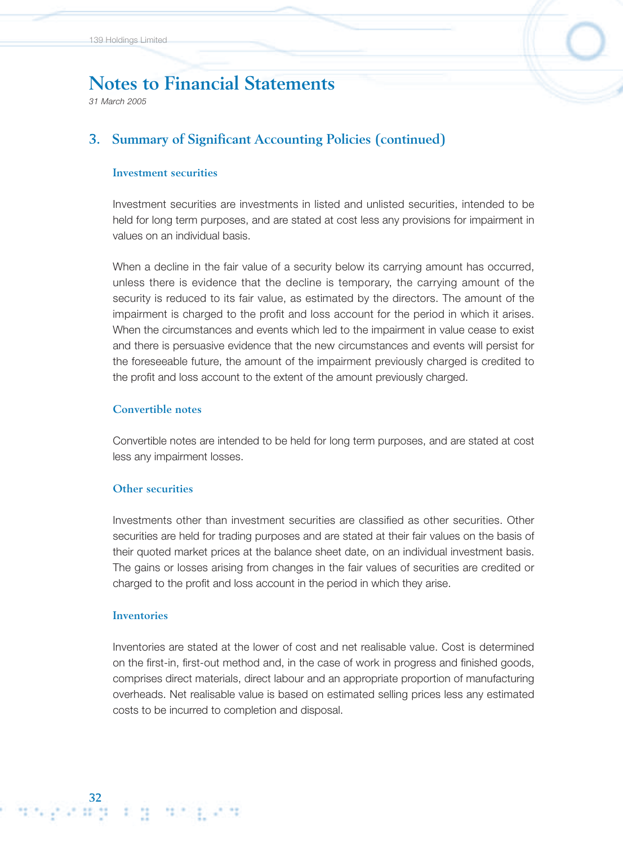*31 March 2005*

### **3. Summary of Significant Accounting Policies (continued)**

#### **Investment securities**

Investment securities are investments in listed and unlisted securities, intended to be held for long term purposes, and are stated at cost less any provisions for impairment in values on an individual basis.

When a decline in the fair value of a security below its carrying amount has occurred, unless there is evidence that the decline is temporary, the carrying amount of the security is reduced to its fair value, as estimated by the directors. The amount of the impairment is charged to the profit and loss account for the period in which it arises. When the circumstances and events which led to the impairment in value cease to exist and there is persuasive evidence that the new circumstances and events will persist for the foreseeable future, the amount of the impairment previously charged is credited to the profit and loss account to the extent of the amount previously charged.

#### **Convertible notes**

Convertible notes are intended to be held for long term purposes, and are stated at cost less any impairment losses.

#### **Other securities**

Investments other than investment securities are classified as other securities. Other securities are held for trading purposes and are stated at their fair values on the basis of their quoted market prices at the balance sheet date, on an individual investment basis. The gains or losses arising from changes in the fair values of securities are credited or charged to the profit and loss account in the period in which they arise.

#### **Inventories**

**32**

Inventories are stated at the lower of cost and net realisable value. Cost is determined on the first-in, first-out method and, in the case of work in progress and finished goods, comprises direct materials, direct labour and an appropriate proportion of manufacturing overheads. Net realisable value is based on estimated selling prices less any estimated costs to be incurred to completion and disposal.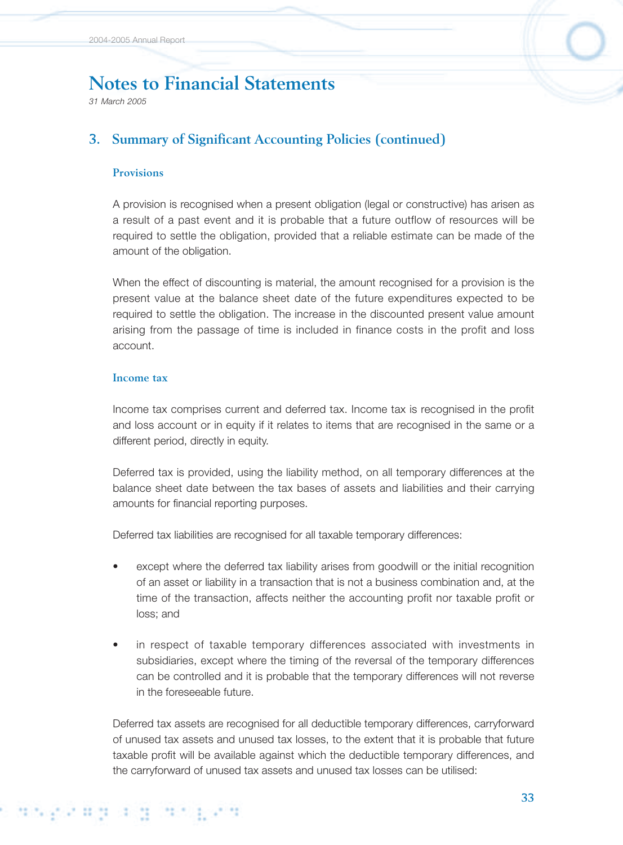*31 March 2005*

# **3. Summary of Significant Accounting Policies (continued)**

#### **Provisions**

A provision is recognised when a present obligation (legal or constructive) has arisen as a result of a past event and it is probable that a future outflow of resources will be required to settle the obligation, provided that a reliable estimate can be made of the amount of the obligation.

When the effect of discounting is material, the amount recognised for a provision is the present value at the balance sheet date of the future expenditures expected to be required to settle the obligation. The increase in the discounted present value amount arising from the passage of time is included in finance costs in the profit and loss account.

#### **Income tax**

Income tax comprises current and deferred tax. Income tax is recognised in the profit and loss account or in equity if it relates to items that are recognised in the same or a different period, directly in equity.

Deferred tax is provided, using the liability method, on all temporary differences at the balance sheet date between the tax bases of assets and liabilities and their carrying amounts for financial reporting purposes.

Deferred tax liabilities are recognised for all taxable temporary differences:

- except where the deferred tax liability arises from goodwill or the initial recognition of an asset or liability in a transaction that is not a business combination and, at the time of the transaction, affects neither the accounting profit nor taxable profit or loss; and
- in respect of taxable temporary differences associated with investments in subsidiaries, except where the timing of the reversal of the temporary differences can be controlled and it is probable that the temporary differences will not reverse in the foreseeable future.

Deferred tax assets are recognised for all deductible temporary differences, carryforward of unused tax assets and unused tax losses, to the extent that it is probable that future taxable profit will be available against which the deductible temporary differences, and the carryforward of unused tax assets and unused tax losses can be utilised: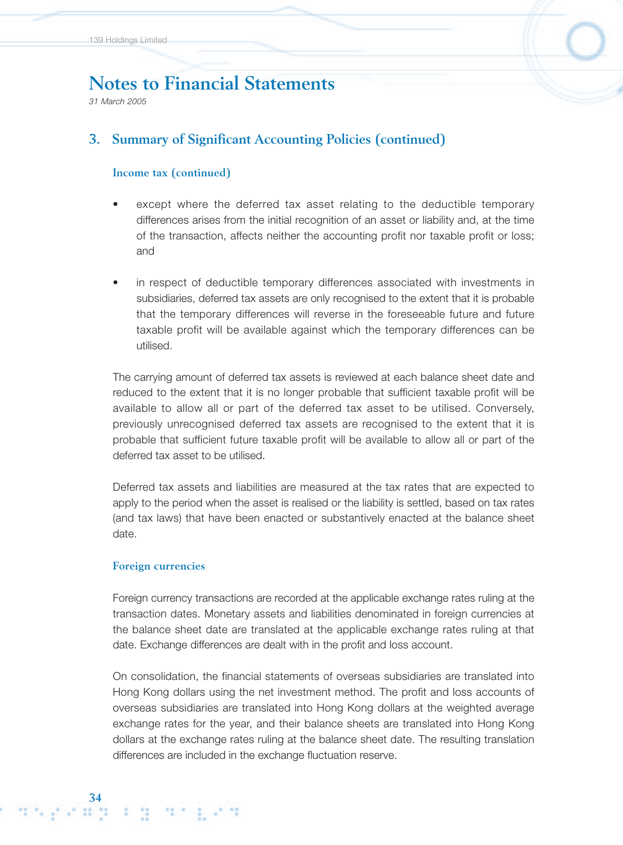*31 March 2005*

## **3. Summary of Significant Accounting Policies (continued)**

#### **Income tax (continued)**

- except where the deferred tax asset relating to the deductible temporary differences arises from the initial recognition of an asset or liability and, at the time of the transaction, affects neither the accounting profit nor taxable profit or loss; and
- in respect of deductible temporary differences associated with investments in subsidiaries, deferred tax assets are only recognised to the extent that it is probable that the temporary differences will reverse in the foreseeable future and future taxable profit will be available against which the temporary differences can be utilised.

The carrying amount of deferred tax assets is reviewed at each balance sheet date and reduced to the extent that it is no longer probable that sufficient taxable profit will be available to allow all or part of the deferred tax asset to be utilised. Conversely, previously unrecognised deferred tax assets are recognised to the extent that it is probable that sufficient future taxable profit will be available to allow all or part of the deferred tax asset to be utilised.

Deferred tax assets and liabilities are measured at the tax rates that are expected to apply to the period when the asset is realised or the liability is settled, based on tax rates (and tax laws) that have been enacted or substantively enacted at the balance sheet date.

#### **Foreign currencies**

Foreign currency transactions are recorded at the applicable exchange rates ruling at the transaction dates. Monetary assets and liabilities denominated in foreign currencies at the balance sheet date are translated at the applicable exchange rates ruling at that date. Exchange differences are dealt with in the profit and loss account.

On consolidation, the financial statements of overseas subsidiaries are translated into Hong Kong dollars using the net investment method. The profit and loss accounts of overseas subsidiaries are translated into Hong Kong dollars at the weighted average exchange rates for the year, and their balance sheets are translated into Hong Kong dollars at the exchange rates ruling at the balance sheet date. The resulting translation differences are included in the exchange fluctuation reserve.

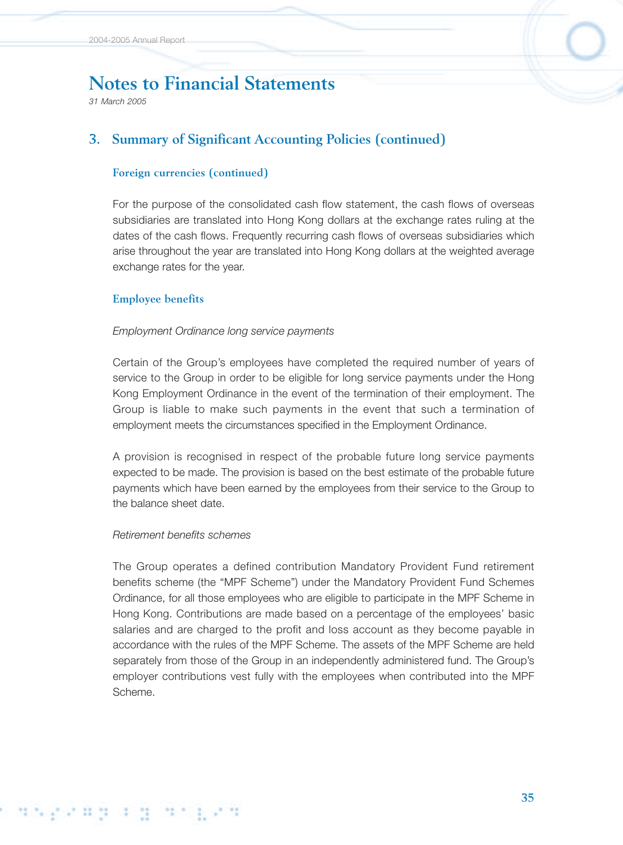*31 March 2005*

## **3. Summary of Significant Accounting Policies (continued)**

#### **Foreign currencies (continued)**

For the purpose of the consolidated cash flow statement, the cash flows of overseas subsidiaries are translated into Hong Kong dollars at the exchange rates ruling at the dates of the cash flows. Frequently recurring cash flows of overseas subsidiaries which arise throughout the year are translated into Hong Kong dollars at the weighted average exchange rates for the year.

#### **Employee benefits**

#### *Employment Ordinance long service payments*

Certain of the Group's employees have completed the required number of years of service to the Group in order to be eligible for long service payments under the Hong Kong Employment Ordinance in the event of the termination of their employment. The Group is liable to make such payments in the event that such a termination of employment meets the circumstances specified in the Employment Ordinance.

A provision is recognised in respect of the probable future long service payments expected to be made. The provision is based on the best estimate of the probable future payments which have been earned by the employees from their service to the Group to the balance sheet date.

#### *Retirement benefits schemes*

적 이번 공격적

s die produkte

The Group operates a defined contribution Mandatory Provident Fund retirement benefits scheme (the "MPF Scheme") under the Mandatory Provident Fund Schemes Ordinance, for all those employees who are eligible to participate in the MPF Scheme in Hong Kong. Contributions are made based on a percentage of the employees' basic salaries and are charged to the profit and loss account as they become payable in accordance with the rules of the MPF Scheme. The assets of the MPF Scheme are held separately from those of the Group in an independently administered fund. The Group's employer contributions vest fully with the employees when contributed into the MPF Scheme.

**35**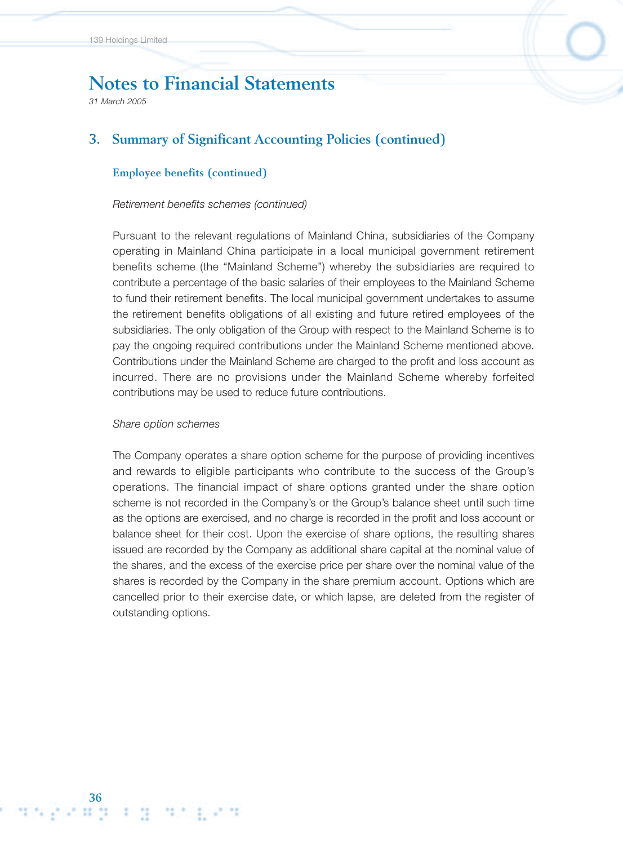*31 March 2005*

## **3. Summary of Significant Accounting Policies (continued)**

#### **Employee benefits (continued)**

#### *Retirement benefits schemes (continued)*

Pursuant to the relevant regulations of Mainland China, subsidiaries of the Company operating in Mainland China participate in a local municipal government retirement benefits scheme (the "Mainland Scheme") whereby the subsidiaries are required to contribute a percentage of the basic salaries of their employees to the Mainland Scheme to fund their retirement benefits. The local municipal government undertakes to assume the retirement benefits obligations of all existing and future retired employees of the subsidiaries. The only obligation of the Group with respect to the Mainland Scheme is to pay the ongoing required contributions under the Mainland Scheme mentioned above. Contributions under the Mainland Scheme are charged to the profit and loss account as incurred. There are no provisions under the Mainland Scheme whereby forfeited contributions may be used to reduce future contributions.

#### *Share option schemes*

The Company operates a share option scheme for the purpose of providing incentives and rewards to eligible participants who contribute to the success of the Group's operations. The financial impact of share options granted under the share option scheme is not recorded in the Company's or the Group's balance sheet until such time as the options are exercised, and no charge is recorded in the profit and loss account or balance sheet for their cost. Upon the exercise of share options, the resulting shares issued are recorded by the Company as additional share capital at the nominal value of the shares, and the excess of the exercise price per share over the nominal value of the shares is recorded by the Company in the share premium account. Options which are cancelled prior to their exercise date, or which lapse, are deleted from the register of outstanding options.

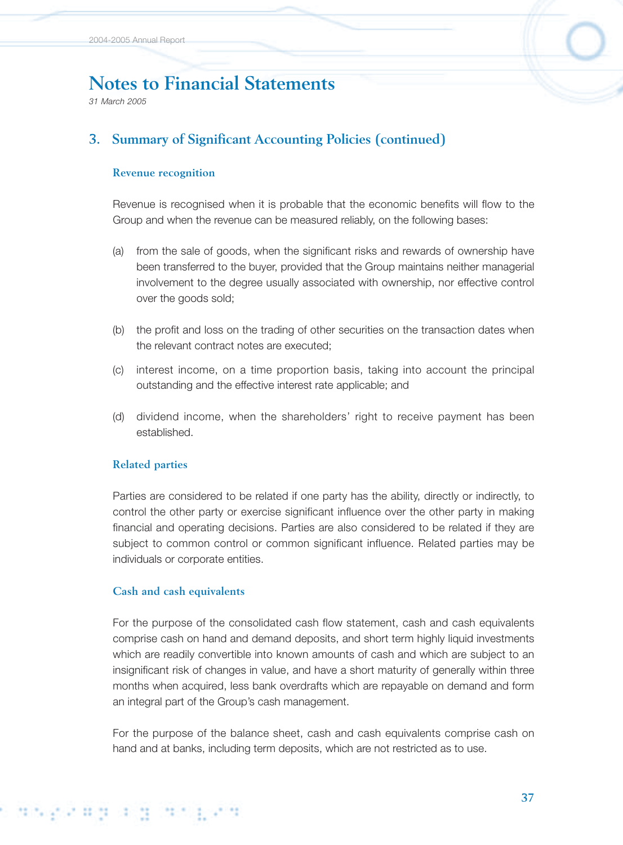*31 March 2005*

# **3. Summary of Significant Accounting Policies (continued)**

#### **Revenue recognition**

Revenue is recognised when it is probable that the economic benefits will flow to the Group and when the revenue can be measured reliably, on the following bases:

- (a) from the sale of goods, when the significant risks and rewards of ownership have been transferred to the buyer, provided that the Group maintains neither managerial involvement to the degree usually associated with ownership, nor effective control over the goods sold;
- (b) the profit and loss on the trading of other securities on the transaction dates when the relevant contract notes are executed;
- (c) interest income, on a time proportion basis, taking into account the principal outstanding and the effective interest rate applicable; and
- (d) dividend income, when the shareholders' right to receive payment has been established.

#### **Related parties**

Parties are considered to be related if one party has the ability, directly or indirectly, to control the other party or exercise significant influence over the other party in making financial and operating decisions. Parties are also considered to be related if they are subject to common control or common significant influence. Related parties may be individuals or corporate entities.

#### **Cash and cash equivalents**

For the purpose of the consolidated cash flow statement, cash and cash equivalents comprise cash on hand and demand deposits, and short term highly liquid investments which are readily convertible into known amounts of cash and which are subject to an insignificant risk of changes in value, and have a short maturity of generally within three months when acquired, less bank overdrafts which are repayable on demand and form an integral part of the Group's cash management.

For the purpose of the balance sheet, cash and cash equivalents comprise cash on hand and at banks, including term deposits, which are not restricted as to use.

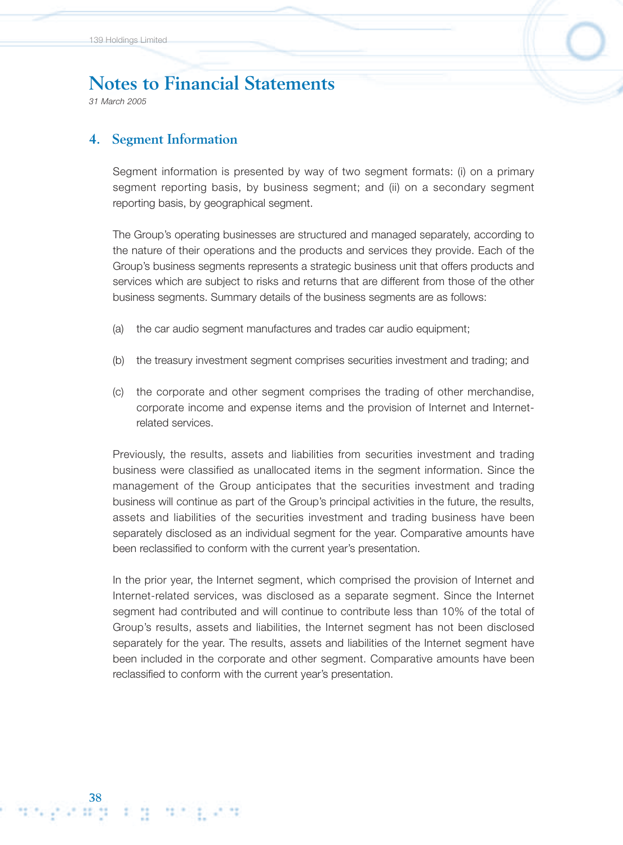*31 March 2005*

**38**

### **4. Segment Information**

Segment information is presented by way of two segment formats: (i) on a primary segment reporting basis, by business segment; and (ii) on a secondary segment reporting basis, by geographical segment.

The Group's operating businesses are structured and managed separately, according to the nature of their operations and the products and services they provide. Each of the Group's business segments represents a strategic business unit that offers products and services which are subject to risks and returns that are different from those of the other business segments. Summary details of the business segments are as follows:

- (a) the car audio segment manufactures and trades car audio equipment;
- (b) the treasury investment segment comprises securities investment and trading; and
- (c) the corporate and other segment comprises the trading of other merchandise, corporate income and expense items and the provision of Internet and Internetrelated services.

Previously, the results, assets and liabilities from securities investment and trading business were classified as unallocated items in the segment information. Since the management of the Group anticipates that the securities investment and trading business will continue as part of the Group's principal activities in the future, the results, assets and liabilities of the securities investment and trading business have been separately disclosed as an individual segment for the year. Comparative amounts have been reclassified to conform with the current year's presentation.

In the prior year, the Internet segment, which comprised the provision of Internet and Internet-related services, was disclosed as a separate segment. Since the Internet segment had contributed and will continue to contribute less than 10% of the total of Group's results, assets and liabilities, the Internet segment has not been disclosed separately for the year. The results, assets and liabilities of the Internet segment have been included in the corporate and other segment. Comparative amounts have been reclassified to conform with the current year's presentation.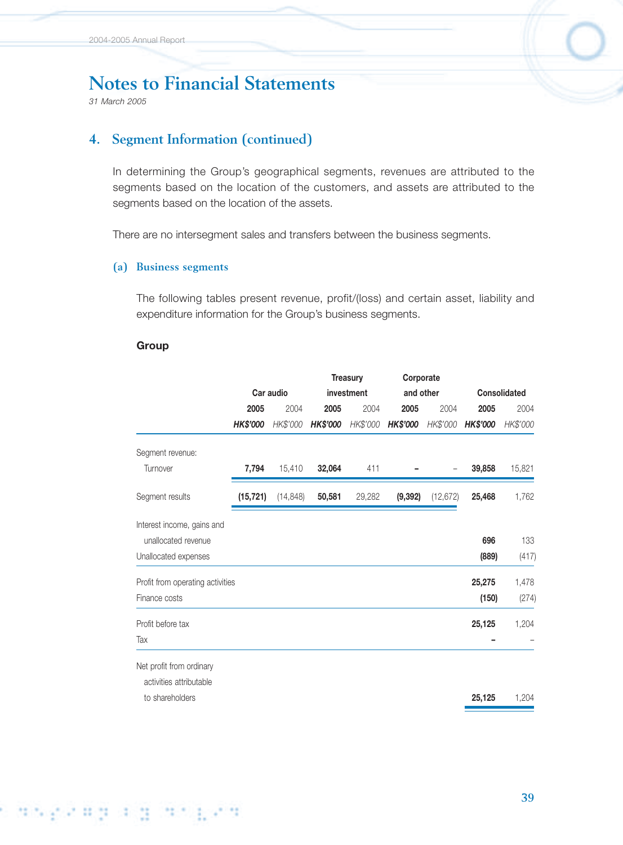*31 March 2005*

## **4. Segment Information (continued)**

In determining the Group's geographical segments, revenues are attributed to the segments based on the location of the customers, and assets are attributed to the segments based on the location of the assets.

There are no intersegment sales and transfers between the business segments.

#### **(a) Business segments**

The following tables present revenue, profit/(loss) and certain asset, liability and expenditure information for the Group's business segments.

#### **Group**

i dingizing algjori gizo

|                                  |           |                 |          |                               |           |                        | <b>Consolidated</b> |
|----------------------------------|-----------|-----------------|----------|-------------------------------|-----------|------------------------|---------------------|
| 2005                             | 2004      | 2005            | 2004     | 2005                          | 2004      | 2005                   | 2004                |
| <b>HK\$'000</b>                  | HK\$'000  | <b>HK\$'000</b> | HK\$'000 | <b>HK\$'000</b>               | HK\$'000  | HK\$'000               | HK\$'000            |
|                                  |           |                 |          |                               |           |                        |                     |
| 7,794                            | 15,410    | 32,064          | 411      |                               |           | 39,858                 | 15,821              |
| (15, 721)                        | (14, 848) | 50,581          | 29,282   | (9, 392)                      | (12, 672) | 25,468                 | 1,762               |
|                                  |           |                 |          |                               |           |                        |                     |
|                                  |           |                 |          |                               |           | 696                    | 133                 |
|                                  |           |                 |          |                               |           | (889)                  | (417)               |
| Profit from operating activities |           |                 |          |                               |           | 25,275                 | 1,478               |
|                                  |           |                 |          |                               |           | (150)                  | (274)               |
|                                  |           |                 |          |                               |           | 25,125                 | 1,204               |
|                                  |           |                 |          |                               |           |                        |                     |
|                                  |           |                 |          |                               |           |                        |                     |
|                                  |           |                 |          |                               |           |                        |                     |
|                                  |           |                 |          |                               |           | 25,125                 | 1,204               |
|                                  |           | Car audio       |          | <b>Treasury</b><br>investment |           | Corporate<br>and other |                     |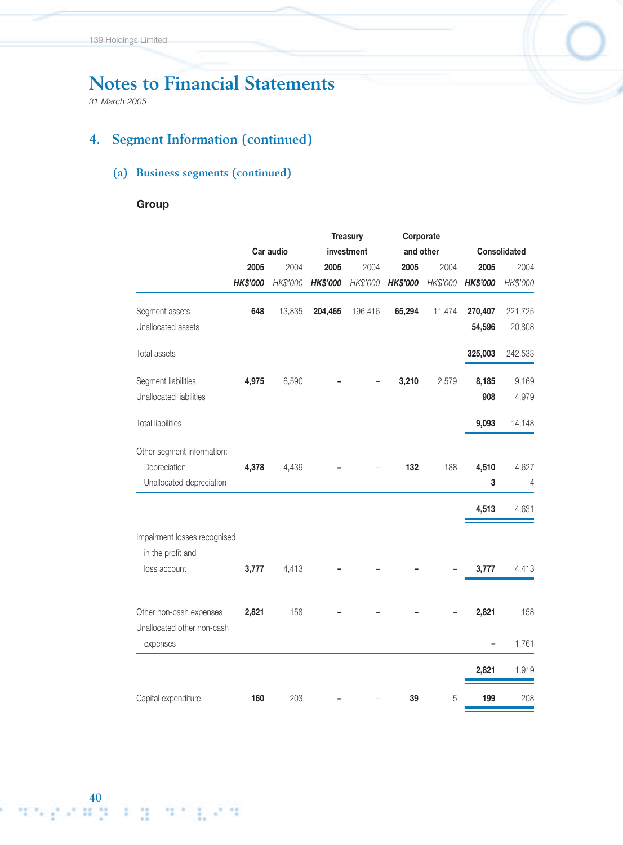*31 March 2005*

# **4. Segment Information (continued)**

## **(a) Business segments (continued)**

#### **Group**

|                                                   |          |           |                 | <b>Treasury</b> | Corporate |           |          |                     |
|---------------------------------------------------|----------|-----------|-----------------|-----------------|-----------|-----------|----------|---------------------|
|                                                   |          | Car audio |                 | investment      |           | and other |          | <b>Consolidated</b> |
|                                                   | 2005     | 2004      | 2005            | 2004            | 2005      | 2004      | 2005     | 2004                |
|                                                   | HK\$'000 | HK\$'000  | <b>HK\$'000</b> | HK\$'000        | HK\$'000  | HK\$'000  | HK\$'000 | HK\$'000            |
| Segment assets                                    | 648      | 13,835    | 204,465         | 196,416         | 65,294    | 11,474    | 270,407  | 221,725             |
| Unallocated assets                                |          |           |                 |                 |           |           | 54,596   | 20,808              |
| Total assets                                      |          |           |                 |                 |           |           | 325,003  | 242,533             |
| Segment liabilities                               | 4,975    | 6,590     |                 |                 | 3,210     | 2,579     | 8,185    | 9,169               |
| Unallocated liabilities                           |          |           |                 |                 |           |           | 908      | 4,979               |
| <b>Total liabilities</b>                          |          |           |                 |                 |           |           | 9,093    | 14,148              |
| Other segment information:                        |          |           |                 |                 |           |           |          |                     |
| Depreciation                                      | 4,378    | 4,439     |                 |                 | 132       | 188       | 4,510    | 4,627               |
| Unallocated depreciation                          |          |           |                 |                 |           |           | 3        | 4                   |
|                                                   |          |           |                 |                 |           |           | 4,513    | 4,631               |
| Impairment losses recognised<br>in the profit and |          |           |                 |                 |           |           |          |                     |
| loss account                                      | 3,777    | 4,413     |                 |                 |           |           | 3,777    | 4,413               |
| Other non-cash expenses                           | 2,821    | 158       |                 |                 |           |           | 2,821    | 158                 |
| Unallocated other non-cash<br>expenses            |          |           |                 |                 |           |           |          | 1,761               |
|                                                   |          |           |                 |                 |           |           |          |                     |
|                                                   |          |           |                 |                 |           |           | 2,821    | 1,919               |
| Capital expenditure                               | 160      | 203       |                 |                 | 39        | 5         | 199      | 208                 |

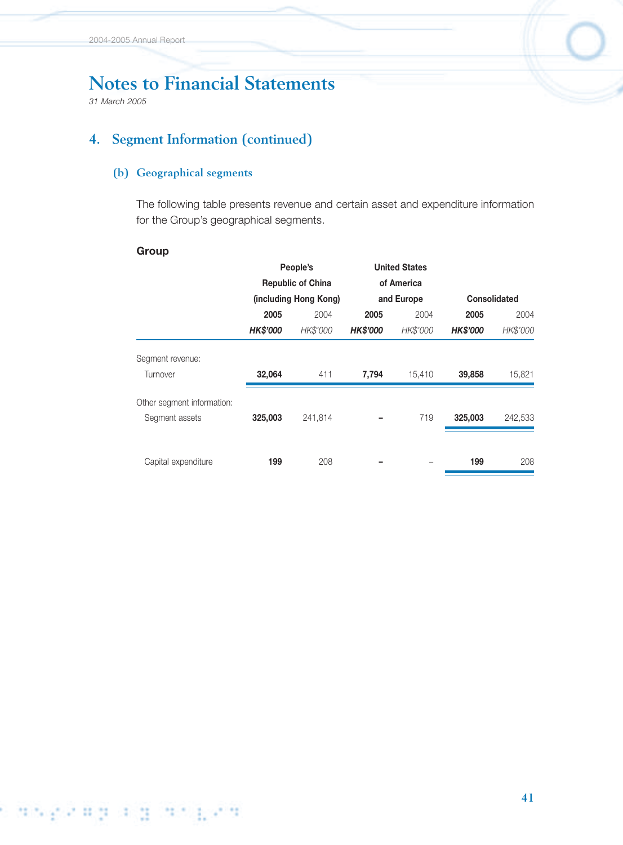*31 March 2005*

# **4. Segment Information (continued)**

#### **(b) Geographical segments**

The following table presents revenue and certain asset and expenditure information for the Group's geographical segments.

#### **Group**

|                            |                 | People's                 |                 | <b>United States</b> |                     |          |
|----------------------------|-----------------|--------------------------|-----------------|----------------------|---------------------|----------|
|                            |                 | <b>Republic of China</b> |                 | of America           |                     |          |
|                            |                 | (including Hong Kong)    |                 | and Europe           | <b>Consolidated</b> |          |
|                            | 2005            | 2004                     | 2005            | 2004                 | 2005                | 2004     |
|                            | <b>HK\$'000</b> | HK\$'000                 | <b>HK\$'000</b> | HK\$'000             | <b>HK\$'000</b>     | HK\$'000 |
| Segment revenue:           |                 |                          |                 |                      |                     |          |
| Turnover                   | 32,064          | 411                      | 7,794           | 15,410               | 39,858              | 15,821   |
| Other segment information: |                 |                          |                 |                      |                     |          |
| Segment assets             | 325,003         | 241,814                  |                 | 719                  | 325,003             | 242,533  |
|                            |                 |                          |                 |                      |                     |          |
| Capital expenditure        | 199             | 208                      |                 |                      | 199                 | 208      |

# s angeropologian pen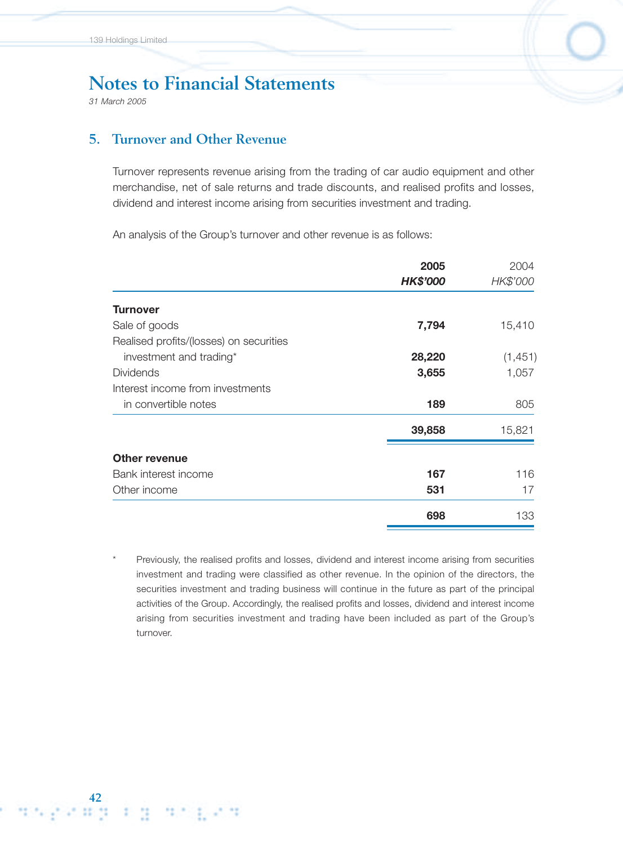*31 March 2005*

### **5. Turnover and Other Revenue**

Turnover represents revenue arising from the trading of car audio equipment and other merchandise, net of sale returns and trade discounts, and realised profits and losses, dividend and interest income arising from securities investment and trading.

An analysis of the Group's turnover and other revenue is as follows:

|                                         | 2005            | 2004     |
|-----------------------------------------|-----------------|----------|
|                                         | <b>HK\$'000</b> | HK\$'000 |
| <b>Turnover</b>                         |                 |          |
| Sale of goods                           | 7,794           | 15,410   |
| Realised profits/(losses) on securities |                 |          |
| investment and trading*                 | 28,220          | (1, 451) |
| <b>Dividends</b>                        | 3,655           | 1,057    |
| Interest income from investments        |                 |          |
| in convertible notes                    | 189             | 805      |
|                                         | 39,858          | 15,821   |
| <b>Other revenue</b>                    |                 |          |
| Bank interest income                    | 167             | 116      |
| Other income                            | 531             | 17       |
|                                         | 698             | 133      |

Previously, the realised profits and losses, dividend and interest income arising from securities investment and trading were classified as other revenue. In the opinion of the directors, the securities investment and trading business will continue in the future as part of the principal activities of the Group. Accordingly, the realised profits and losses, dividend and interest income arising from securities investment and trading have been included as part of the Group's turnover.

्य प<sub>र्व</sub>ा समिति <u>समिति ।</u> समिति प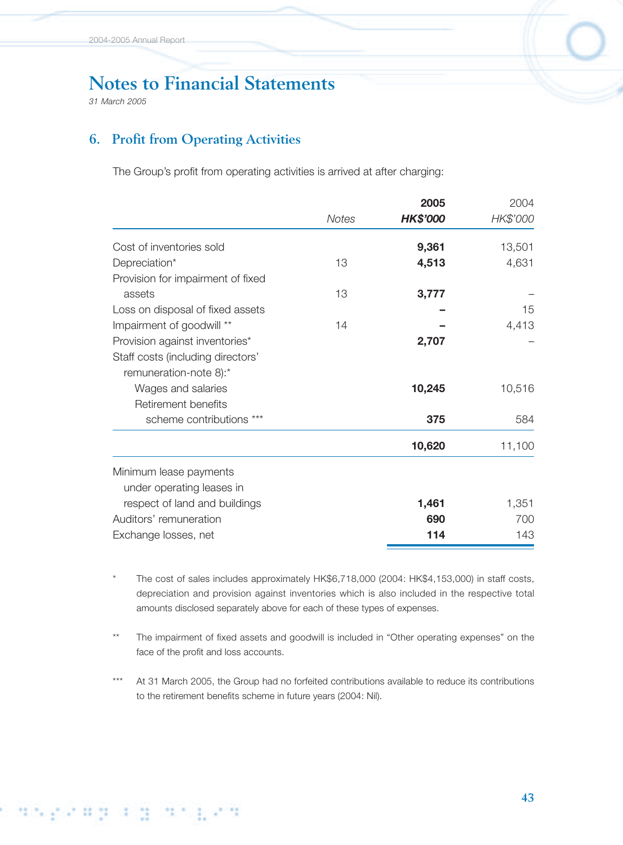*31 March 2005*

s die Stead and die Pea

## **6. Profit from Operating Activities**

The Group's profit from operating activities is arrived at after charging:

|                                   | 2005         |                 | 2004     |
|-----------------------------------|--------------|-----------------|----------|
|                                   | <b>Notes</b> | <b>HK\$'000</b> | HK\$'000 |
| Cost of inventories sold          |              | 9,361           | 13,501   |
| Depreciation*                     | 13           | 4,513           | 4,631    |
| Provision for impairment of fixed |              |                 |          |
| assets                            | 13           | 3,777           |          |
| Loss on disposal of fixed assets  |              |                 | 15       |
| Impairment of goodwill **         | 14           |                 | 4,413    |
| Provision against inventories*    |              | 2,707           |          |
| Staff costs (including directors' |              |                 |          |
| remuneration-note 8):*            |              |                 |          |
| Wages and salaries                |              | 10,245          | 10,516   |
| Retirement benefits               |              |                 |          |
| scheme contributions ***          |              | 375             | 584      |
|                                   |              | 10,620          | 11,100   |
| Minimum lease payments            |              |                 |          |
| under operating leases in         |              |                 |          |
| respect of land and buildings     |              | 1,461           | 1,351    |
| Auditors' remuneration            |              | 690             | 700      |
| Exchange losses, net              |              | 114             | 143      |

The cost of sales includes approximately HK\$6,718,000 (2004: HK\$4,153,000) in staff costs, depreciation and provision against inventories which is also included in the respective total amounts disclosed separately above for each of these types of expenses.

The impairment of fixed assets and goodwill is included in "Other operating expenses" on the face of the profit and loss accounts.

\*\*\* At 31 March 2005, the Group had no forfeited contributions available to reduce its contributions to the retirement benefits scheme in future years (2004: Nil).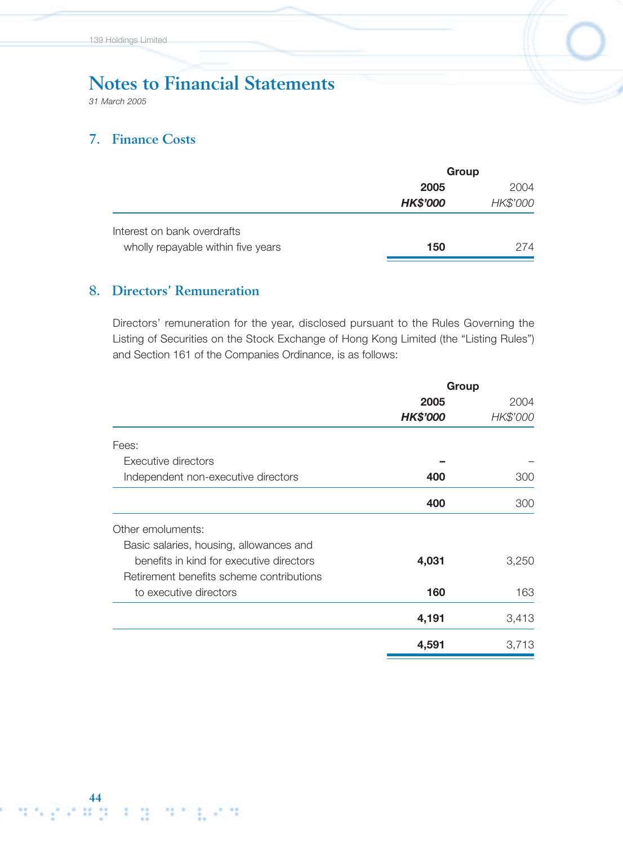*31 March 2005*

44<br>البر الفاتحية المحيطات

## **7. Finance Costs**

|                                    | Group           |          |  |
|------------------------------------|-----------------|----------|--|
|                                    | 2005            | 2004     |  |
|                                    | <b>HK\$'000</b> | HK\$'000 |  |
| Interest on bank overdrafts        |                 |          |  |
| wholly repayable within five years | 150             | 274      |  |

# **8. Directors' Remuneration**

(中国) 共生 長め井

Directors' remuneration for the year, disclosed pursuant to the Rules Governing the Listing of Securities on the Stock Exchange of Hong Kong Limited (the "Listing Rules") and Section 161 of the Companies Ordinance, is as follows:

|                                          | Group           |          |
|------------------------------------------|-----------------|----------|
|                                          | 2005            | 2004     |
|                                          | <b>HK\$'000</b> | HK\$'000 |
| Fees:                                    |                 |          |
| Executive directors                      |                 |          |
| Independent non-executive directors      | 400             | 300      |
|                                          | 400             | 300      |
| Other emoluments:                        |                 |          |
| Basic salaries, housing, allowances and  |                 |          |
| benefits in kind for executive directors | 4,031           | 3,250    |
| Retirement benefits scheme contributions |                 |          |
| to executive directors                   | 160             | 163      |
|                                          | 4,191           | 3,413    |
|                                          | 4,591           | 3,713    |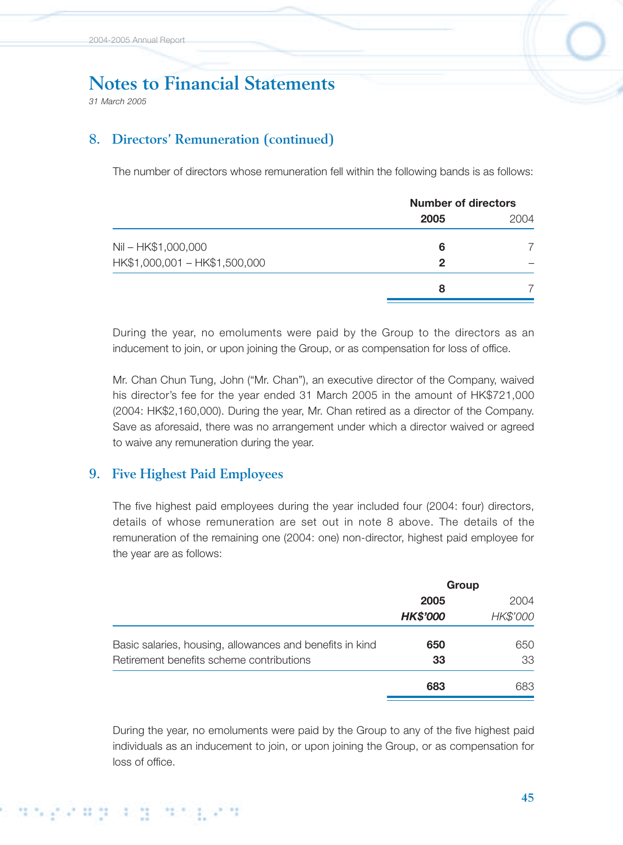*31 March 2005*

# **8. Directors' Remuneration (continued)**

The number of directors whose remuneration fell within the following bands is as follows:

| <b>Number of directors</b> |      |  |
|----------------------------|------|--|
| 2005                       | 2004 |  |
| 6                          |      |  |
| 2                          |      |  |
| 8                          |      |  |
|                            |      |  |

During the year, no emoluments were paid by the Group to the directors as an inducement to join, or upon joining the Group, or as compensation for loss of office.

Mr. Chan Chun Tung, John ("Mr. Chan"), an executive director of the Company, waived his director's fee for the year ended 31 March 2005 in the amount of HK\$721,000 (2004: HK\$2,160,000). During the year, Mr. Chan retired as a director of the Company. Save as aforesaid, there was no arrangement under which a director waived or agreed to waive any remuneration during the year.

### **9. Five Highest Paid Employees**

The five highest paid employees during the year included four (2004: four) directors, details of whose remuneration are set out in note 8 above. The details of the remuneration of the remaining one (2004: one) non-director, highest paid employee for the year are as follows:

| Group           |          |  |
|-----------------|----------|--|
| 2005            | 2004     |  |
| <b>HK\$'000</b> | HK\$'000 |  |
| 650             | 650      |  |
| 33              | 33       |  |
| 683             | 683.     |  |
|                 |          |  |

During the year, no emoluments were paid by the Group to any of the five highest paid individuals as an inducement to join, or upon joining the Group, or as compensation for loss of office.

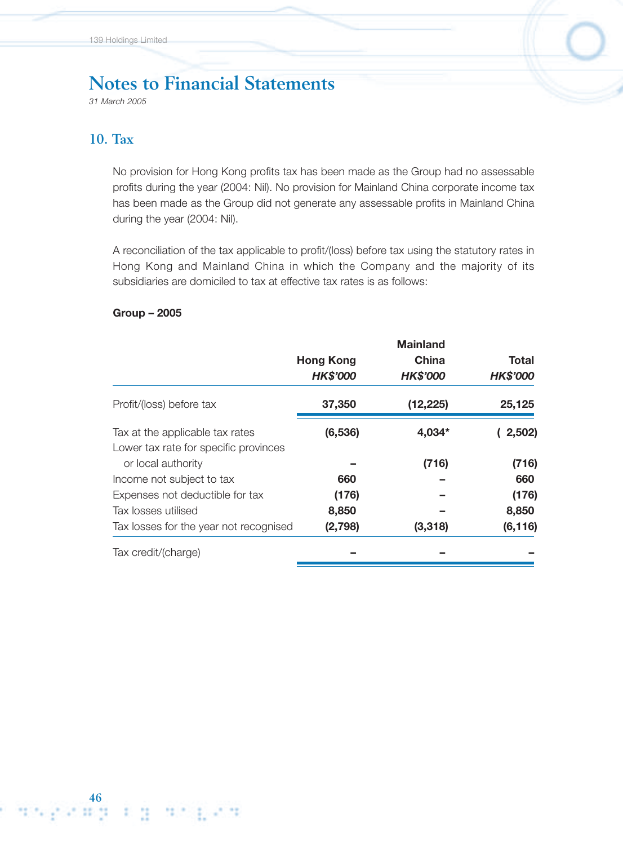*31 March 2005*

### **10. Tax**

No provision for Hong Kong profits tax has been made as the Group had no assessable profits during the year (2004: Nil). No provision for Mainland China corporate income tax has been made as the Group did not generate any assessable profits in Mainland China during the year (2004: Nil).

A reconciliation of the tax applicable to profit/(loss) before tax using the statutory rates in Hong Kong and Mainland China in which the Company and the majority of its subsidiaries are domiciled to tax at effective tax rates is as follows:

#### **Group – 2005**

|                                        |                  | <b>Mainland</b> |                 |
|----------------------------------------|------------------|-----------------|-----------------|
|                                        | <b>Hong Kong</b> | China           | Total           |
|                                        | <b>HK\$'000</b>  | <b>HK\$'000</b> | <b>HK\$'000</b> |
| Profit/(loss) before tax               | 37,350           | (12, 225)       | 25,125          |
| Tax at the applicable tax rates        | (6, 536)         | 4,034*          | (2,502)         |
| Lower tax rate for specific provinces  |                  |                 |                 |
| or local authority                     |                  | (716)           | (716)           |
| Income not subject to tax              | 660              |                 | 660             |
| Expenses not deductible for tax        | (176)            |                 | (176)           |
| Tax losses utilised                    | 8,850            |                 | 8,850           |
| Tax losses for the year not recognised | (2,798)          | (3, 318)        | (6, 116)        |
| Tax credit/(charge)                    |                  |                 |                 |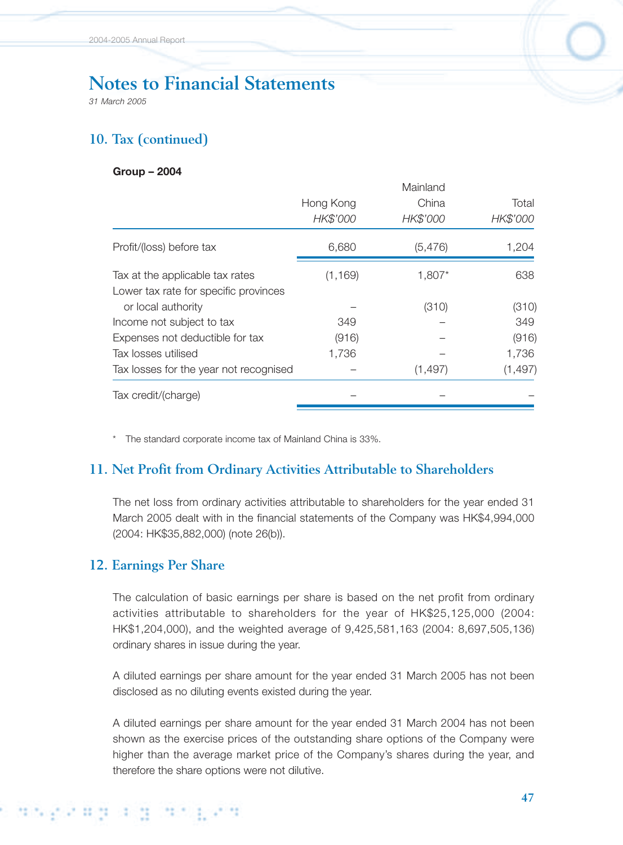*31 March 2005*

# **10. Tax (continued)**

#### **Group – 2004**

|                                        |           | Mainland |          |
|----------------------------------------|-----------|----------|----------|
|                                        | Hong Kong | China    | Total    |
|                                        | HK\$'000  | HK\$'000 | HK\$'000 |
| Profit/(loss) before tax               | 6,680     | (5, 476) | 1,204    |
| Tax at the applicable tax rates        | (1, 169)  | 1,807*   | 638      |
| Lower tax rate for specific provinces  |           |          |          |
| or local authority                     |           | (310)    | (310)    |
| Income not subject to tax              | 349       |          | 349      |
| Expenses not deductible for tax        | (916)     |          | (916)    |
| Tax losses utilised                    | 1,736     |          | 1,736    |
| Tax losses for the year not recognised |           | (1, 497) | (1, 497) |
| Tax credit/(charge)                    |           |          |          |
|                                        |           |          |          |

\* The standard corporate income tax of Mainland China is 33%.

### **11. Net Profit from Ordinary Activities Attributable to Shareholders**

The net loss from ordinary activities attributable to shareholders for the year ended 31 March 2005 dealt with in the financial statements of the Company was HK\$4,994,000 (2004: HK\$35,882,000) (note 26(b)).

### **12. Earnings Per Share**

The calculation of basic earnings per share is based on the net profit from ordinary activities attributable to shareholders for the year of HK\$25,125,000 (2004: HK\$1,204,000), and the weighted average of 9,425,581,163 (2004: 8,697,505,136) ordinary shares in issue during the year.

A diluted earnings per share amount for the year ended 31 March 2005 has not been disclosed as no diluting events existed during the year.

A diluted earnings per share amount for the year ended 31 March 2004 has not been shown as the exercise prices of the outstanding share options of the Company were higher than the average market price of the Company's shares during the year, and therefore the share options were not dilutive.

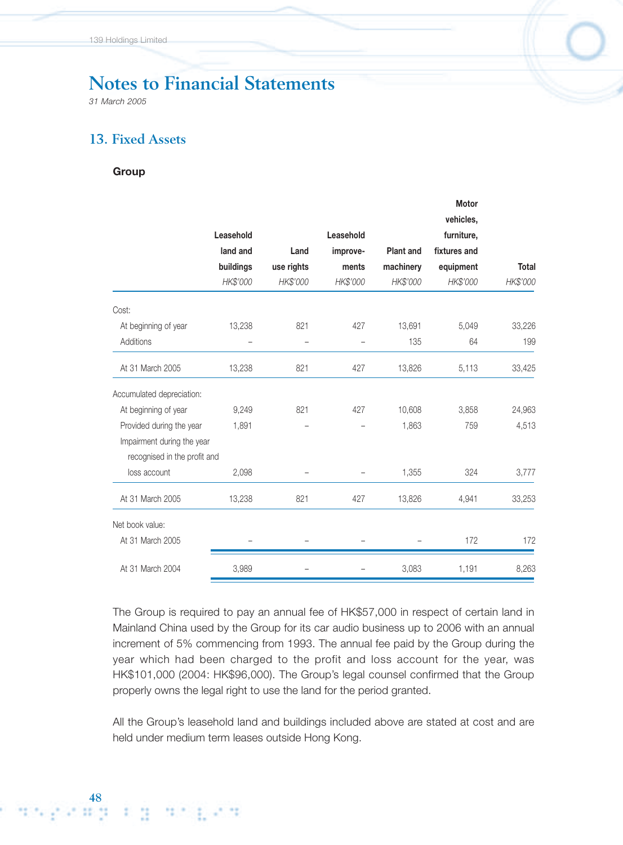*31 March 2005*

## **13. Fixed Assets**

#### **Group**

|                              |            |           |                  | <b>Motor</b> |              |
|------------------------------|------------|-----------|------------------|--------------|--------------|
|                              |            |           |                  | vehicles,    |              |
| Leasehold                    |            | Leasehold |                  | furniture,   |              |
| land and                     | Land       | improve-  | <b>Plant and</b> | fixtures and |              |
| buildings                    | use rights | ments     | machinery        | equipment    | <b>Total</b> |
| HK\$'000                     | HK\$'000   | HK\$'000  | HK\$'000         | HK\$'000     | HK\$'000     |
|                              |            |           |                  |              |              |
| 13,238                       | 821        | 427       | 13,691           | 5,049        | 33,226       |
|                              |            |           | 135              | 64           | 199          |
| 13,238                       | 821        | 427       | 13,826           | 5,113        | 33,425       |
|                              |            |           |                  |              |              |
| 9,249                        | 821        | 427       | 10,608           | 3,858        | 24,963       |
| 1,891                        |            |           | 1,863            | 759          | 4,513        |
| Impairment during the year   |            |           |                  |              |              |
| recognised in the profit and |            |           |                  |              |              |
| 2,098                        |            |           | 1,355            | 324          | 3,777        |
| 13,238                       | 821        | 427       | 13,826           | 4,941        | 33,253       |
|                              |            |           |                  |              |              |
|                              |            |           |                  | 172          | 172          |
| 3,989                        |            |           | 3,083            | 1,191        | 8,263        |
|                              |            |           |                  |              |              |

The Group is required to pay an annual fee of HK\$57,000 in respect of certain land in Mainland China used by the Group for its car audio business up to 2006 with an annual increment of 5% commencing from 1993. The annual fee paid by the Group during the year which had been charged to the profit and loss account for the year, was HK\$101,000 (2004: HK\$96,000). The Group's legal counsel confirmed that the Group properly owns the legal right to use the land for the period granted.

All the Group's leasehold land and buildings included above are stated at cost and are held under medium term leases outside Hong Kong.

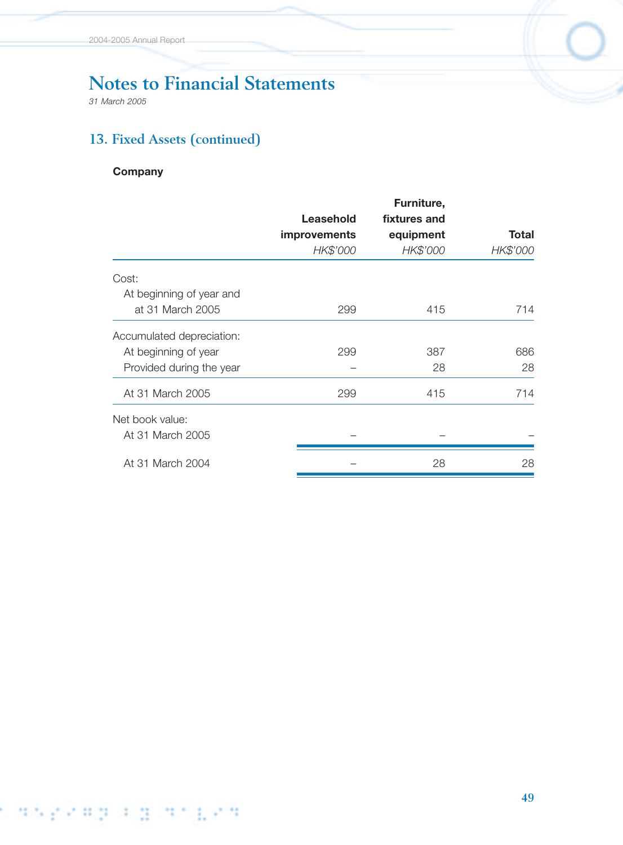*31 March 2005*

# **13. Fixed Assets (continued)**

### **Company**

|                           |                     | Furniture,   |              |
|---------------------------|---------------------|--------------|--------------|
|                           | Leasehold           | fixtures and |              |
|                           | <b>improvements</b> | equipment    | <b>Total</b> |
|                           | HK\$'000            | HK\$'000     | HK\$'000     |
| Cost:                     |                     |              |              |
| At beginning of year and  |                     |              |              |
| at 31 March 2005          | 299                 | 415          | 714          |
| Accumulated depreciation: |                     |              |              |
| At beginning of year      | 299                 | 387          | 686          |
| Provided during the year  |                     | 28           | 28           |
| At 31 March 2005          | 299                 | 415          | 714          |
| Net book value:           |                     |              |              |
| At 31 March 2005          |                     |              |              |
| At 31 March 2004          |                     | 28           | 28           |
|                           |                     |              |              |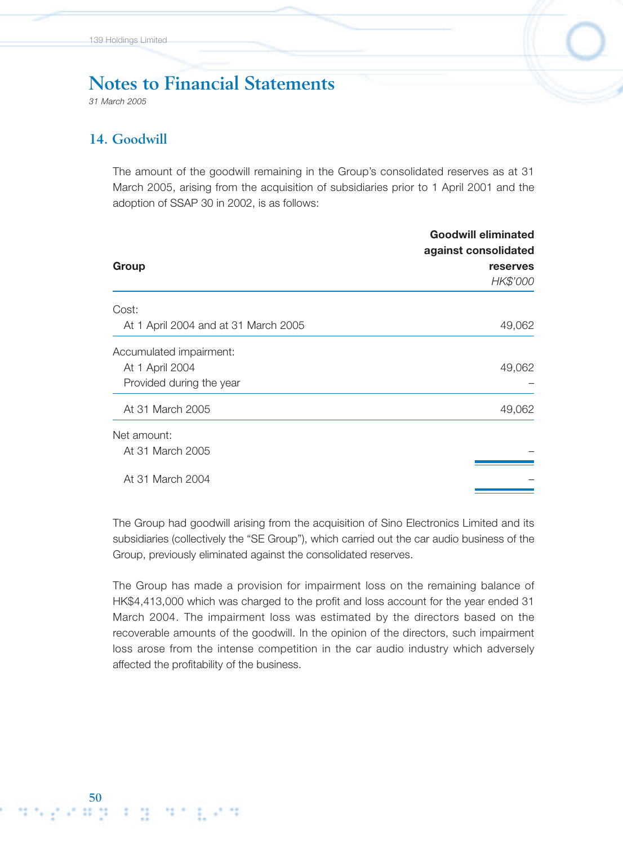*31 March 2005*

### **14. Goodwill**

The amount of the goodwill remaining in the Group's consolidated reserves as at 31 March 2005, arising from the acquisition of subsidiaries prior to 1 April 2001 and the adoption of SSAP 30 in 2002, is as follows:

|                                      | <b>Goodwill eliminated</b><br>against consolidated |  |  |
|--------------------------------------|----------------------------------------------------|--|--|
| Group                                | <b>reserves</b>                                    |  |  |
|                                      | HK\$'000                                           |  |  |
| Cost:                                |                                                    |  |  |
| At 1 April 2004 and at 31 March 2005 | 49,062                                             |  |  |
| Accumulated impairment:              |                                                    |  |  |
| At 1 April 2004                      | 49,062                                             |  |  |
| Provided during the year             |                                                    |  |  |
| At 31 March 2005                     | 49,062                                             |  |  |
| Net amount:                          |                                                    |  |  |
| At 31 March 2005                     |                                                    |  |  |
| At 31 March 2004                     |                                                    |  |  |

The Group had goodwill arising from the acquisition of Sino Electronics Limited and its subsidiaries (collectively the "SE Group"), which carried out the car audio business of the Group, previously eliminated against the consolidated reserves.

The Group has made a provision for impairment loss on the remaining balance of HK\$4,413,000 which was charged to the profit and loss account for the year ended 31 March 2004. The impairment loss was estimated by the directors based on the recoverable amounts of the goodwill. In the opinion of the directors, such impairment loss arose from the intense competition in the car audio industry which adversely affected the profitability of the business.

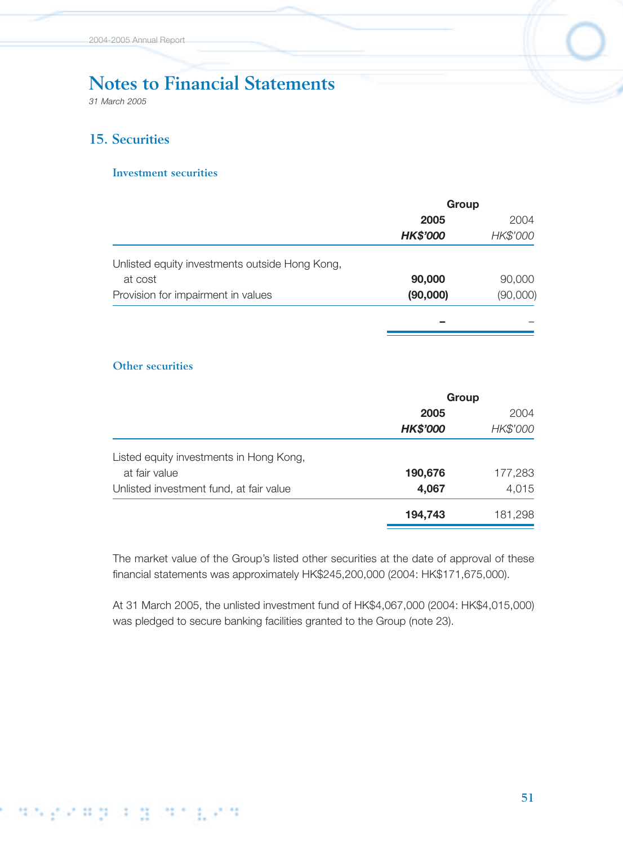*31 March 2005*

## **15. Securities**

#### **Investment securities**

|                                                | Group           |          |  |
|------------------------------------------------|-----------------|----------|--|
|                                                | 2005            | 2004     |  |
|                                                | <b>HK\$'000</b> | HK\$'000 |  |
| Unlisted equity investments outside Hong Kong, |                 |          |  |
| at cost                                        | 90,000          | 90,000   |  |
| Provision for impairment in values             | (90,000)        | (90,000) |  |
|                                                |                 |          |  |
|                                                |                 |          |  |

#### **Other securities**

|                                         | Group           |          |
|-----------------------------------------|-----------------|----------|
|                                         | 2005            | 2004     |
|                                         | <b>HK\$'000</b> | HK\$'000 |
| Listed equity investments in Hong Kong, |                 |          |
| at fair value                           | 190,676         | 177,283  |
| Unlisted investment fund, at fair value | 4,067           | 4,015    |
|                                         | 194,743         | 181,298  |

The market value of the Group's listed other securities at the date of approval of these financial statements was approximately HK\$245,200,000 (2004: HK\$171,675,000).

At 31 March 2005, the unlisted investment fund of HK\$4,067,000 (2004: HK\$4,015,000) was pledged to secure banking facilities granted to the Group (note 23).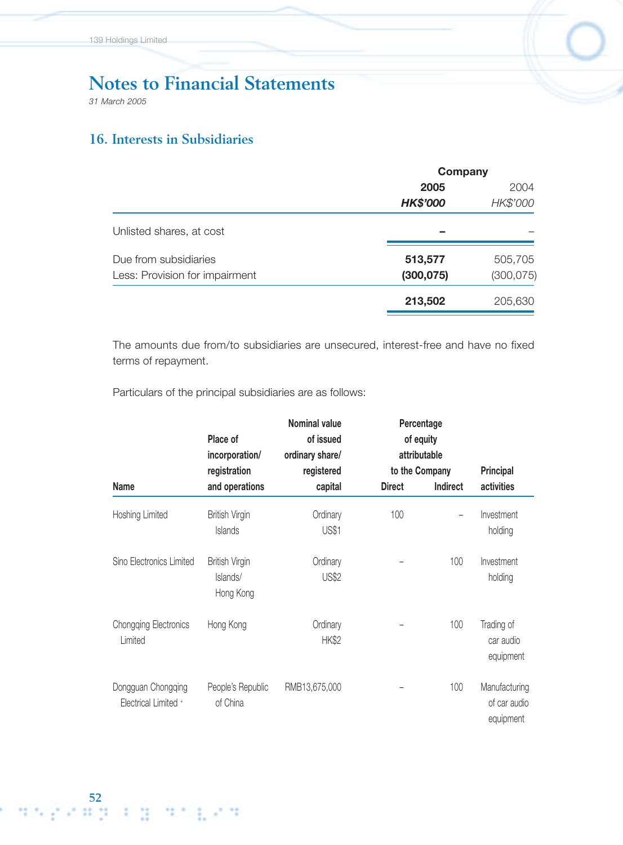*31 March 2005*

# **16. Interests in Subsidiaries**

|                                | Company         |            |  |
|--------------------------------|-----------------|------------|--|
|                                | 2005            | 2004       |  |
|                                | <b>HK\$'000</b> | HK\$'000   |  |
| Unlisted shares, at cost       |                 |            |  |
| Due from subsidiaries          | 513,577         | 505,705    |  |
| Less: Provision for impairment | (300, 075)      | (300, 075) |  |
|                                | 213,502         | 205,630    |  |

The amounts due from/to subsidiaries are unsecured, interest-free and have no fixed terms of repayment.

Particulars of the principal subsidiaries are as follows:

|                                            | Place of<br>incorporation/                     | <b>Nominal value</b><br>of issued<br>ordinary share/ |               | Percentage<br>of equity<br>attributable |                                            |
|--------------------------------------------|------------------------------------------------|------------------------------------------------------|---------------|-----------------------------------------|--------------------------------------------|
|                                            | registration                                   | registered                                           |               | to the Company                          | <b>Principal</b>                           |
| Name                                       | and operations                                 | capital                                              | <b>Direct</b> | Indirect                                | activities                                 |
| Hoshing Limited                            | <b>British Virgin</b><br>Islands               | Ordinary<br><b>US\$1</b>                             | 100           |                                         | Investment<br>holding                      |
| Sino Electronics Limited                   | <b>British Virgin</b><br>Islands/<br>Hong Kong | Ordinary<br><b>US\$2</b>                             |               | 100                                     | Investment<br>holding                      |
| <b>Chongqing Electronics</b><br>Limited    | Hong Kong                                      | Ordinary<br><b>HK\$2</b>                             |               | 100                                     | Trading of<br>car audio<br>equipment       |
| Dongguan Chongqing<br>Electrical Limited + | People's Republic<br>of China                  | RMB13,675,000                                        |               | 100                                     | Manufacturing<br>of car audio<br>equipment |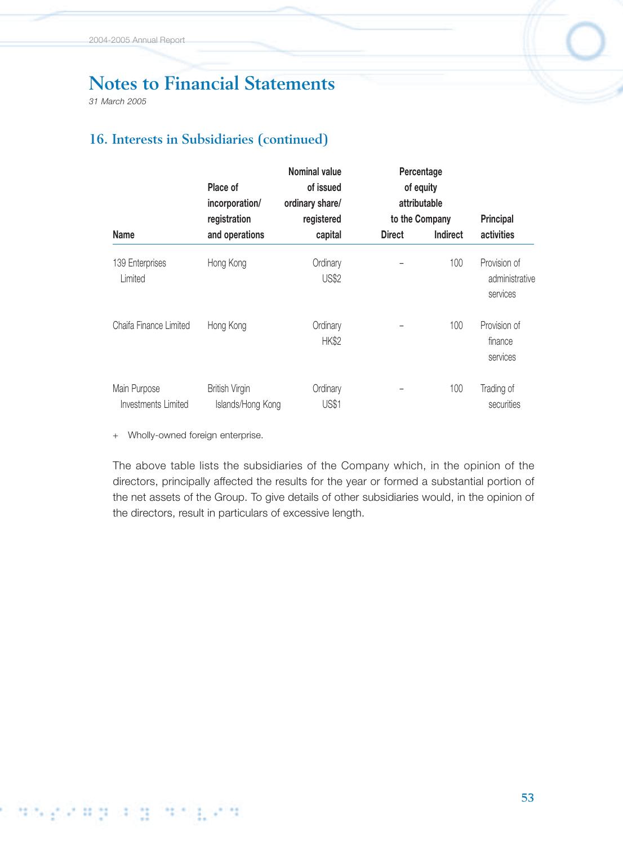*31 March 2005*

# **16. Interests in Subsidiaries (continued)**

|                                     | Place of<br>incorporation/<br>registration | <b>Nominal value</b><br>of issued<br>ordinary share/<br>registered |               | Percentage<br>of equity<br>attributable<br>to the Company | <b>Principal</b>                           |
|-------------------------------------|--------------------------------------------|--------------------------------------------------------------------|---------------|-----------------------------------------------------------|--------------------------------------------|
| Name                                | and operations                             | capital                                                            | <b>Direct</b> | <b>Indirect</b>                                           | activities                                 |
| 139 Enterprises<br>Limited          | Hong Kong                                  | Ordinary<br><b>US\$2</b>                                           |               | 100                                                       | Provision of<br>administrative<br>services |
| Chaifa Finance Limited              | Hong Kong                                  | Ordinary<br><b>HK\$2</b>                                           |               | 100                                                       | Provision of<br>finance<br>services        |
| Main Purpose<br>Investments Limited | <b>British Virgin</b><br>Islands/Hong Kong | Ordinary<br><b>US\$1</b>                                           |               | 100                                                       | Trading of<br>securities                   |

+ Wholly-owned foreign enterprise.

The above table lists the subsidiaries of the Company which, in the opinion of the directors, principally affected the results for the year or formed a substantial portion of the net assets of the Group. To give details of other subsidiaries would, in the opinion of the directors, result in particulars of excessive length.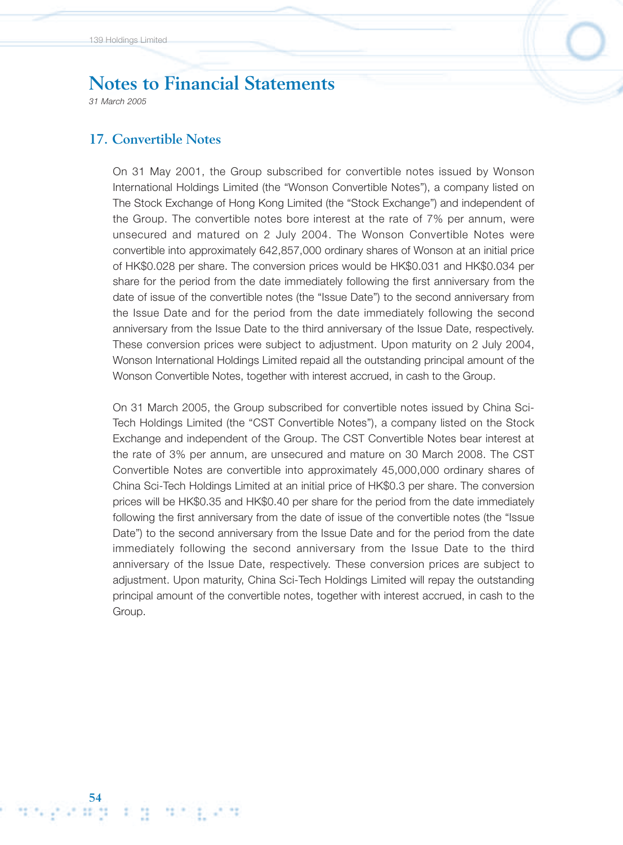*31 March 2005*

**54**

### **17. Convertible Notes**

On 31 May 2001, the Group subscribed for convertible notes issued by Wonson International Holdings Limited (the "Wonson Convertible Notes"), a company listed on The Stock Exchange of Hong Kong Limited (the "Stock Exchange") and independent of the Group. The convertible notes bore interest at the rate of 7% per annum, were unsecured and matured on 2 July 2004. The Wonson Convertible Notes were convertible into approximately 642,857,000 ordinary shares of Wonson at an initial price of HK\$0.028 per share. The conversion prices would be HK\$0.031 and HK\$0.034 per share for the period from the date immediately following the first anniversary from the date of issue of the convertible notes (the "Issue Date") to the second anniversary from the Issue Date and for the period from the date immediately following the second anniversary from the Issue Date to the third anniversary of the Issue Date, respectively. These conversion prices were subject to adjustment. Upon maturity on 2 July 2004, Wonson International Holdings Limited repaid all the outstanding principal amount of the Wonson Convertible Notes, together with interest accrued, in cash to the Group.

On 31 March 2005, the Group subscribed for convertible notes issued by China Sci-Tech Holdings Limited (the "CST Convertible Notes"), a company listed on the Stock Exchange and independent of the Group. The CST Convertible Notes bear interest at the rate of 3% per annum, are unsecured and mature on 30 March 2008. The CST Convertible Notes are convertible into approximately 45,000,000 ordinary shares of China Sci-Tech Holdings Limited at an initial price of HK\$0.3 per share. The conversion prices will be HK\$0.35 and HK\$0.40 per share for the period from the date immediately following the first anniversary from the date of issue of the convertible notes (the "Issue Date") to the second anniversary from the Issue Date and for the period from the date immediately following the second anniversary from the Issue Date to the third anniversary of the Issue Date, respectively. These conversion prices are subject to adjustment. Upon maturity, China Sci-Tech Holdings Limited will repay the outstanding principal amount of the convertible notes, together with interest accrued, in cash to the Group.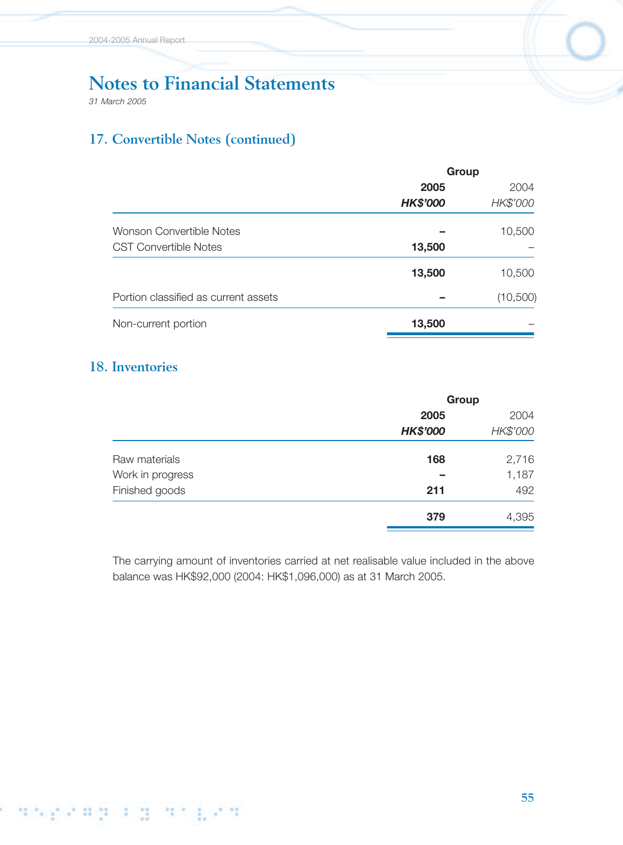*31 March 2005*

# **17. Convertible Notes (continued)**

|                                      | Group           |           |  |
|--------------------------------------|-----------------|-----------|--|
|                                      | 2005            | 2004      |  |
|                                      | <b>HK\$'000</b> | HK\$'000  |  |
| Wonson Convertible Notes             |                 | 10,500    |  |
| <b>CST Convertible Notes</b>         | 13,500          |           |  |
|                                      | 13,500          | 10,500    |  |
| Portion classified as current assets |                 | (10, 500) |  |
| Non-current portion                  | 13,500          |           |  |
|                                      |                 |           |  |

# **18. Inventories**

|                  | Group           |          |  |
|------------------|-----------------|----------|--|
|                  | 2005            | 2004     |  |
|                  | <b>HK\$'000</b> | HK\$'000 |  |
| Raw materials    | 168             | 2,716    |  |
| Work in progress |                 | 1,187    |  |
| Finished goods   | 211             | 492      |  |
|                  | 379             | 4,395    |  |

The carrying amount of inventories carried at net realisable value included in the above balance was HK\$92,000 (2004: HK\$1,096,000) as at 31 March 2005.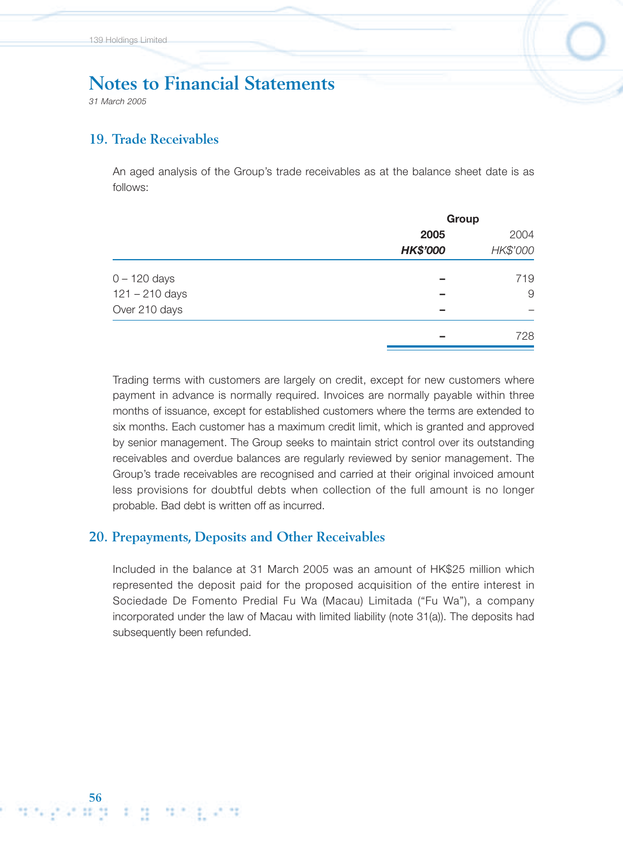*31 March 2005*

### **19. Trade Receivables**

An aged analysis of the Group's trade receivables as at the balance sheet date is as follows:

|                  | Group           |          |  |
|------------------|-----------------|----------|--|
|                  | 2005            | 2004     |  |
|                  | <b>HK\$'000</b> | HK\$'000 |  |
| $0 - 120$ days   |                 | 719      |  |
| $121 - 210$ days | -               | 9        |  |
| Over 210 days    | -               |          |  |
|                  | -               | 728      |  |

Trading terms with customers are largely on credit, except for new customers where payment in advance is normally required. Invoices are normally payable within three months of issuance, except for established customers where the terms are extended to six months. Each customer has a maximum credit limit, which is granted and approved by senior management. The Group seeks to maintain strict control over its outstanding receivables and overdue balances are regularly reviewed by senior management. The Group's trade receivables are recognised and carried at their original invoiced amount less provisions for doubtful debts when collection of the full amount is no longer probable. Bad debt is written off as incurred.

#### **20. Prepayments, Deposits and Other Receivables**

Included in the balance at 31 March 2005 was an amount of HK\$25 million which represented the deposit paid for the proposed acquisition of the entire interest in Sociedade De Fomento Predial Fu Wa (Macau) Limitada ("Fu Wa"), a company incorporated under the law of Macau with limited liability (note 31(a)). The deposits had subsequently been refunded.

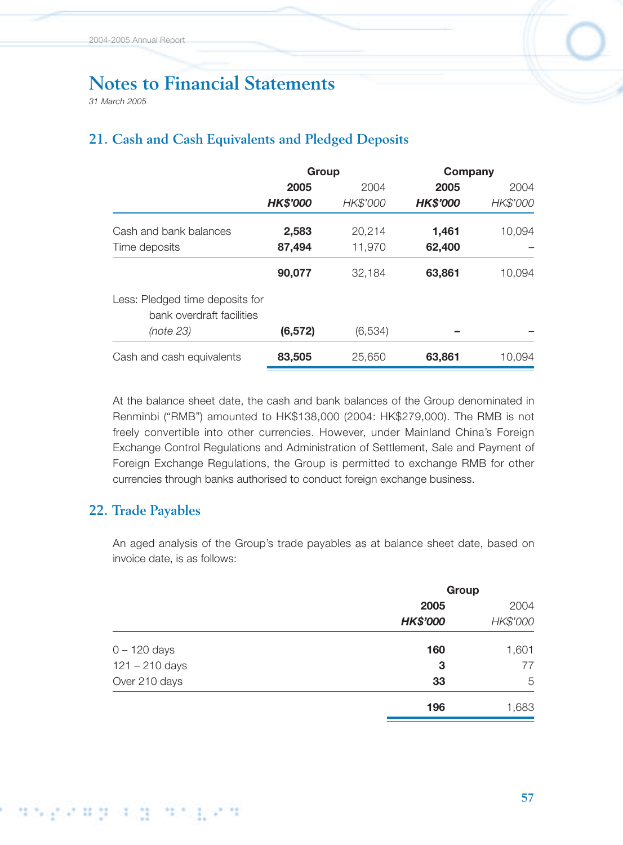*31 March 2005*

# **21. Cash and Cash Equivalents and Pledged Deposits**

|                                                              |                 | Group    |                 | Company  |
|--------------------------------------------------------------|-----------------|----------|-----------------|----------|
|                                                              | 2005            | 2004     | 2005            | 2004     |
|                                                              | <b>HK\$'000</b> | HK\$'000 | <b>HK\$'000</b> | HK\$'000 |
| Cash and bank balances                                       | 2,583           | 20,214   | 1,461           | 10,094   |
| Time deposits                                                | 87,494          | 11,970   | 62,400          |          |
|                                                              | 90,077          | 32,184   | 63,861          | 10,094   |
| Less: Pledged time deposits for<br>bank overdraft facilities |                 |          |                 |          |
| (note 23)                                                    | (6, 572)        | (6,534)  |                 |          |
| Cash and cash equivalents                                    | 83,505          | 25,650   | 63,861          | 10,094   |

At the balance sheet date, the cash and bank balances of the Group denominated in Renminbi ("RMB") amounted to HK\$138,000 (2004: HK\$279,000). The RMB is not freely convertible into other currencies. However, under Mainland China's Foreign Exchange Control Regulations and Administration of Settlement, Sale and Payment of Foreign Exchange Regulations, the Group is permitted to exchange RMB for other currencies through banks authorised to conduct foreign exchange business.

### **22. Trade Payables**

An aged analysis of the Group's trade payables as at balance sheet date, based on invoice date, is as follows:

|                  | Group           |          |  |
|------------------|-----------------|----------|--|
|                  | 2005            | 2004     |  |
|                  | <b>HK\$'000</b> | HK\$'000 |  |
| $0 - 120$ days   | 160             | 1,601    |  |
| $121 - 210$ days | 3               | 77       |  |
| Over 210 days    | 33              | 5        |  |
|                  | 196             | 1,683    |  |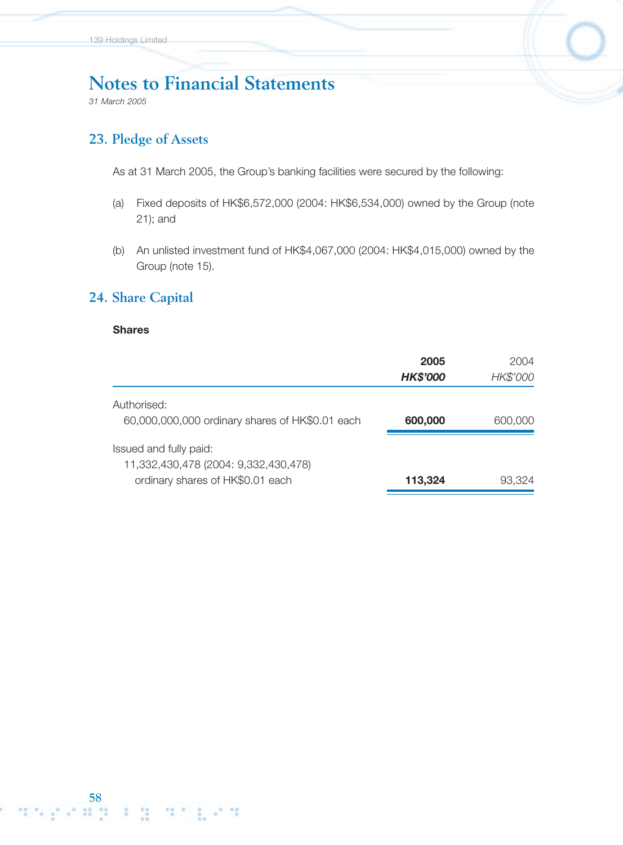*31 March 2005*

## **23. Pledge of Assets**

As at 31 March 2005, the Group's banking facilities were secured by the following:

- (a) Fixed deposits of HK\$6,572,000 (2004: HK\$6,534,000) owned by the Group (note 21); and
- (b) An unlisted investment fund of HK\$4,067,000 (2004: HK\$4,015,000) owned by the Group (note 15).

### **24. Share Capital**

#### **Shares**

|                                                 | 2005            | 2004     |
|-------------------------------------------------|-----------------|----------|
|                                                 | <b>HK\$'000</b> | HK\$'000 |
| Authorised:                                     |                 |          |
| 60,000,000,000 ordinary shares of HK\$0.01 each | 600,000         | 600,000  |
| Issued and fully paid:                          |                 |          |
| 11,332,430,478 (2004: 9,332,430,478)            |                 |          |
| ordinary shares of HK\$0.01 each                | 113,324         | 93.324   |
|                                                 |                 |          |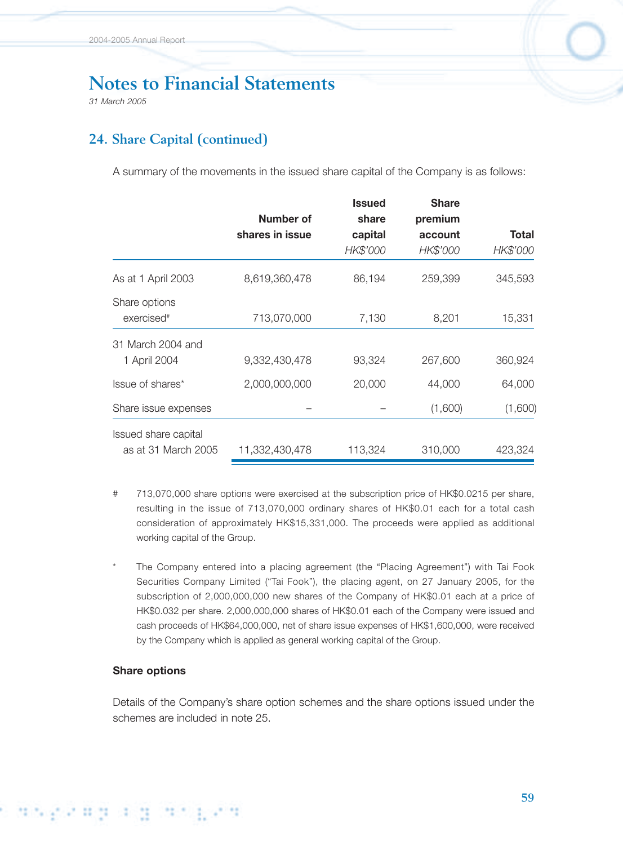*31 March 2005*

# **24. Share Capital (continued)**

A summary of the movements in the issued share capital of the Company is as follows:

|                        |                 | <b>Issued</b> | <b>Share</b> |          |
|------------------------|-----------------|---------------|--------------|----------|
|                        | Number of       | share         | premium      |          |
|                        | shares in issue | capital       | account      | Total    |
|                        |                 | HK\$'000      | HK\$'000     | HK\$'000 |
| As at 1 April 2003     | 8,619,360,478   | 86,194        | 259,399      | 345,593  |
| Share options          |                 |               |              |          |
| exercised <sup>#</sup> | 713,070,000     | 7,130         | 8,201        | 15,331   |
| 31 March 2004 and      |                 |               |              |          |
| 1 April 2004           | 9,332,430,478   | 93,324        | 267,600      | 360,924  |
| Issue of shares*       | 2,000,000,000   | 20,000        | 44,000       | 64,000   |
| Share issue expenses   |                 |               | (1,600)      | (1,600)  |
| Issued share capital   |                 |               |              |          |
| as at 31 March 2005    | 11,332,430,478  | 113,324       | 310,000      | 423,324  |

- # 713,070,000 share options were exercised at the subscription price of HK\$0.0215 per share, resulting in the issue of 713,070,000 ordinary shares of HK\$0.01 each for a total cash consideration of approximately HK\$15,331,000. The proceeds were applied as additional working capital of the Group.
- The Company entered into a placing agreement (the "Placing Agreement") with Tai Fook Securities Company Limited ("Tai Fook"), the placing agent, on 27 January 2005, for the subscription of 2,000,000,000 new shares of the Company of HK\$0.01 each at a price of HK\$0.032 per share. 2,000,000,000 shares of HK\$0.01 each of the Company were issued and cash proceeds of HK\$64,000,000, net of share issue expenses of HK\$1,600,000, were received by the Company which is applied as general working capital of the Group.

#### **Share options**

t disperan a monthem

Details of the Company's share option schemes and the share options issued under the schemes are included in note 25.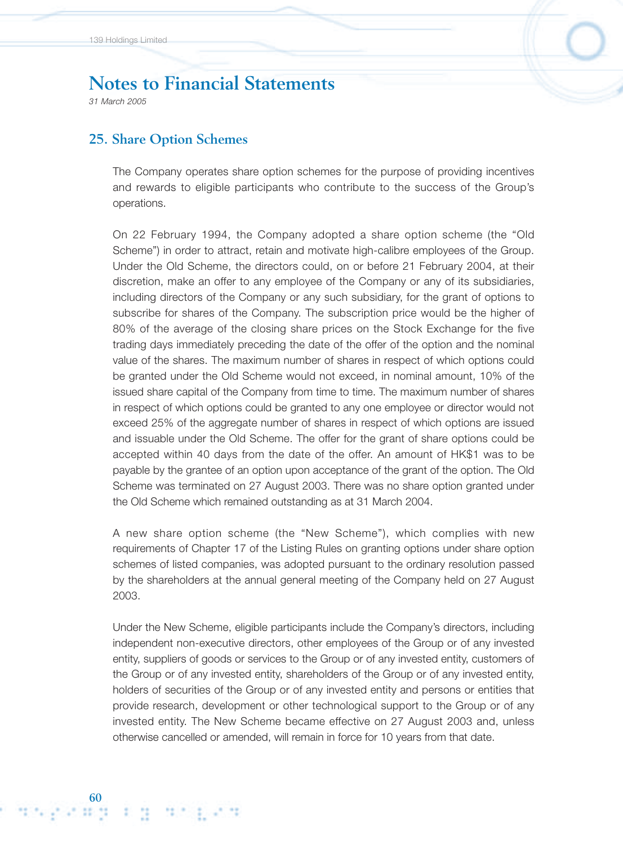*31 March 2005*

### **25. Share Option Schemes**

The Company operates share option schemes for the purpose of providing incentives and rewards to eligible participants who contribute to the success of the Group's operations.

On 22 February 1994, the Company adopted a share option scheme (the "Old Scheme") in order to attract, retain and motivate high-calibre employees of the Group. Under the Old Scheme, the directors could, on or before 21 February 2004, at their discretion, make an offer to any employee of the Company or any of its subsidiaries, including directors of the Company or any such subsidiary, for the grant of options to subscribe for shares of the Company. The subscription price would be the higher of 80% of the average of the closing share prices on the Stock Exchange for the five trading days immediately preceding the date of the offer of the option and the nominal value of the shares. The maximum number of shares in respect of which options could be granted under the Old Scheme would not exceed, in nominal amount, 10% of the issued share capital of the Company from time to time. The maximum number of shares in respect of which options could be granted to any one employee or director would not exceed 25% of the aggregate number of shares in respect of which options are issued and issuable under the Old Scheme. The offer for the grant of share options could be accepted within 40 days from the date of the offer. An amount of HK\$1 was to be payable by the grantee of an option upon acceptance of the grant of the option. The Old Scheme was terminated on 27 August 2003. There was no share option granted under the Old Scheme which remained outstanding as at 31 March 2004.

A new share option scheme (the "New Scheme"), which complies with new requirements of Chapter 17 of the Listing Rules on granting options under share option schemes of listed companies, was adopted pursuant to the ordinary resolution passed by the shareholders at the annual general meeting of the Company held on 27 August 2003.

Under the New Scheme, eligible participants include the Company's directors, including independent non-executive directors, other employees of the Group or of any invested entity, suppliers of goods or services to the Group or of any invested entity, customers of the Group or of any invested entity, shareholders of the Group or of any invested entity, holders of securities of the Group or of any invested entity and persons or entities that provide research, development or other technological support to the Group or of any invested entity. The New Scheme became effective on 27 August 2003 and, unless otherwise cancelled or amended, will remain in force for 10 years from that date.

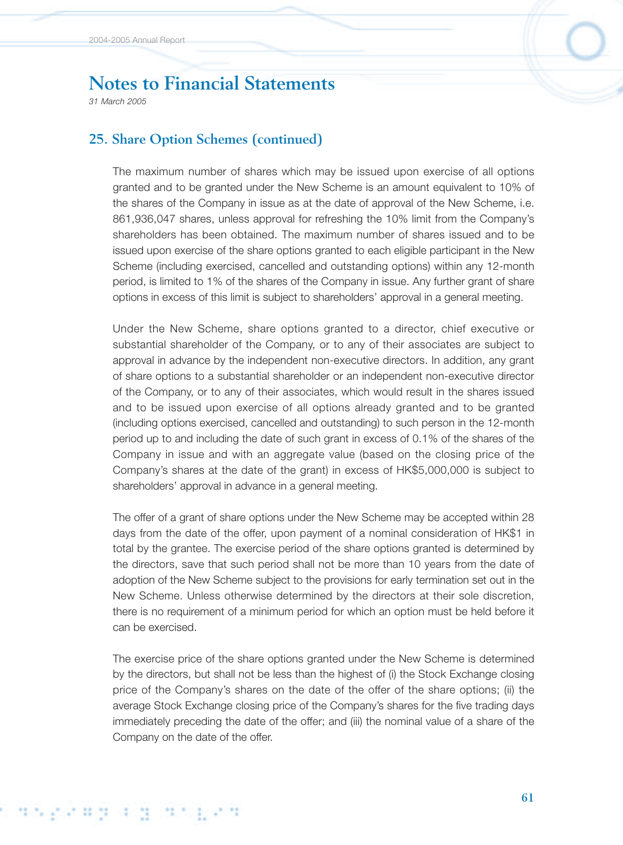*31 March 2005*

## **25. Share Option Schemes (continued)**

The maximum number of shares which may be issued upon exercise of all options granted and to be granted under the New Scheme is an amount equivalent to 10% of the shares of the Company in issue as at the date of approval of the New Scheme, i.e. 861,936,047 shares, unless approval for refreshing the 10% limit from the Company's shareholders has been obtained. The maximum number of shares issued and to be issued upon exercise of the share options granted to each eligible participant in the New Scheme (including exercised, cancelled and outstanding options) within any 12-month period, is limited to 1% of the shares of the Company in issue. Any further grant of share options in excess of this limit is subject to shareholders' approval in a general meeting.

Under the New Scheme, share options granted to a director, chief executive or substantial shareholder of the Company, or to any of their associates are subject to approval in advance by the independent non-executive directors. In addition, any grant of share options to a substantial shareholder or an independent non-executive director of the Company, or to any of their associates, which would result in the shares issued and to be issued upon exercise of all options already granted and to be granted (including options exercised, cancelled and outstanding) to such person in the 12-month period up to and including the date of such grant in excess of 0.1% of the shares of the Company in issue and with an aggregate value (based on the closing price of the Company's shares at the date of the grant) in excess of HK\$5,000,000 is subject to shareholders' approval in advance in a general meeting.

The offer of a grant of share options under the New Scheme may be accepted within 28 days from the date of the offer, upon payment of a nominal consideration of HK\$1 in total by the grantee. The exercise period of the share options granted is determined by the directors, save that such period shall not be more than 10 years from the date of adoption of the New Scheme subject to the provisions for early termination set out in the New Scheme. Unless otherwise determined by the directors at their sole discretion, there is no requirement of a minimum period for which an option must be held before it can be exercised.

The exercise price of the share options granted under the New Scheme is determined by the directors, but shall not be less than the highest of (i) the Stock Exchange closing price of the Company's shares on the date of the offer of the share options; (ii) the average Stock Exchange closing price of the Company's shares for the five trading days immediately preceding the date of the offer; and (iii) the nominal value of a share of the Company on the date of the offer.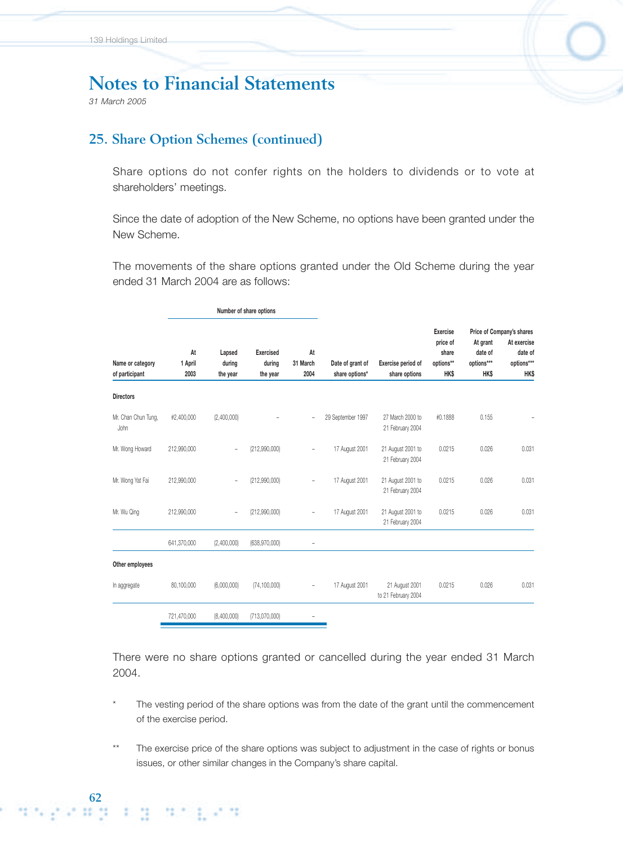*31 March 2005*

### **25. Share Option Schemes (continued)**

Share options do not confer rights on the holders to dividends or to vote at shareholders' meetings.

Since the date of adoption of the New Scheme, no options have been granted under the New Scheme.

The movements of the share options granted under the Old Scheme during the year ended 31 March 2004 are as follows:

|                                    | Number of share options |                              |                                        |                          |                                    |                                       |                                                    |                                                  |                                                                                  |
|------------------------------------|-------------------------|------------------------------|----------------------------------------|--------------------------|------------------------------------|---------------------------------------|----------------------------------------------------|--------------------------------------------------|----------------------------------------------------------------------------------|
| Name or category<br>of participant | At<br>1 April<br>2003   | Lapsed<br>during<br>the year | <b>Exercised</b><br>during<br>the year | At<br>31 March<br>2004   | Date of grant of<br>share options* | Exercise period of<br>share options   | Exercise<br>price of<br>share<br>options**<br>HK\$ | At grant<br>date of<br>options***<br><b>HK\$</b> | Price of Company's shares<br>At exercise<br>date of<br>options***<br><b>HK\$</b> |
| <b>Directors</b>                   |                         |                              |                                        |                          |                                    |                                       |                                                    |                                                  |                                                                                  |
| Mr. Chan Chun Tung,<br><b>John</b> | #2,400,000              | (2,400,000)                  |                                        | $\overline{\phantom{a}}$ | 29 September 1997                  | 27 March 2000 to<br>21 February 2004  | #0.1888                                            | 0.155                                            |                                                                                  |
| Mr. Wong Howard                    | 212,990,000             | $\qquad \qquad -$            | (212,990,000)                          | $\overline{\phantom{0}}$ | 17 August 2001                     | 21 August 2001 to<br>21 February 2004 | 0.0215                                             | 0.026                                            | 0.031                                                                            |
| Mr. Wong Yat Fai                   | 212,990,000             | $\bar{ }$                    | (212,990,000)                          | ÷,                       | 17 August 2001                     | 21 August 2001 to<br>21 February 2004 | 0.0215                                             | 0.026                                            | 0.031                                                                            |
| Mr. Wu Qing                        | 212,990,000             | $\overline{\phantom{a}}$     | (212,990,000)                          | ÷,                       | 17 August 2001                     | 21 August 2001 to<br>21 February 2004 | 0.0215                                             | 0.026                                            | 0.031                                                                            |
|                                    | 641,370,000             | (2,400,000)                  | (638, 970, 000)                        | -                        |                                    |                                       |                                                    |                                                  |                                                                                  |
| Other employees                    |                         |                              |                                        |                          |                                    |                                       |                                                    |                                                  |                                                                                  |
| In aggregate                       | 80,100,000              | (6,000,000)                  | (74, 100, 000)                         | $\overline{\phantom{0}}$ | 17 August 2001                     | 21 August 2001<br>to 21 February 2004 | 0.0215                                             | 0.026                                            | 0.031                                                                            |
|                                    | 721,470,000             | (8,400,000)                  | (713,070,000)                          |                          |                                    |                                       |                                                    |                                                  |                                                                                  |

There were no share options granted or cancelled during the year ended 31 March 2004.

- The vesting period of the share options was from the date of the grant until the commencement of the exercise period.
- The exercise price of the share options was subject to adjustment in the case of rights or bonus issues, or other similar changes in the Company's share capital.

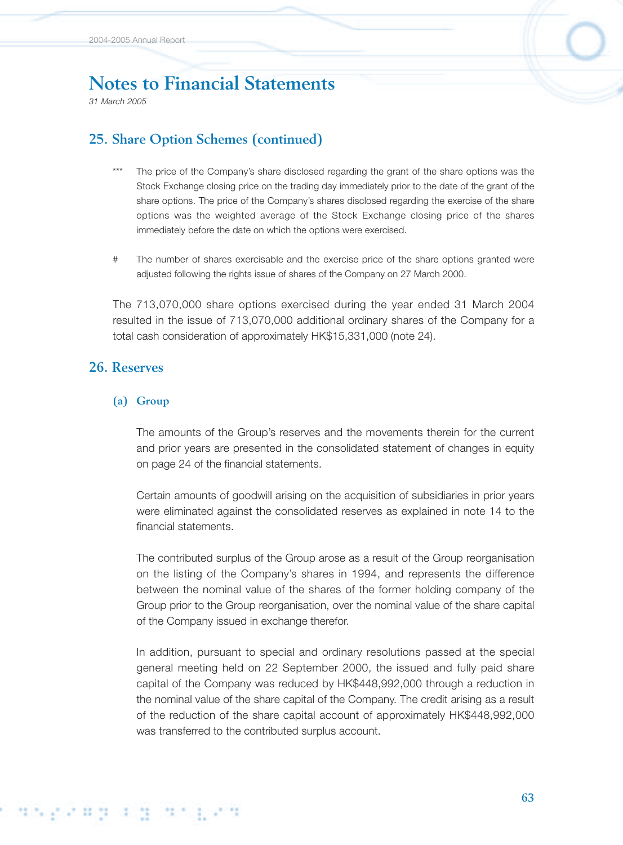*31 March 2005*

# **25. Share Option Schemes (continued)**

- The price of the Company's share disclosed regarding the grant of the share options was the Stock Exchange closing price on the trading day immediately prior to the date of the grant of the share options. The price of the Company's shares disclosed regarding the exercise of the share options was the weighted average of the Stock Exchange closing price of the shares immediately before the date on which the options were exercised.
- # The number of shares exercisable and the exercise price of the share options granted were adjusted following the rights issue of shares of the Company on 27 March 2000.

The 713,070,000 share options exercised during the year ended 31 March 2004 resulted in the issue of 713,070,000 additional ordinary shares of the Company for a total cash consideration of approximately HK\$15,331,000 (note 24).

### **26. Reserves**

#### **(a) Group**

The amounts of the Group's reserves and the movements therein for the current and prior years are presented in the consolidated statement of changes in equity on page 24 of the financial statements.

Certain amounts of goodwill arising on the acquisition of subsidiaries in prior years were eliminated against the consolidated reserves as explained in note 14 to the financial statements.

The contributed surplus of the Group arose as a result of the Group reorganisation on the listing of the Company's shares in 1994, and represents the difference between the nominal value of the shares of the former holding company of the Group prior to the Group reorganisation, over the nominal value of the share capital of the Company issued in exchange therefor.

In addition, pursuant to special and ordinary resolutions passed at the special general meeting held on 22 September 2000, the issued and fully paid share capital of the Company was reduced by HK\$448,992,000 through a reduction in the nominal value of the share capital of the Company. The credit arising as a result of the reduction of the share capital account of approximately HK\$448,992,000 was transferred to the contributed surplus account.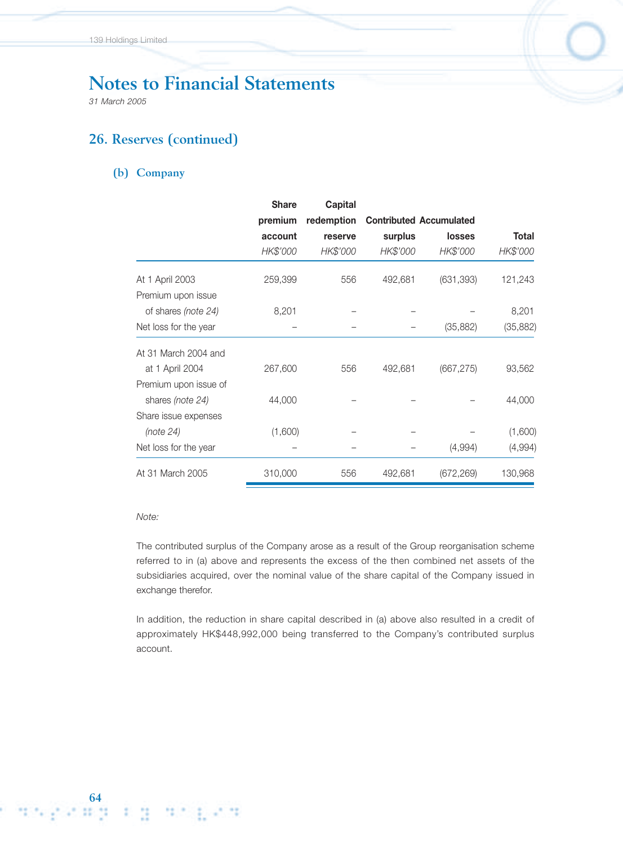*31 March 2005*

# **26. Reserves (continued)**

#### **(b) Company**

|                       | <b>Share</b> | Capital    |          |                                |           |  |
|-----------------------|--------------|------------|----------|--------------------------------|-----------|--|
|                       | premium      | redemption |          | <b>Contributed Accumulated</b> |           |  |
|                       | account      | reserve    | surplus  | <b>losses</b>                  | Total     |  |
|                       | HK\$'000     | HK\$'000   | HK\$'000 | HK\$'000                       | HK\$'000  |  |
| At 1 April 2003       | 259,399      | 556        | 492,681  | (631, 393)                     | 121,243   |  |
| Premium upon issue    |              |            |          |                                |           |  |
| of shares (note 24)   | 8,201        |            |          |                                | 8,201     |  |
| Net loss for the year |              |            |          | (35, 882)                      | (35, 882) |  |
| At 31 March 2004 and  |              |            |          |                                |           |  |
| at 1 April 2004       | 267,600      | 556        | 492,681  | (667, 275)                     | 93,562    |  |
| Premium upon issue of |              |            |          |                                |           |  |
| shares (note 24)      | 44,000       |            |          |                                | 44,000    |  |
| Share issue expenses  |              |            |          |                                |           |  |
| (note 24)             | (1,600)      |            |          |                                | (1,600)   |  |
| Net loss for the year |              |            |          | (4,994)                        | (4,994)   |  |
| At 31 March 2005      | 310,000      | 556        | 492,681  | (672, 269)                     | 130,968   |  |

#### *Note:*

The contributed surplus of the Company arose as a result of the Group reorganisation scheme referred to in (a) above and represents the excess of the then combined net assets of the subsidiaries acquired, over the nominal value of the share capital of the Company issued in exchange therefor.

In addition, the reduction in share capital described in (a) above also resulted in a credit of approximately HK\$448,992,000 being transferred to the Company's contributed surplus account.

िम ध<sub>ा</sub>रिमी के अन्य अन्य अन्य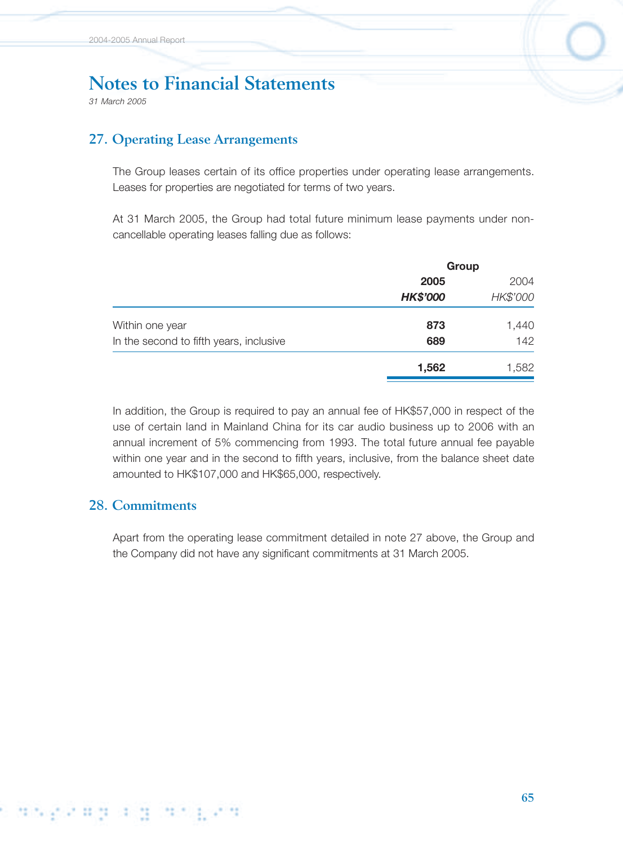*31 March 2005*

### **27. Operating Lease Arrangements**

The Group leases certain of its office properties under operating lease arrangements. Leases for properties are negotiated for terms of two years.

At 31 March 2005, the Group had total future minimum lease payments under noncancellable operating leases falling due as follows:

|                                         | Group           |          |
|-----------------------------------------|-----------------|----------|
|                                         | 2005            | 2004     |
|                                         | <b>HK\$'000</b> | HK\$'000 |
| Within one year                         | 873             | 1,440    |
| In the second to fifth years, inclusive | 689             | 142      |
|                                         | 1,562           | 1,582    |

In addition, the Group is required to pay an annual fee of HK\$57,000 in respect of the use of certain land in Mainland China for its car audio business up to 2006 with an annual increment of 5% commencing from 1993. The total future annual fee payable within one year and in the second to fifth years, inclusive, from the balance sheet date amounted to HK\$107,000 and HK\$65,000, respectively.

### **28. Commitments**

Apart from the operating lease commitment detailed in note 27 above, the Group and the Company did not have any significant commitments at 31 March 2005.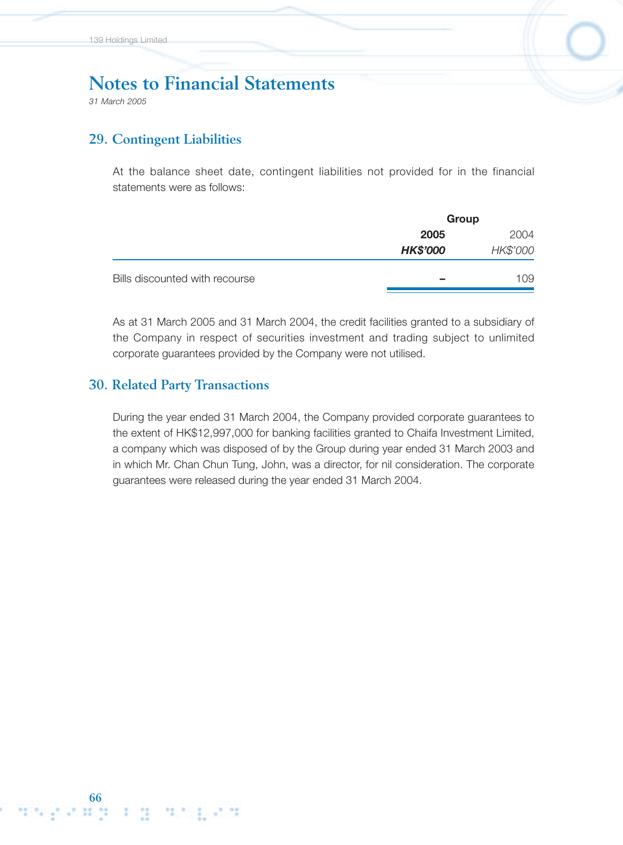*31 March 2005*

### **29. Contingent Liabilities**

At the balance sheet date, contingent liabilities not provided for in the financial statements were as follows:

|                                |                 | Group    |  |  |
|--------------------------------|-----------------|----------|--|--|
|                                | 2005            | 2004     |  |  |
|                                | <b>HK\$'000</b> | HK\$'000 |  |  |
| Bills discounted with recourse | $\equiv$        | 109      |  |  |

As at 31 March 2005 and 31 March 2004, the credit facilities granted to a subsidiary of the Company in respect of securities investment and trading subject to unlimited corporate guarantees provided by the Company were not utilised.

### **30. Related Party Transactions**

During the year ended 31 March 2004, the Company provided corporate guarantees to the extent of HK\$12,997,000 for banking facilities granted to Chaifa Investment Limited, a company which was disposed of by the Group during year ended 31 March 2003 and in which Mr. Chan Chun Tung, John, was a director, for nil consideration. The corporate guarantees were released during the year ended 31 March 2004.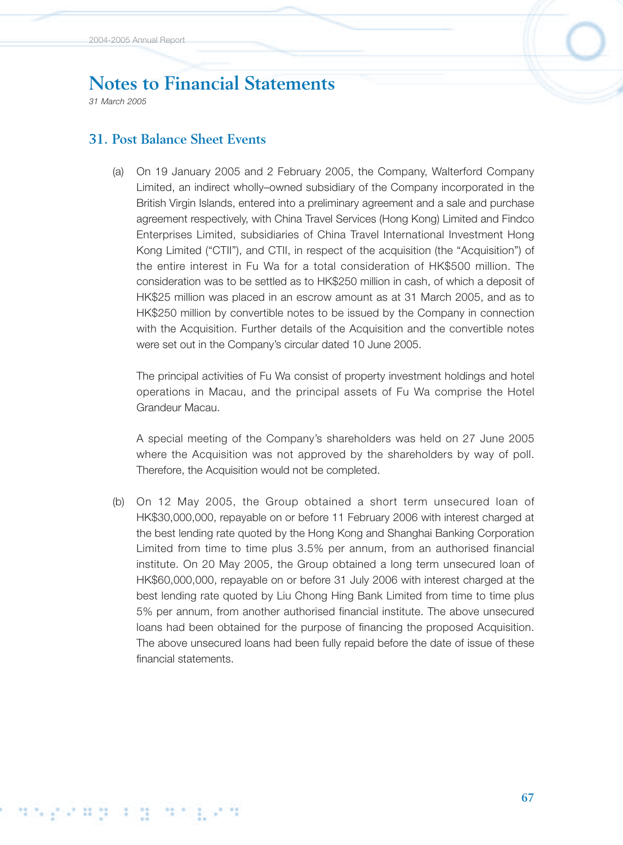*31 March 2005*

## **31. Post Balance Sheet Events**

(a) On 19 January 2005 and 2 February 2005, the Company, Walterford Company Limited, an indirect wholly–owned subsidiary of the Company incorporated in the British Virgin Islands, entered into a preliminary agreement and a sale and purchase agreement respectively, with China Travel Services (Hong Kong) Limited and Findco Enterprises Limited, subsidiaries of China Travel International Investment Hong Kong Limited ("CTII"), and CTII, in respect of the acquisition (the "Acquisition") of the entire interest in Fu Wa for a total consideration of HK\$500 million. The consideration was to be settled as to HK\$250 million in cash, of which a deposit of HK\$25 million was placed in an escrow amount as at 31 March 2005, and as to HK\$250 million by convertible notes to be issued by the Company in connection with the Acquisition. Further details of the Acquisition and the convertible notes were set out in the Company's circular dated 10 June 2005.

The principal activities of Fu Wa consist of property investment holdings and hotel operations in Macau, and the principal assets of Fu Wa comprise the Hotel Grandeur Macau.

A special meeting of the Company's shareholders was held on 27 June 2005 where the Acquisition was not approved by the shareholders by way of poll. Therefore, the Acquisition would not be completed.

(b) On 12 May 2005, the Group obtained a short term unsecured loan of HK\$30,000,000, repayable on or before 11 February 2006 with interest charged at the best lending rate quoted by the Hong Kong and Shanghai Banking Corporation Limited from time to time plus 3.5% per annum, from an authorised financial institute. On 20 May 2005, the Group obtained a long term unsecured loan of HK\$60,000,000, repayable on or before 31 July 2006 with interest charged at the best lending rate quoted by Liu Chong Hing Bank Limited from time to time plus 5% per annum, from another authorised financial institute. The above unsecured loans had been obtained for the purpose of financing the proposed Acquisition. The above unsecured loans had been fully repaid before the date of issue of these financial statements.